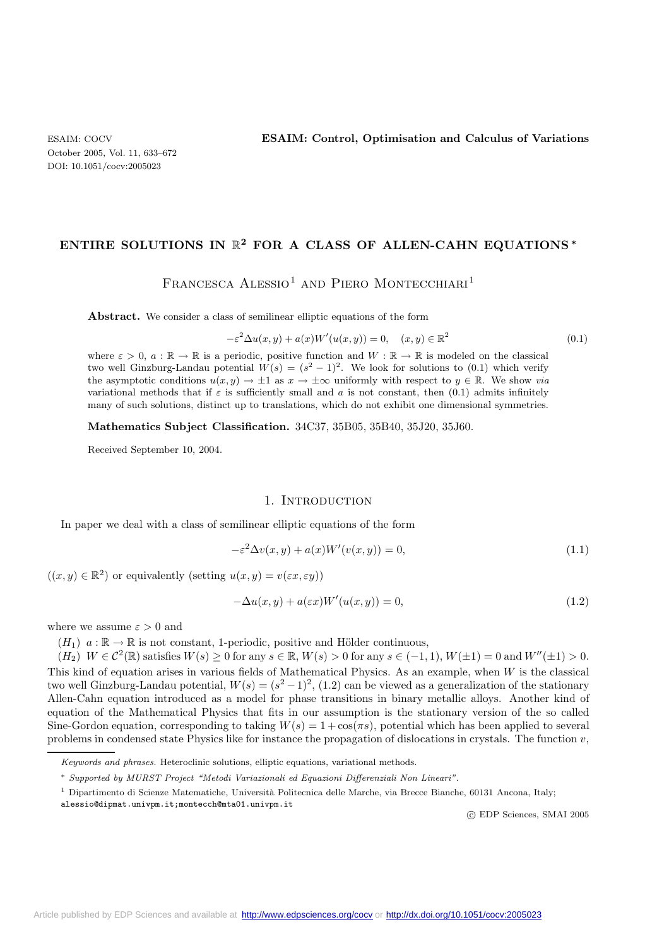## **ENTIRE SOLUTIONS IN** R**<sup>2</sup> FOR A CLASS OF ALLEN-CAHN EQUATIONS** *<sup>∗</sup>*

 $FRANCESCA ALESSIO<sup>1</sup> AND PIERO MONTECCHIARI<sup>1</sup>$ 

Abstract. We consider a class of semilinear elliptic equations of the form

$$
-\varepsilon^2 \Delta u(x, y) + a(x)W'(u(x, y)) = 0, \quad (x, y) \in \mathbb{R}^2
$$
\n(0.1)

where  $\varepsilon > 0$ ,  $a : \mathbb{R} \to \mathbb{R}$  is a periodic, positive function and  $W : \mathbb{R} \to \mathbb{R}$  is modeled on the classical two well Ginzburg-Landau potential  $W(s)=(s^2-1)^2$ . We look for solutions to (0.1) which verify the asymptotic conditions  $u(x, y) \to \pm 1$  as  $x \to \pm \infty$  uniformly with respect to  $y \in \mathbb{R}$ . We show *via* variational methods that if  $\varepsilon$  is sufficiently small and a is not constant, then (0.1) admits infinitely many of such solutions, distinct up to translations, which do not exhibit one dimensional symmetries.

**Mathematics Subject Classification.** 34C37, 35B05, 35B40, 35J20, 35J60.

Received September 10, 2004.

#### 1. INTRODUCTION

In paper we deal with a class of semilinear elliptic equations of the form

$$
-\varepsilon^{2} \Delta v(x, y) + a(x)W'(v(x, y)) = 0,
$$
\n(1.1)

 $((x, y) \in \mathbb{R}^2)$  or equivalently (setting  $u(x, y) = v(\varepsilon x, \varepsilon y)$ )

$$
-\Delta u(x,y) + a(\varepsilon x)W'(u(x,y)) = 0,
$$
\n(1.2)

where we assume  $\varepsilon > 0$  and

 $(H_1)$   $a : \mathbb{R} \to \mathbb{R}$  is not constant, 1-periodic, positive and Hölder continuous,

 $(H_2)$   $W \in C^2(\mathbb{R})$  satisfies  $W(s) \geq 0$  for any  $s \in \mathbb{R}$ ,  $W(s) > 0$  for any  $s \in (-1, 1)$ ,  $W(\pm 1) = 0$  and  $W''(\pm 1) > 0$ . This kind of equation arises in various fields of Mathematical Physics. As an example, when W is the classical two well Ginzburg-Landau potential,  $W(s)=(s^2-1)^2$ , (1.2) can be viewed as a generalization of the stationary Allen-Cahn equation introduced as a model for phase transitions in binary metallic alloys. Another kind of equation of the Mathematical Physics that fits in our assumption is the stationary version of the so called Sine-Gordon equation, corresponding to taking  $W(s) = 1 + \cos(\pi s)$ , potential which has been applied to several problems in condensed state Physics like for instance the propagation of dislocations in crystals. The function  $v$ ,

c EDP Sciences, SMAI 2005

Keywords and phrases. Heteroclinic solutions, elliptic equations, variational methods.

<sup>∗</sup> Supported by MURST Project "Metodi Variazionali ed Equazioni Differenziali Non Lineari".

 $1$  Dipartimento di Scienze Matematiche, Università Politecnica delle Marche, via Brecce Bianche, 60131 Ancona, Italy;

alessio@dipmat.univpm.it;montecch@mta01.univpm.it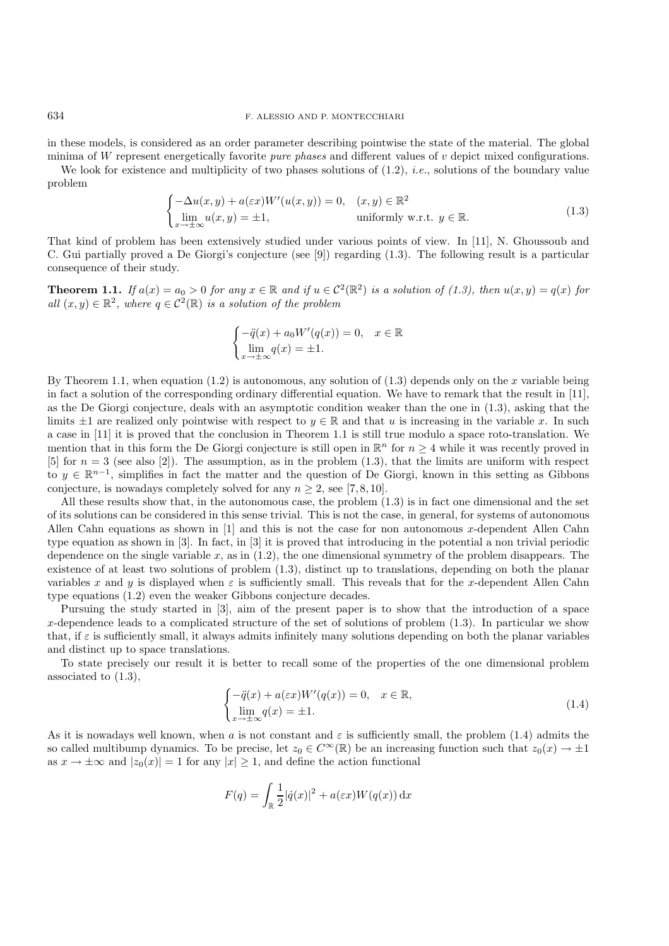in these models, is considered as an order parameter describing pointwise the state of the material. The global minima of W represent energetically favorite *pure phases* and different values of v depict mixed configurations.

We look for existence and multiplicity of two phases solutions of (1.2), *i.e.*, solutions of the boundary value problem

$$
\begin{cases}\n-\Delta u(x,y) + a(\varepsilon x)W'(u(x,y)) = 0, & (x,y) \in \mathbb{R}^2 \\
\lim_{x \to \pm \infty} u(x,y) = \pm 1, & \text{uniformly w.r.t. } y \in \mathbb{R}.\n\end{cases}
$$
\n(1.3)

That kind of problem has been extensively studied under various points of view. In [11], N. Ghoussoub and C. Gui partially proved a De Giorgi's conjecture (see [9]) regarding (1.3). The following result is a particular consequence of their study.

**Theorem 1.1.** *If*  $a(x) = a_0 > 0$  *for any*  $x \in \mathbb{R}$  *and if*  $u \in C^2(\mathbb{R}^2)$  *is a solution of (1.3), then*  $u(x, y) = q(x)$  *for all*  $(x, y) \in \mathbb{R}^2$ , where  $q \in C^2(\mathbb{R})$  *is a solution of the problem* 

$$
\begin{cases}\n-\ddot{q}(x) + a_0 W'(q(x)) = 0, & x \in \mathbb{R} \\
\lim_{x \to \pm \infty} q(x) = \pm 1.\n\end{cases}
$$

By Theorem 1.1, when equation  $(1.2)$  is autonomous, any solution of  $(1.3)$  depends only on the x variable being in fact a solution of the corresponding ordinary differential equation. We have to remark that the result in [11], as the De Giorgi conjecture, deals with an asymptotic condition weaker than the one in (1.3), asking that the limits  $\pm 1$  are realized only pointwise with respect to  $y \in \mathbb{R}$  and that u is increasing in the variable x. In such a case in [11] it is proved that the conclusion in Theorem 1.1 is still true modulo a space roto-translation. We mention that in this form the De Giorgi conjecture is still open in  $\mathbb{R}^n$  for  $n \geq 4$  while it was recently proved in [5] for  $n = 3$  (see also [2]). The assumption, as in the problem (1.3), that the limits are uniform with respect to  $y \in \mathbb{R}^{n-1}$ , simplifies in fact the matter and the question of De Giorgi, known in this setting as Gibbons conjecture, is nowadays completely solved for any  $n \geq 2$ , see [7, 8, 10].

All these results show that, in the autonomous case, the problem (1.3) is in fact one dimensional and the set of its solutions can be considered in this sense trivial. This is not the case, in general, for systems of autonomous Allen Cahn equations as shown in [1] and this is not the case for non autonomous x-dependent Allen Cahn type equation as shown in [3]. In fact, in [3] it is proved that introducing in the potential a non trivial periodic dependence on the single variable  $x$ , as in  $(1.2)$ , the one dimensional symmetry of the problem disappears. The existence of at least two solutions of problem (1.3), distinct up to translations, depending on both the planar variables x and y is displayed when  $\varepsilon$  is sufficiently small. This reveals that for the x-dependent Allen Cahn type equations (1.2) even the weaker Gibbons conjecture decades.

Pursuing the study started in [3], aim of the present paper is to show that the introduction of a space x-dependence leads to a complicated structure of the set of solutions of problem  $(1.3)$ . In particular we show that, if  $\varepsilon$  is sufficiently small, it always admits infinitely many solutions depending on both the planar variables and distinct up to space translations.

To state precisely our result it is better to recall some of the properties of the one dimensional problem associated to (1.3),

$$
\begin{cases}\n-\ddot{q}(x) + a(\varepsilon x)W'(q(x)) = 0, & x \in \mathbb{R}, \\
\lim_{x \to \pm \infty} q(x) = \pm 1.\n\end{cases}
$$
\n(1.4)

As it is nowadays well known, when a is not constant and  $\varepsilon$  is sufficiently small, the problem (1.4) admits the so called multibump dynamics. To be precise, let  $z_0 \in C^{\infty}(\mathbb{R})$  be an increasing function such that  $z_0(x) \to \pm 1$ as  $x \to \pm \infty$  and  $|z_0(x)| = 1$  for any  $|x| \geq 1$ , and define the action functional

$$
F(q) = \int_{\mathbb{R}} \frac{1}{2} |\dot{q}(x)|^2 + a(\varepsilon x) W(q(x)) \, \mathrm{d}x
$$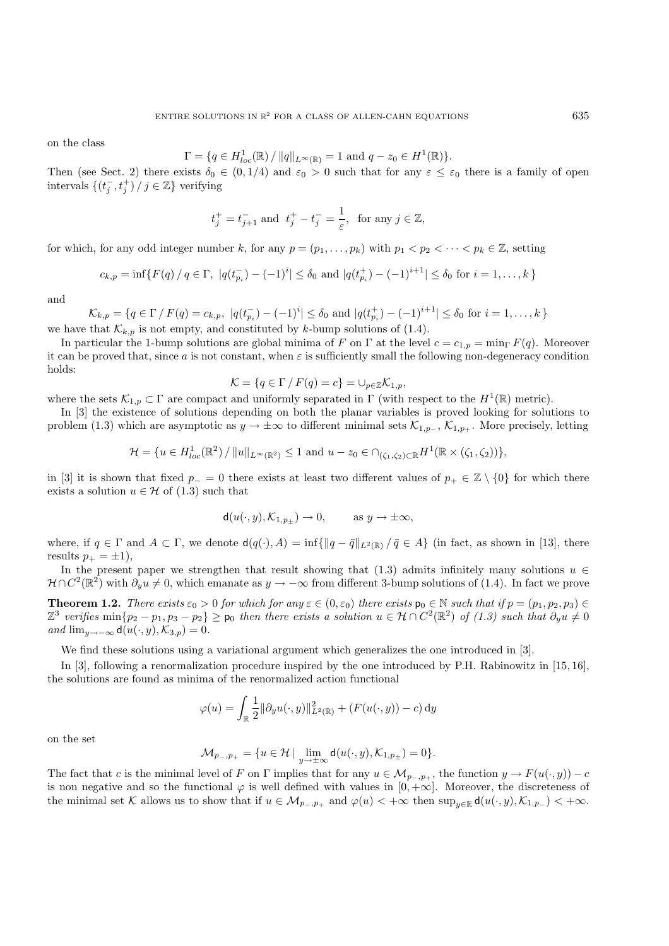on the class

$$
\Gamma = \{ q \in H_{loc}^1(\mathbb{R}) / ||q||_{L^{\infty}(\mathbb{R})} = 1 \text{ and } q - z_0 \in H^1(\mathbb{R}) \}.
$$

Then (see Sect. 2) there exists  $\delta_0 \in (0, 1/4)$  and  $\varepsilon_0 > 0$  such that for any  $\varepsilon \leq \varepsilon_0$  there is a family of open intervals  $\{(t_i^-, t_i^+) / j \in \mathbb{Z}\}\)$  verifying

$$
t_j^+ = t_{j+1}^-
$$
 and  $t_j^+ - t_j^- = \frac{1}{\varepsilon}$ , for any  $j \in \mathbb{Z}$ ,

for which, for any odd integer number k, for any  $p = (p_1, \ldots, p_k)$  with  $p_1 < p_2 < \cdots < p_k \in \mathbb{Z}$ , setting

$$
c_{k,p} = \inf \{ F(q) / q \in \Gamma, \ |q(t_{p_i}^-) - (-1)^i| \le \delta_0 \text{ and } |q(t_{p_i}^+) - (-1)^{i+1}| \le \delta_0 \text{ for } i = 1, \dots, k \}
$$

and

 $\mathcal{K}_{k,p} = \{q \in \Gamma \mid F(q) = c_{k,p}, |q(t_{p_i}^-) - (-1)^i| \leq \delta_0 \text{ and } |q(t_{p_i}^+) - (-1)^{i+1}| \leq \delta_0 \text{ for } i = 1,\ldots,k \}$ 

we have that  $\mathcal{K}_{k,p}$  is not empty, and constituted by k-bump solutions of (1.4).

In particular the 1-bump solutions are global minima of F on  $\Gamma$  at the level  $c = c_{1,p} = \min_{\Gamma} F(q)$ . Moreover it can be proved that, since a is not constant, when  $\varepsilon$  is sufficiently small the following non-degeneracy condition holds:

$$
\mathcal{K} = \{ q \in \Gamma / F(q) = c \} = \cup_{p \in \mathbb{Z}} \mathcal{K}_{1,p},
$$

where the sets  $\mathcal{K}_{1,p} \subset \Gamma$  are compact and uniformly separated in  $\Gamma$  (with respect to the  $H^1(\mathbb{R})$  metric).

In [3] the existence of solutions depending on both the planar variables is proved looking for solutions to problem (1.3) which are asymptotic as  $y \to \pm \infty$  to different minimal sets  $\mathcal{K}_{1,p_+}, \mathcal{K}_{1,p_+}$ . More precisely, letting

$$
\mathcal{H} = \{ u \in H_{loc}^1(\mathbb{R}^2) / ||u||_{L^{\infty}(\mathbb{R}^2)} \le 1 \text{ and } u - z_0 \in \cap_{(\zeta_1, \zeta_2) \subset \mathbb{R}} H^1(\mathbb{R} \times (\zeta_1, \zeta_2)) \},
$$

in [3] it is shown that fixed  $p_-=0$  there exists at least two different values of  $p_+\in\mathbb{Z}\setminus\{0\}$  for which there exists a solution  $u \in \mathcal{H}$  of (1.3) such that

$$
\mathsf{d}(u(\cdot,y), \mathcal{K}_{1,p_\pm}) \to 0, \qquad \text{ as } y \to \pm \infty,
$$

where, if  $q \in \Gamma$  and  $A \subset \Gamma$ , we denote  $d(q(\cdot), A) = \inf \{ ||q - \bar{q}||_{L^2(\mathbb{R})} / \bar{q} \in A \}$  (in fact, as shown in [13], there results  $p_+ = \pm 1$ ,

In the present paper we strengthen that result showing that (1.3) admits infinitely many solutions  $u \in$  $\mathcal{H} \cap C^2(\mathbb{R}^2)$  with  $\partial_y u \neq 0$ , which emanate as  $y \to -\infty$  from different 3-bump solutions of (1.4). In fact we prove

**Theorem 1.2.** *There exists*  $\varepsilon_0 > 0$  *for which for any*  $\varepsilon \in (0, \varepsilon_0)$  *there exists*  $\mathbf{p}_0 \in \mathbb{N}$  *such that* if  $p = (p_1, p_2, p_3) \in$  $\mathbb{Z}^3$  verifies  $\min\{p_2 - p_1, p_3 - p_2\} \geq p_0$  then there exists a solution  $u \in \mathcal{H} \cap C^2(\mathbb{R}^2)$  of  $(1.3)$  such that  $\partial_y u \neq 0$ *and*  $\lim_{y\to-\infty}$  **d** $(u(\cdot, y), \mathcal{K}_{3,p})=0$ *.* 

We find these solutions using a variational argument which generalizes the one introduced in [3].

In [3], following a renormalization procedure inspired by the one introduced by P.H. Rabinowitz in [15, 16], the solutions are found as minima of the renormalized action functional

$$
\varphi(u) = \int_{\mathbb{R}} \frac{1}{2} ||\partial_y u(\cdot, y)||_{L^2(\mathbb{R})}^2 + (F(u(\cdot, y)) - c) dy
$$

on the set

$$
\mathcal{M}_{p_-,p_+} = \{u \in \mathcal{H} \,|\, \lim_{y \to \pm \infty} \mathsf{d}(u(\cdot,y),\mathcal{K}_{1,p_\pm}) = 0\}.
$$

The fact that c is the minimal level of F on  $\Gamma$  implies that for any  $u \in \mathcal{M}_{p_-,p_+}$ , the function  $y \to F(u(\cdot,y)) - c$ is non negative and so the functional  $\varphi$  is well defined with values in  $[0, +\infty]$ . Moreover, the discreteness of the minimal set K allows us to show that if  $u \in M_{p_-,p_+}$  and  $\varphi(u) < +\infty$  then  $\sup_{y\in \mathbb{R}} d(u(\cdot,y), K_{1,p_-}) < +\infty$ .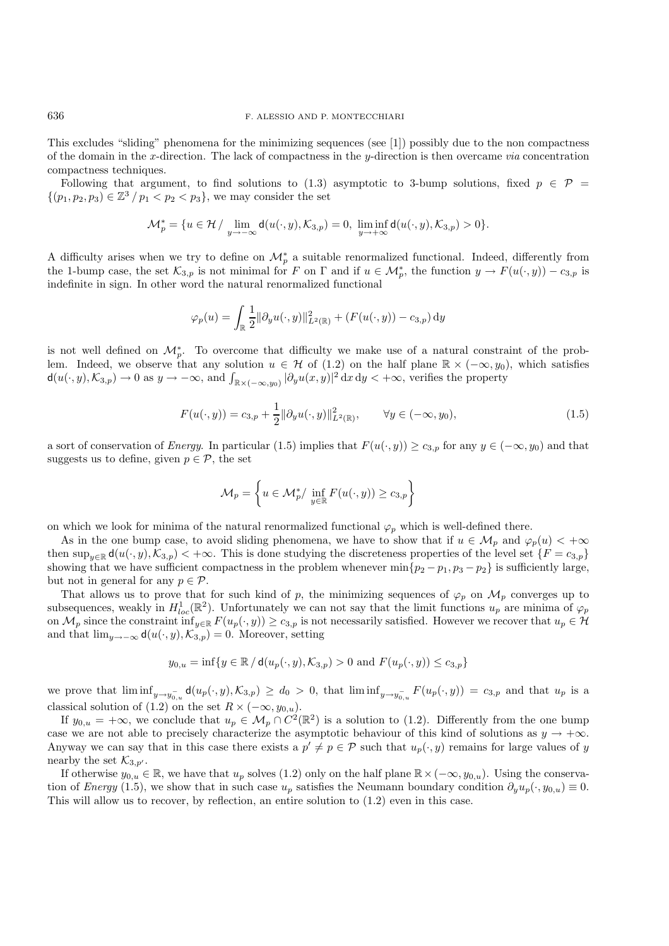This excludes "sliding" phenomena for the minimizing sequences (see [1]) possibly due to the non compactness of the domain in the x-direction. The lack of compactness in the y-direction is then overcame *via* concentration compactness techniques.

Following that argument, to find solutions to (1.3) asymptotic to 3-bump solutions, fixed  $p \in \mathcal{P}$  =  $\{(p_1, p_2, p_3) \in \mathbb{Z}^3 \mid p_1 < p_2 < p_3\},\$  we may consider the set

$$
\mathcal{M}_p^*=\{u\in \mathcal{H}\,/\,\lim_{y\to -\infty}\mathsf{d}(u(\cdot,y),\mathcal{K}_{3,p})=0,\,\,\liminf_{y\to +\infty}\mathsf{d}(u(\cdot,y),\mathcal{K}_{3,p})>0\}.
$$

A difficulty arises when we try to define on  $\mathcal{M}_n^*$  a suitable renormalized functional. Indeed, differently from the 1-bump case, the set  $\mathcal{K}_{3,p}$  is not minimal for F on  $\Gamma$  and if  $u \in \mathcal{M}_p^*$ , the function  $y \to F(u(\cdot,y)) - c_{3,p}$  is indefinite in sign. In other word the natural renormalized functional

$$
\varphi_p(u) = \int_{\mathbb{R}} \frac{1}{2} ||\partial_y u(\cdot, y)||_{L^2(\mathbb{R})}^2 + (F(u(\cdot, y)) - c_{3,p}) \, dy
$$

is not well defined on  $\mathcal{M}_n^*$ . To overcome that difficulty we make use of a natural constraint of the problem. Indeed, we observe that any solution  $u \in \mathcal{H}$  of (1.2) on the half plane  $\mathbb{R} \times (-\infty, y_0)$ , which satisfies  $d(u(\cdot,y),\mathcal{K}_{3,p}) \to 0$  as  $y \to -\infty$ , and  $\int_{\mathbb{R} \times (-\infty,y_0)} |\partial_y u(x,y)|^2 dx dy < +\infty$ , verifies the property

$$
F(u(\cdot, y)) = c_{3,p} + \frac{1}{2} ||\partial_y u(\cdot, y)||^2_{L^2(\mathbb{R})}, \qquad \forall y \in (-\infty, y_0),
$$
\n(1.5)

a sort of conservation of *Energy*. In particular (1.5) implies that  $F(u(\cdot, y)) \ge c_{3,p}$  for any  $y \in (-\infty, y_0)$  and that suggests us to define, given  $p \in \mathcal{P}$ , the set

$$
\mathcal{M}_p = \left\{ u \in \mathcal{M}_p^* / \inf_{y \in \mathbb{R}} F(u(\cdot, y)) \ge c_{3,p} \right\}
$$

on which we look for minima of the natural renormalized functional  $\varphi_p$  which is well-defined there.

As in the one bump case, to avoid sliding phenomena, we have to show that if  $u \in M_p$  and  $\varphi_p(u) < +\infty$ then  $\sup_{u\in\mathbb{R}} d(u(\cdot, y), \mathcal{K}_{3,p}) < +\infty$ . This is done studying the discreteness properties of the level set  $\{F = c_{3,p}\}\$ showing that we have sufficient compactness in the problem whenever  $\min\{p_2 - p_1, p_3 - p_2\}$  is sufficiently large, but not in general for any  $p \in \mathcal{P}$ .

That allows us to prove that for such kind of p, the minimizing sequences of  $\varphi_p$  on  $\mathcal{M}_p$  converges up to subsequences, weakly in  $H_{loc}^1(\mathbb{R}^2)$ . Unfortunately we can not say that the limit functions  $u_p$  are minima of  $\varphi_p$ on  $\mathcal{M}_p$  since the constraint  $\inf_{y\in\mathbb{R}} F(u_p(\cdot, y)) \ge c_{3,p}$  is not necessarily satisfied. However we recover that  $u_p \in \mathcal{H}$ and that  $\lim_{y\to-\infty} d(u(\cdot,y),\mathcal{K}_{3,p})=0$ . Moreover, setting

$$
y_{0,u} = \inf\{y \in \mathbb{R} / d(u_p(\cdot, y), \mathcal{K}_{3,p}) > 0 \text{ and } F(u_p(\cdot, y)) \le c_{3,p}\}\
$$

we prove that  $\liminf_{y\to y_{0,u}^-} d(u_p(\cdot,y),\mathcal{K}_{3,p}) \geq d_0 > 0$ , that  $\liminf_{y\to y_{0,u}^-} F(u_p(\cdot,y)) = c_{3,p}$  and that  $u_p$  is a classical solution of (1.2) on the set  $R \times (-\infty, y_{0,u})$ .

If  $y_{0,u} = +\infty$ , we conclude that  $u_p \in \mathcal{M}_p \cap C^2(\mathbb{R}^2)$  is a solution to (1.2). Differently from the one bump case we are not able to precisely characterize the asymptotic behaviour of this kind of solutions as  $y \to +\infty$ . Anyway we can say that in this case there exists a  $p' \neq p \in \mathcal{P}$  such that  $u_p(\cdot, y)$  remains for large values of y nearby the set  $\mathcal{K}_{3,p'}$ .

If otherwise  $y_{0,u} \in \mathbb{R}$ , we have that  $u_p$  solves (1.2) only on the half plane  $\mathbb{R} \times (-\infty, y_{0,u})$ . Using the conservation of *Energy* (1.5), we show that in such case  $u_p$  satisfies the Neumann boundary condition  $\partial_y u_p(\cdot, y_{0,u}) \equiv 0$ . This will allow us to recover, by reflection, an entire solution to (1.2) even in this case.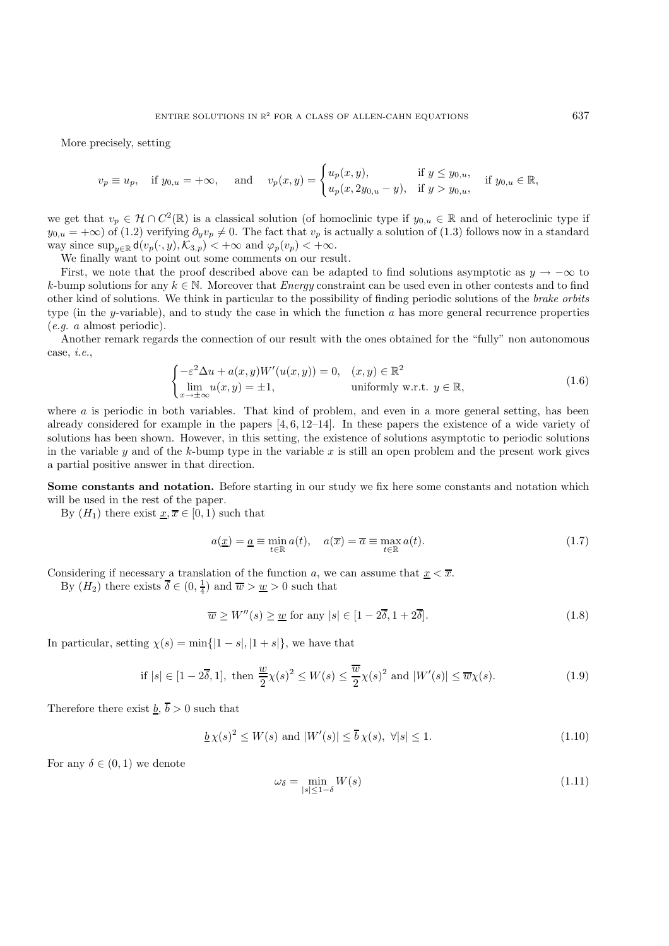More precisely, setting

$$
v_p \equiv u_p, \quad \text{if } y_{0,u} = +\infty, \quad \text{ and } \quad v_p(x,y) = \begin{cases} u_p(x,y), & \text{if } y \leq y_{0,u}, \\ u_p(x, 2y_{0,u} - y), & \text{if } y > y_{0,u}, \end{cases} \quad \text{if } y_{0,u} \in \mathbb{R},
$$

we get that  $v_p \in \mathcal{H} \cap C^2(\mathbb{R})$  is a classical solution (of homoclinic type if  $y_{0,u} \in \mathbb{R}$  and of heteroclinic type if  $y_{0,u} = +\infty$ ) of (1.2) verifying  $\partial_y v_p \neq 0$ . The fact that  $v_p$  is actually a solution of (1.3) follows now in a standard way since  $\sup_{y\in\mathbb{R}} \mathsf{d}(v_p(\cdot,y),\mathcal{K}_{3,p}) < +\infty$  and  $\varphi_p(v_p) < +\infty$ .

We finally want to point out some comments on our result.

First, we note that the proof described above can be adapted to find solutions asymptotic as  $y \to -\infty$  to k-bump solutions for any  $k \in \mathbb{N}$ . Moreover that *Energy* constraint can be used even in other contests and to find other kind of solutions. We think in particular to the possibility of finding periodic solutions of the *brake orbits* type (in the y-variable), and to study the case in which the function  $a$  has more general recurrence properties (*e.g.* a almost periodic).

Another remark regards the connection of our result with the ones obtained for the "fully" non autonomous case, *i.e.*,

$$
\begin{cases}\n-\varepsilon^2 \Delta u + a(x, y)W'(u(x, y)) = 0, & (x, y) \in \mathbb{R}^2 \\
\lim_{x \to \pm \infty} u(x, y) = \pm 1, & \text{uniformly w.r.t. } y \in \mathbb{R},\n\end{cases}
$$
\n(1.6)

where  $a$  is periodic in both variables. That kind of problem, and even in a more general setting, has been already considered for example in the papers [4, 6, 12–14]. In these papers the existence of a wide variety of solutions has been shown. However, in this setting, the existence of solutions asymptotic to periodic solutions in the variable  $y$  and of the  $k$ -bump type in the variable  $x$  is still an open problem and the present work gives a partial positive answer in that direction.

**Some constants and notation.** Before starting in our study we fix here some constants and notation which will be used in the rest of the paper.

By  $(H_1)$  there exist  $x, \overline{x} \in [0, 1)$  such that

$$
a(\underline{x}) = \underline{a} \equiv \min_{t \in \mathbb{R}} a(t), \quad a(\overline{x}) = \overline{a} \equiv \max_{t \in \mathbb{R}} a(t).
$$
 (1.7)

Considering if necessary a translation of the function a, we can assume that  $x < \overline{x}$ .

By  $(H_2)$  there exists  $\overline{\delta} \in (0, \frac{1}{4})$  and  $\overline{w} > \underline{w} > 0$  such that

$$
\overline{w} \ge W''(s) \ge \underline{w} \text{ for any } |s| \in [1 - 2\overline{\delta}, 1 + 2\overline{\delta}]. \tag{1.8}
$$

In particular, setting  $\chi(s) = \min\{|1-s|, |1+s|\}$ , we have that

if 
$$
|s| \in [1 - 2\overline{\delta}, 1]
$$
, then  $\frac{w}{2}\chi(s)^2 \le W(s) \le \frac{\overline{w}}{2}\chi(s)^2$  and  $|W'(s)| \le \overline{w}\chi(s)$ . (1.9)

Therefore there exist  $\underline{b}$ ,  $\overline{b} > 0$  such that

$$
\underline{b}\chi(s)^2 \le W(s) \text{ and } |W'(s)| \le \overline{b}\chi(s), \ \forall |s| \le 1. \tag{1.10}
$$

For any  $\delta \in (0,1)$  we denote

$$
\omega_{\delta} = \min_{|s| \le 1 - \delta} W(s) \tag{1.11}
$$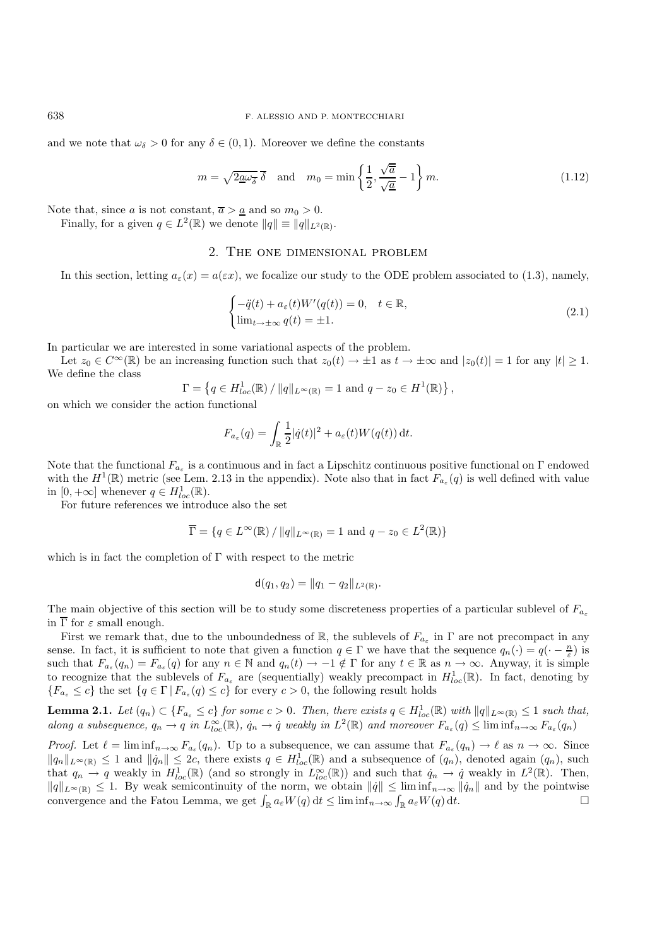and we note that  $\omega_{\delta} > 0$  for any  $\delta \in (0, 1)$ . Moreover we define the constants

$$
m = \sqrt{2\underline{a}\omega_{\overline{\delta}}}\overline{\delta} \quad \text{and} \quad m_0 = \min\left\{\frac{1}{2}, \frac{\sqrt{\overline{a}}}{\sqrt{\underline{a}}} - 1\right\}m.
$$
 (1.12)

Note that, since a is not constant,  $\overline{a} > \underline{a}$  and so  $m_0 > 0$ .

Finally, for a given  $q \in L^2(\mathbb{R})$  we denote  $||q|| \equiv ||q||_{L^2(\mathbb{R})}$ .

## 2. The one dimensional problem

In this section, letting  $a_{\varepsilon}(x) = a(\varepsilon x)$ , we focalize our study to the ODE problem associated to (1.3), namely,

$$
\begin{cases}\n-\ddot{q}(t) + a_{\varepsilon}(t)W'(q(t)) = 0, & t \in \mathbb{R}, \\
\lim_{t \to \pm \infty} q(t) = \pm 1.\n\end{cases}
$$
\n(2.1)

In particular we are interested in some variational aspects of the problem.

Let  $z_0 \in C^{\infty}(\mathbb{R})$  be an increasing function such that  $z_0(t) \to \pm 1$  as  $t \to \pm \infty$  and  $|z_0(t)| = 1$  for any  $|t| \geq 1$ . We define the class

$$
\Gamma = \left\{ q \in H_{loc}^1(\mathbb{R}) / ||q||_{L^{\infty}(\mathbb{R})} = 1 \text{ and } q - z_0 \in H^1(\mathbb{R}) \right\},\
$$

on which we consider the action functional

$$
F_{a_{\varepsilon}}(q) = \int_{\mathbb{R}} \frac{1}{2} |\dot{q}(t)|^2 + a_{\varepsilon}(t) W(q(t)) dt.
$$

Note that the functional  $F_{a_{\varepsilon}}$  is a continuous and in fact a Lipschitz continuous positive functional on  $\Gamma$  endowed with the  $H^1(\mathbb{R})$  metric (see Lem. 2.13 in the appendix). Note also that in fact  $F_{a_{\varepsilon}}(q)$  is well defined with value in  $[0, +\infty]$  whenever  $q \in H^1_{loc}(\mathbb{R})$ .

For future references we introduce also the set

$$
\overline{\Gamma} = \{ q \in L^{\infty}(\mathbb{R}) / ||q||_{L^{\infty}(\mathbb{R})} = 1 \text{ and } q - z_0 \in L^2(\mathbb{R}) \}
$$

which is in fact the completion of Γ with respect to the metric

$$
\mathsf{d}(q_1, q_2) = \|q_1 - q_2\|_{L^2(\mathbb{R})}.
$$

The main objective of this section will be to study some discreteness properties of a particular sublevel of  $F_{a_{\varepsilon}}$ in  $\overline{\Gamma}$  for  $\varepsilon$  small enough.

First we remark that, due to the unboundedness of R, the sublevels of  $F_{a_{\varepsilon}}$  in  $\Gamma$  are not precompact in any sense. In fact, it is sufficient to note that given a function  $q \in \Gamma$  we have that the sequence  $q_n(\cdot) = q(\cdot - \frac{n}{\varepsilon})$  is such that  $F_{a_{\varepsilon}}(q_n) = F_{a_{\varepsilon}}(q)$  for any  $n \in \mathbb{N}$  and  $q_n(t) \to -1 \notin \Gamma$  for any  $t \in \mathbb{R}$  as  $n \to \infty$ . Anyway, it is simple to recognize that the sublevels of  $F_{a_{\varepsilon}}$  are (sequentially) weakly precompact in  $H_{loc}^1(\mathbb{R})$ . In fact, denoting by  ${F_{a_{\varepsilon}} \leq c}$  the set  ${q \in \Gamma | F_{a_{\varepsilon}}(q) \leq c}$  for every  $c > 0$ , the following result holds

**Lemma 2.1.** *Let*  $(q_n) \subset \{F_{a_{\varepsilon}} \leq c\}$  *for some*  $c > 0$ . *Then, there exists*  $q \in H_{loc}^1(\mathbb{R})$  *with*  $||q||_{L^{\infty}(\mathbb{R})} \leq 1$  *such that, along a subsequence,*  $q_n \to q$  *in*  $L_{loc}^{\infty}(\mathbb{R})$ *,*  $\dot{q}_n \to \dot{q}$  *weakly in*  $L^2(\mathbb{R})$  *and moreover*  $F_{a_{\varepsilon}}(q) \leq \liminf_{n \to \infty} F_{a_{\varepsilon}}(q_n)$ 

*Proof.* Let  $\ell = \liminf_{n \to \infty} F_{a_{\varepsilon}}(q_n)$ . Up to a subsequence, we can assume that  $F_{a_{\varepsilon}}(q_n) \to \ell$  as  $n \to \infty$ . Since  $||q_n||_{L^{\infty}(\mathbb{R})} \leq 1$  and  $||\dot{q}_n|| \leq 2c$ , there exists  $q \in H^1_{loc}(\mathbb{R})$  and a subsequence of  $(q_n)$ , denoted again  $(q_n)$ , such that  $q_n \to q$  weakly in  $H^1_{loc}(\mathbb{R})$  (and so strongly in  $L^{\infty}_{loc}(\mathbb{R})$ ) and such that  $\dot{q}_n \to \dot{q}$  weakly in  $L^2(\mathbb{R})$ . Then,  $||q||_{L^{\infty}(\mathbb{R})} \leq 1$ . By weak semicontinuity of the norm, we obtain  $||\dot{q}|| \leq \liminf_{n\to\infty} ||\dot{q}_n||$  and by the pointwise convergence and the Fatou Lemma, we get  $\int_{\mathbb{R}} a_{\varepsilon} W(q) dt \leq \liminf_{n \to \infty} \int_{\mathbb{R}} a_{\varepsilon} W(q) dt$ .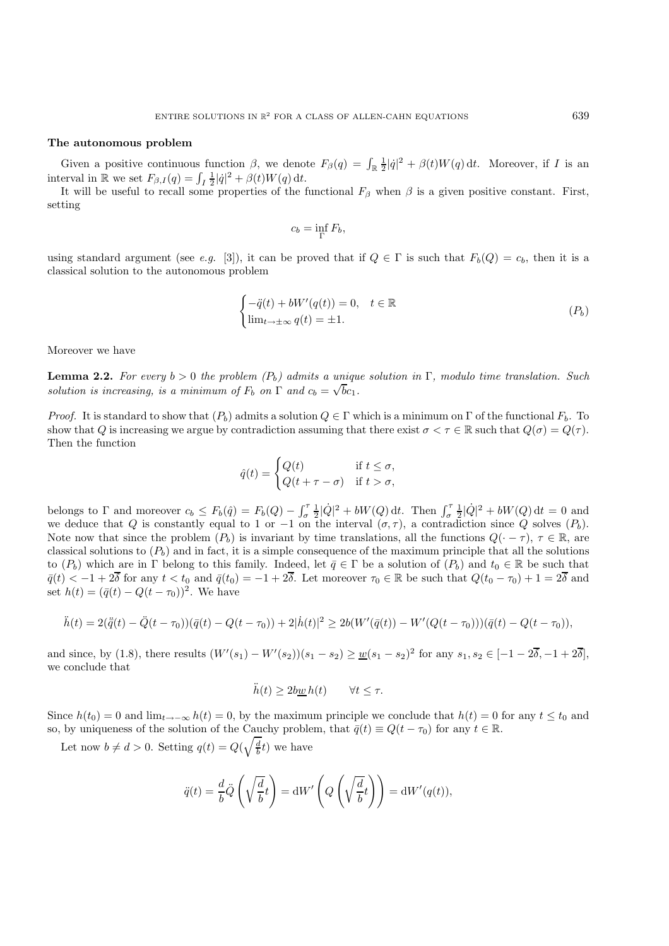#### **The autonomous problem**

Given a positive continuous function  $\beta$ , we denote  $F_{\beta}(q) = \int_{\mathbb{R}} \frac{1}{2} |\dot{q}|^2 + \beta(t) W(q) dt$ . Moreover, if I is an interval in  $\mathbb R$  we set  $F_{\beta,I}(q) = \int_I \frac{1}{2} |\dot{q}|^2 + \beta(t)W(q) dt$ .

It will be useful to recall some properties of the functional  $F_\beta$  when  $\beta$  is a given positive constant. First, setting

$$
c_b = \inf_{\Gamma} F_b,
$$

using standard argument (see *e.g.* [3]), it can be proved that if  $Q \in \Gamma$  is such that  $F_b(Q) = c_b$ , then it is a classical solution to the autonomous problem

$$
\begin{cases}\n-\ddot{q}(t) + bW'(q(t)) = 0, & t \in \mathbb{R} \\
\lim_{t \to \pm \infty} q(t) = \pm 1.\n\end{cases}
$$
\n
$$
(P_b)
$$

Moreover we have

**Lemma 2.2.** *For every*  $b > 0$  *the problem*  $(P_b)$  *admits a unique solution in* Γ*, modulo time translation. Such solution is increasing, is a minimum of*  $F_b$  on  $\Gamma$  and  $c_b = \sqrt{bc_1}$ .

*Proof.* It is standard to show that  $(P_b)$  admits a solution  $Q \in \Gamma$  which is a minimum on  $\Gamma$  of the functional  $F_b$ . To show that Q is increasing we argue by contradiction assuming that there exist  $\sigma < \tau \in \mathbb{R}$  such that  $Q(\sigma) = Q(\tau)$ . Then the function

$$
\hat{q}(t) = \begin{cases} Q(t) & \text{if } t \leq \sigma, \\ Q(t + \tau - \sigma) & \text{if } t > \sigma, \end{cases}
$$

belongs to  $\Gamma$  and moreover  $c_b \leq F_b(\hat{q}) = F_b(Q) - \int_{\sigma}^{\tau} \frac{1}{2} |\dot{Q}|^2 + bW(Q) dt$ . Then  $\int_{\sigma}^{\tau} \frac{1}{2} |\dot{Q}|^2 + bW(Q) dt = 0$  and we deduce that Q is constantly equal to 1 or  $-1$  on the interval  $(\sigma, \tau)$ , a contradiction since Q solves  $(P_b)$ . Note now that since the problem  $(P_b)$  is invariant by time translations, all the functions  $Q(-\tau)$ ,  $\tau \in \mathbb{R}$ , are classical solutions to  $(P_b)$  and in fact, it is a simple consequence of the maximum principle that all the solutions to  $(P_b)$  which are in Γ belong to this family. Indeed, let  $\bar{q} \in \Gamma$  be a solution of  $(P_b)$  and  $t_0 \in \mathbb{R}$  be such that  $\overline{q}(t) < -1+2\overline{\delta}$  for any  $t < t_0$  and  $\overline{q}(t_0) = -1+2\overline{\delta}$ . Let moreover  $\tau_0 \in \mathbb{R}$  be such that  $Q(t_0 - \tau_0) + 1 = 2\overline{\delta}$  and set  $h(t) = (\bar{q}(t) - Q(t - \tau_0))^2$ . We have

$$
\ddot{h}(t) = 2(\ddot{q}(t) - \ddot{Q}(t - \tau_0))(\overline{q}(t) - Q(t - \tau_0)) + 2|\dot{h}(t)|^2 \ge 2b(W'(\overline{q}(t)) - W'(Q(t - \tau_0)))(\overline{q}(t) - Q(t - \tau_0)),
$$

and since, by (1.8), there results  $(W'(s_1) - W'(s_2))(s_1 - s_2) \ge \underline{w}(s_1 - s_2)^2$  for any  $s_1, s_2 \in [-1 - 2\overline{\delta}, -1 + 2\overline{\delta}],$ we conclude that

$$
\ddot{h}(t) \ge 2b\underline{w}h(t) \qquad \forall t \le \tau.
$$

Since  $h(t_0) = 0$  and  $\lim_{t\to-\infty} h(t) = 0$ , by the maximum principle we conclude that  $h(t) = 0$  for any  $t \le t_0$  and so, by uniqueness of the solution of the Cauchy problem, that  $\bar{q}(t) \equiv Q(t - \tau_0)$  for any  $t \in \mathbb{R}$ .

Let now  $b \neq d > 0$ . Setting  $q(t) = Q(\sqrt{\frac{d}{b}}t)$  we have

$$
\ddot{q}(t) = \frac{d}{b}\ddot{Q}\left(\sqrt{\frac{d}{b}}t\right) = \mathrm{d}W'\left(Q\left(\sqrt{\frac{d}{b}}t\right)\right) = \mathrm{d}W'(q(t)),
$$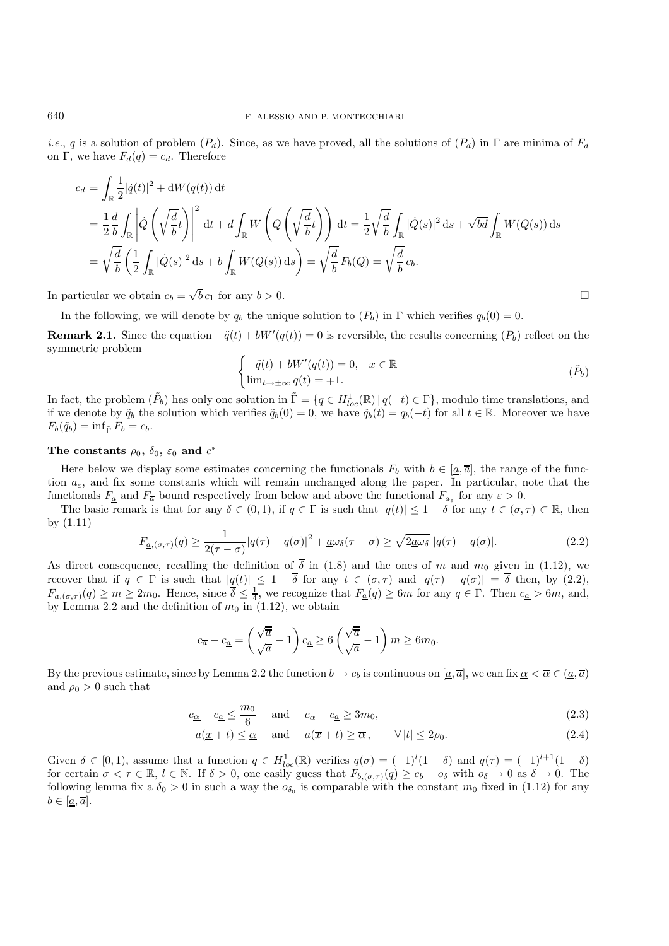*i.e.*, q is a solution of problem  $(P_d)$ . Since, as we have proved, all the solutions of  $(P_d)$  in Γ are minima of  $F_d$ on Γ, we have  $F_d(q) = c_d$ . Therefore

$$
c_d = \int_{\mathbb{R}} \frac{1}{2} |\dot{q}(t)|^2 + dW(q(t)) dt
$$
  
=  $\frac{1}{2} \frac{d}{b} \int_{\mathbb{R}} \left| \dot{Q} \left( \sqrt{\frac{d}{b}} t \right) \right|^2 dt + d \int_{\mathbb{R}} W \left( Q \left( \sqrt{\frac{d}{b}} t \right) \right) dt = \frac{1}{2} \sqrt{\frac{d}{b}} \int_{\mathbb{R}} |\dot{Q}(s)|^2 ds + \sqrt{bd} \int_{\mathbb{R}} W(Q(s)) ds$   
=  $\sqrt{\frac{d}{b}} \left( \frac{1}{2} \int_{\mathbb{R}} |\dot{Q}(s)|^2 ds + b \int_{\mathbb{R}} W(Q(s)) ds \right) = \sqrt{\frac{d}{b}} F_b(Q) = \sqrt{\frac{d}{b}} c_b.$ 

In particular we obtain  $c_b = \sqrt{b} c_1$  for any  $b > 0$ .

In the following, we will denote by  $q_b$  the unique solution to  $(P_b)$  in  $\Gamma$  which verifies  $q_b(0) = 0$ .

**Remark 2.1.** Since the equation  $-\ddot{q}(t) + bW'(q(t)) = 0$  is reversible, the results concerning  $(P_b)$  reflect on the symmetric problem

$$
\begin{cases}\n-\ddot{q}(t) + bW'(q(t)) = 0, & x \in \mathbb{R} \\
\lim_{t \to \pm \infty} q(t) = \mp 1.\n\end{cases} \tag{P_b}
$$

In fact, the problem  $(\tilde{P}_b)$  has only one solution in  $\tilde{\Gamma} = \{q \in H^1_{loc}(\mathbb{R}) \mid q(-t) \in \Gamma\}$ , modulo time translations, and if we denote by  $\tilde{q}_b$  the solution which verifies  $\tilde{q}_b(0) = 0$ , we have  $\tilde{q}_b(t) = q_b(-t)$  for all  $t \in \mathbb{R}$ . Moreover we have  $F_b(\tilde{q}_b) = \inf_{\tilde{\Gamma}} F_b = c_b.$ 

#### **The constants**  $\rho_0$ ,  $\delta_0$ ,  $\varepsilon_0$  and  $c^*$

Here below we display some estimates concerning the functionals  $F_b$  with  $b \in [\underline{a}, \overline{a}]$ , the range of the function  $a_{\varepsilon}$ , and fix some constants which will remain unchanged along the paper. In particular, note that the functionals  $F_a$  and  $F_{\overline{a}}$  bound respectively from below and above the functional  $F_{a_{\varepsilon}}$  for any  $\varepsilon > 0$ .

The basic remark is that for any  $\delta \in (0,1)$ , if  $q \in \Gamma$  is such that  $|q(t)| \leq 1-\delta$  for any  $t \in (\sigma, \tau) \subset \mathbb{R}$ , then by (1.11)

$$
F_{\underline{a},(\sigma,\tau)}(q) \ge \frac{1}{2(\tau-\sigma)}|q(\tau)-q(\sigma)|^2 + \underline{a}\omega_{\delta}(\tau-\sigma) \ge \sqrt{2\underline{a}\omega_{\delta}}|q(\tau)-q(\sigma)|. \tag{2.2}
$$

As direct consequence, recalling the definition of  $\overline{\delta}$  in (1.8) and the ones of m and m<sub>0</sub> given in (1.12), we recover that if  $q \in \Gamma$  is such that  $|q(t)| \leq 1 - \delta$  for any  $t \in (\sigma, \tau)$  and  $|q(\tau) - q(\sigma)| = \delta$  then, by (2.2),  $F_{\underline{a},(\sigma,\tau)}(q) \geq m \geq 2m_0$ . Hence, since  $\overline{\delta} \leq \frac{1}{4}$ , we recognize that  $F_{\underline{a}}(q) \geq 6m$  for any  $q \in \Gamma$ . Then  $c_{\underline{a}} > 6m$ , and, by Lemma 2.2 and the definition of  $m_0$  in (1.12), we obtain

$$
c_{\overline{a}} - c_{\underline{a}} = \left(\frac{\sqrt{\overline{a}}}{\sqrt{\underline{a}}} - 1\right) c_{\underline{a}} \ge 6\left(\frac{\sqrt{\overline{a}}}{\sqrt{\underline{a}}} - 1\right) m \ge 6m_0.
$$

By the previous estimate, since by Lemma 2.2 the function  $b \to c_b$  is continuous on  $[\underline{a}, \overline{a}]$ , we can fix  $\underline{\alpha} < \overline{\alpha} \in (\underline{a}, \overline{a})$ and  $\rho_0 > 0$  such that

$$
c_{\underline{\alpha}} - c_{\underline{a}} \le \frac{m_0}{6} \quad \text{and} \quad c_{\overline{\alpha}} - c_{\underline{a}} \ge 3m_0,\tag{2.3}
$$

$$
a(\underline{x} + t) \le \underline{\alpha}
$$
 and  $a(\overline{x} + t) \ge \overline{\alpha}$ ,  $\forall |t| \le 2\rho_0$ . (2.4)

Given  $\delta \in [0,1)$ , assume that a function  $q \in H_{loc}^1(\mathbb{R})$  verifies  $q(\sigma) = (-1)^l (1-\delta)$  and  $q(\tau) = (-1)^{l+1} (1-\delta)$ for certain  $\sigma < \tau \in \mathbb{R}$ ,  $l \in \mathbb{N}$ . If  $\delta > 0$ , one easily guess that  $F_{b,(\sigma,\tau)}(q) \ge c_b - o_{\delta}$  with  $o_{\delta} \to 0$  as  $\delta \to 0$ . The following lemma fix a  $\delta_0 > 0$  in such a way the  $o_{\delta_0}$  is comparable with the constant  $m_0$  fixed in (1.12) for any  $b \in [\underline{a}, \overline{a}].$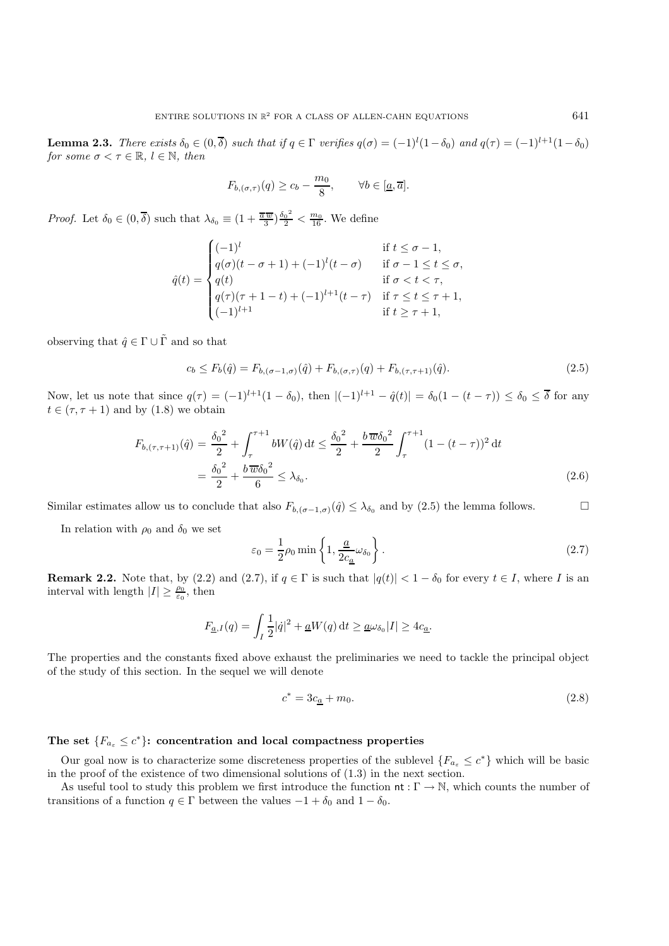**Lemma 2.3.** *There exists*  $\delta_0 \in (0, \overline{\delta})$  *such that if*  $q \in \Gamma$  *verifies*  $q(\sigma) = (-1)^l (1 - \delta_0)$  *and*  $q(\tau) = (-1)^{l+1} (1 - \delta_0)$ *for some*  $\sigma < \tau \in \mathbb{R}$ *, l*  $\in \mathbb{N}$ *, then* 

$$
F_{b,(\sigma,\tau)}(q) \ge c_b - \frac{m_0}{8}, \qquad \forall b \in [\underline{a}, \overline{a}].
$$

*Proof.* Let  $\delta_0 \in (0, \overline{\delta})$  such that  $\lambda_{\delta_0} \equiv (1 + \frac{\overline{a} \overline{w}}{3}) \frac{\delta_0^2}{2} < \frac{m_0}{16}$ . We define

$$
\hat{q}(t) = \begin{cases}\n(-1)^{l} & \text{if } t \leq \sigma - 1, \\
q(\sigma)(t - \sigma + 1) + (-1)^{l}(t - \sigma) & \text{if } \sigma - 1 \leq t \leq \sigma, \\
q(t) & \text{if } \sigma < t < \tau, \\
q(\tau)(\tau + 1 - t) + (-1)^{l+1}(t - \tau) & \text{if } \tau \leq t \leq \tau + 1, \\
(-1)^{l+1} & \text{if } t \geq \tau + 1,\n\end{cases}
$$

observing that  $\hat{q} \in \Gamma \cup \tilde{\Gamma}$  and so that

$$
c_b \le F_b(\hat{q}) = F_{b, (\sigma - 1, \sigma)}(\hat{q}) + F_{b, (\sigma, \tau)}(q) + F_{b, (\tau, \tau + 1)}(\hat{q}). \tag{2.5}
$$

Now, let us note that since  $q(\tau)=(-1)^{l+1}(1-\delta_0)$ , then  $|(-1)^{l+1} - \hat{q}(t)| = \delta_0(1-(t-\tau)) \leq \delta_0 \leq \overline{\delta}$  for any  $t \in (\tau, \tau + 1)$  and by  $(1.8)$  we obtain

$$
F_{b,(\tau,\tau+1)}(\hat{q}) = \frac{\delta_0^2}{2} + \int_{\tau}^{\tau+1} bW(\hat{q}) dt \le \frac{\delta_0^2}{2} + \frac{b \overline{w} \delta_0^2}{2} \int_{\tau}^{\tau+1} (1 - (t - \tau))^2 dt
$$
  
=  $\frac{\delta_0^2}{2} + \frac{b \overline{w} \delta_0^2}{6} \le \lambda_{\delta_0}.$  (2.6)

Similar estimates allow us to conclude that also  $F_{b,(\sigma-1,\sigma)}(\hat{q}) \leq \lambda_{\delta_0}$  and by (2.5) the lemma follows.

In relation with  $\rho_0$  and  $\delta_0$  we set

$$
\varepsilon_0 = \frac{1}{2}\rho_0 \min\left\{1, \frac{\underline{a}}{2c_{\underline{a}}}\omega_{\delta_0}\right\}.
$$
\n(2.7)

**Remark 2.2.** Note that, by (2.2) and (2.7), if  $q \in \Gamma$  is such that  $|q(t)| < 1 - \delta_0$  for every  $t \in I$ , where I is an interval with length  $|I| \geq \frac{\rho_0}{\varepsilon_0}$ , then

$$
F_{\underline{a},I}(q) = \int_I \frac{1}{2} |\dot{q}|^2 + \underline{a}W(q) \, \mathrm{d}t \ge \underline{a} \omega_{\delta_0} |I| \ge 4c_{\underline{a}}.
$$

The properties and the constants fixed above exhaust the preliminaries we need to tackle the principal object of the study of this section. In the sequel we will denote

$$
c^* = 3c_a + m_0. \tag{2.8}
$$

### The set  ${F_{a_{\varepsilon}} \leq c^*}$ : concentration and local compactness properties

Our goal now is to characterize some discreteness properties of the sublevel  ${F_{a<sub>\epsilon</sub>} \leq c^*}$  which will be basic in the proof of the existence of two dimensional solutions of (1.3) in the next section.

As useful tool to study this problem we first introduce the function  $\mathsf{nt}: \Gamma \to \mathbb{N}$ , which counts the number of transitions of a function  $q \in \Gamma$  between the values  $-1 + \delta_0$  and  $1 - \delta_0$ .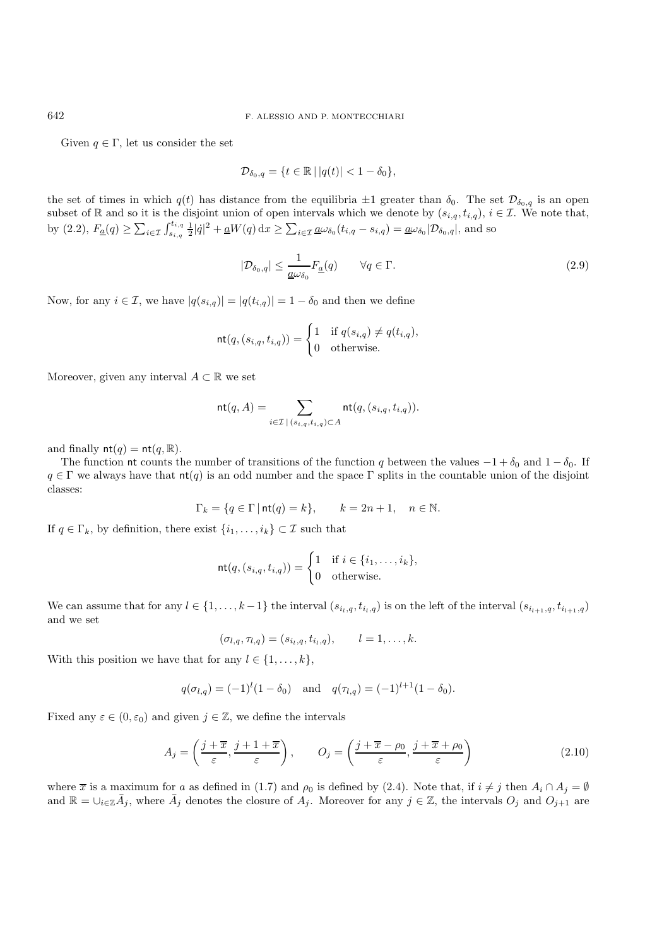Given  $q \in \Gamma$ , let us consider the set

$$
\mathcal{D}_{\delta_0,q} = \{t \in \mathbb{R} \,|\, |q(t)| < 1 - \delta_0\},\
$$

the set of times in which  $q(t)$  has distance from the equilibria  $\pm 1$  greater than  $\delta_0$ . The set  $\mathcal{D}_{\delta_0,q}$  is an open subset of R and so it is the disjoint union of open intervals which we denote by  $(s_{i,q}, t_{i,q})$ ,  $i \in \mathcal{I}$ . We note that, by (2.2),  $F_{\underline{a}}(q) \geq \sum_{i \in \mathcal{I}} \int_{s_{i,q}}^{t_{i,q}} \frac{1}{2} |\dot{q}|^2 + \underline{a}W(q) \, dx \geq \sum_{i \in \mathcal{I}} \underline{a} \omega_{\delta_0}(t_{i,q} - s_{i,q}) = \underline{a} \omega_{\delta_0} |\mathcal{D}_{\delta_0,q}|$ , and so

$$
|\mathcal{D}_{\delta_0,q}| \le \frac{1}{\underline{a}\omega_{\delta_0}} F_{\underline{a}}(q) \qquad \forall q \in \Gamma.
$$
\n(2.9)

Now, for any  $i \in \mathcal{I}$ , we have  $|q(s_{i,q})| = |q(t_{i,q})| = 1 - \delta_0$  and then we define

$$
\mathsf{nt}(q,(s_{i,q},t_{i,q})) = \begin{cases} 1 & \text{if } q(s_{i,q}) \neq q(t_{i,q}), \\ 0 & \text{otherwise.} \end{cases}
$$

Moreover, given any interval  $A \subset \mathbb{R}$  we set

$$
\mathsf{nt}(q,A) = \sum_{i \in \mathcal{I} \, | \, (s_{i,q},t_{i,q}) \subset A} \mathsf{nt}(q, (s_{i,q},t_{i,q})).
$$

and finally  $nt(q) = nt(q, \mathbb{R}).$ 

The function nt counts the number of transitions of the function q between the values  $-1 + \delta_0$  and  $1 - \delta_0$ . If  $q \in \Gamma$  we always have that  $nt(q)$  is an odd number and the space  $\Gamma$  splits in the countable union of the disjoint classes:

$$
\Gamma_k = \{ q \in \Gamma \mid \text{nt}(q) = k \}, \qquad k = 2n + 1, \quad n \in \mathbb{N}.
$$

If  $q \in \Gamma_k,$  by definition, there exist  $\{i_1,\ldots,i_k\} \subset \mathcal{I}$  such that

$$
\mathsf{nt}(q,(s_{i,q},t_{i,q})) = \begin{cases} 1 & \text{if } i \in \{i_1,\ldots,i_k\}, \\ 0 & \text{otherwise.} \end{cases}
$$

We can assume that for any  $l \in \{1, \ldots, k-1\}$  the interval  $(s_{i_l,q}, t_{i_l,q})$  is on the left of the interval  $(s_{i_{l+1},q}, t_{i_{l+1},q})$ and we set

$$
(\sigma_{l,q}, \tau_{l,q}) = (s_{i_l,q}, t_{i_l,q}), \qquad l = 1, \ldots, k.
$$

With this position we have that for any  $l \in \{1, \ldots, k\}$ ,

$$
q(\sigma_{l,q}) = (-1)^{l} (1 - \delta_0)
$$
 and  $q(\tau_{l,q}) = (-1)^{l+1} (1 - \delta_0).$ 

Fixed any  $\varepsilon \in (0, \varepsilon_0)$  and given  $j \in \mathbb{Z}$ , we define the intervals

$$
A_j = \left(\frac{j + \overline{x}}{\varepsilon}, \frac{j + 1 + \overline{x}}{\varepsilon}\right), \qquad O_j = \left(\frac{j + \overline{x} - \rho_0}{\varepsilon}, \frac{j + \overline{x} + \rho_0}{\varepsilon}\right)
$$
(2.10)

where  $\overline{x}$  is a maximum for a as defined in (1.7) and  $\rho_0$  is defined by (2.4). Note that, if  $i \neq j$  then  $A_i \cap A_j = \emptyset$ and  $\mathbb{R} = \bigcup_{i \in \mathbb{Z}} \bar{A}_j$ , where  $\bar{A}_j$  denotes the closure of  $A_j$ . Moreover for any  $j \in \mathbb{Z}$ , the intervals  $O_j$  and  $O_{j+1}$  are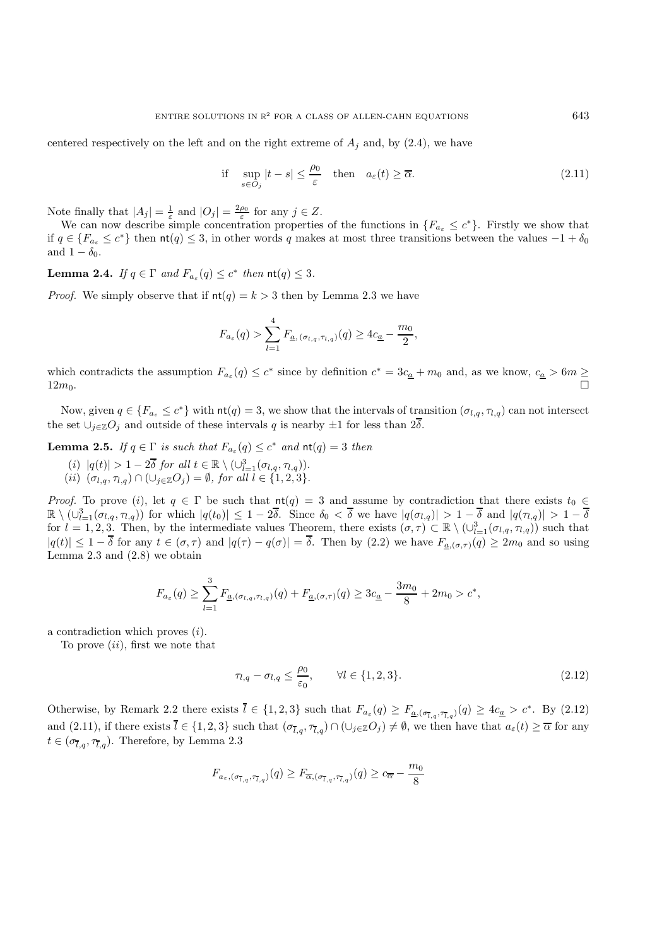centered respectively on the left and on the right extreme of  $A_j$  and, by (2.4), we have

if 
$$
\sup_{s \in O_j} |t - s| \le \frac{\rho_0}{\varepsilon}
$$
 then  $a_{\varepsilon}(t) \ge \overline{\alpha}$ . (2.11)

Note finally that  $|A_j| = \frac{1}{\varepsilon}$  and  $|O_j| = \frac{2\rho_0}{\varepsilon}$  for any  $j \in \mathbb{Z}$ .

We can now describe simple concentration properties of the functions in  ${F_{a_{\varepsilon}} \leq c^*}$ . Firstly we show that if  $q \in \{F_{a_{\varepsilon}} \leq c^*\}$  then  $\mathsf{nt}(q) \leq 3$ , in other words q makes at most three transitions between the values  $-1 + \delta_0$ and  $1 - \delta_0$ .

**Lemma 2.4.** *If*  $q \in \Gamma$  *and*  $F_{a_{\varepsilon}}(q) \leq c^*$  *then*  $\text{nt}(q) \leq 3$ *.* 

*Proof.* We simply observe that if  $nt(q) = k > 3$  then by Lemma 2.3 we have

$$
F_{a_{\varepsilon}}(q) > \sum_{l=1}^{4} F_{\underline{a}, (\sigma_{l,q}, \tau_{l,q})}(q) \geq 4c_{\underline{a}} - \frac{m_0}{2},
$$

which contradicts the assumption  $F_{a_{\varepsilon}}(q) \leq c^*$  since by definition  $c^* = 3c_a + m_0$  and, as we know,  $c_a > 6m \geq$  $12m_0$ .

Now, given  $q \in \{F_{a_{\varepsilon}} \leq c^*\}$  with  $\mathsf{nt}(q) = 3$ , we show that the intervals of transition  $(\sigma_{l,q}, \tau_{l,q})$  can not intersect the set  $\bigcup_{j\in\mathbb{Z}}O_j$  and outside of these intervals q is nearby  $\pm 1$  for less than  $2\overline{\delta}$ .

**Lemma 2.5.** *If*  $q \in \Gamma$  *is such that*  $F_{a_{\varepsilon}}(q) \leq c^*$  *and*  $\operatorname{nt}(q) = 3$  *then* 

(i)  $|q(t)| > 1 - 2\overline{\delta}$  for all  $t \in \mathbb{R} \setminus (\cup_{l=1}^3 (\sigma_{l,q}, \tau_{l,q}))$ . (*ii*)  $(\sigma_{l,q}, \tau_{l,q}) \cap (\cup_{j \in \mathbb{Z}} O_j) = \emptyset$ , for all  $l \in \{1, 2, 3\}.$ 

*Proof.* To prove (i), let  $q \in \Gamma$  be such that  $nt(q) = 3$  and assume by contradiction that there exists  $t_0 \in$  $\mathbb{R} \setminus (\cup_{l=1}^3 (\sigma_{l,q}, \tau_{l,q}))$  for which  $|q(t_0)| \leq 1 - 2\overline{\delta}$ . Since  $\delta_0 < \overline{\delta}$  we have  $|q(\sigma_{l,q})| > 1 - \overline{\delta}$  and  $|q(\tau_{l,q})| > 1 - \overline{\delta}$ for  $l = 1, 2, 3$ . Then, by the intermediate values Theorem, there exists  $(\sigma, \tau) \subset \mathbb{R} \setminus (\cup_{l=1}^3 (\sigma_{l,q}, \tau_{l,q}))$  such that  $|q(t)| \leq 1 - \overline{\delta}$  for any  $t \in (\sigma, \tau)$  and  $|q(\tau) - q(\sigma)| = \overline{\delta}$ . Then by (2.2) we have  $F_{\underline{a},(\sigma,\tau)}(q) \geq 2m_0$  and so using Lemma 2.3 and (2.8) we obtain

$$
F_{a_{\varepsilon}}(q) \ge \sum_{l=1}^{3} F_{\underline{a}, (\sigma_{l,q}, \tau_{l,q})}(q) + F_{\underline{a}, (\sigma, \tau)}(q) \ge 3c_{\underline{a}} - \frac{3m_0}{8} + 2m_0 > c^*,
$$

a contradiction which proves  $(i)$ .

To prove  $(ii)$ , first we note that

$$
\tau_{l,q} - \sigma_{l,q} \le \frac{\rho_0}{\varepsilon_0}, \qquad \forall l \in \{1,2,3\}.
$$
\n
$$
(2.12)
$$

Otherwise, by Remark 2.2 there exists  $\overline{l} \in \{1,2,3\}$  such that  $F_{a_{\varepsilon}}(q) \geq F_{\underline{a},(\sigma_{\overline{l},q},\tau_{\overline{l},q})}(q) \geq 4c_{\underline{a}} > c^*$ . By (2.12) and  $(2.11)$ , if there exists  $l \in \{1,2,3\}$  such that  $(\sigma_{\overline{l},g},\overline{\tau}_{\overline{l},g}) \cap (\cup_{j\in\mathbb{Z}}O_j) \neq \emptyset$ , we then have that  $a_{\varepsilon}(t) \geq \overline{\alpha}$  for any  $t \in (\sigma_{\overline{l},q}, \tau_{\overline{l},q}).$  Therefore, by Lemma 2.3

$$
F_{a_{\varepsilon}, (\sigma_{\overline{t}, q}, \tau_{\overline{t}, q})}(q) \geq F_{\overline{\alpha}, (\sigma_{\overline{t}, q}, \tau_{\overline{t}, q})}(q) \geq c_{\overline{\alpha}} - \frac{m_0}{8}
$$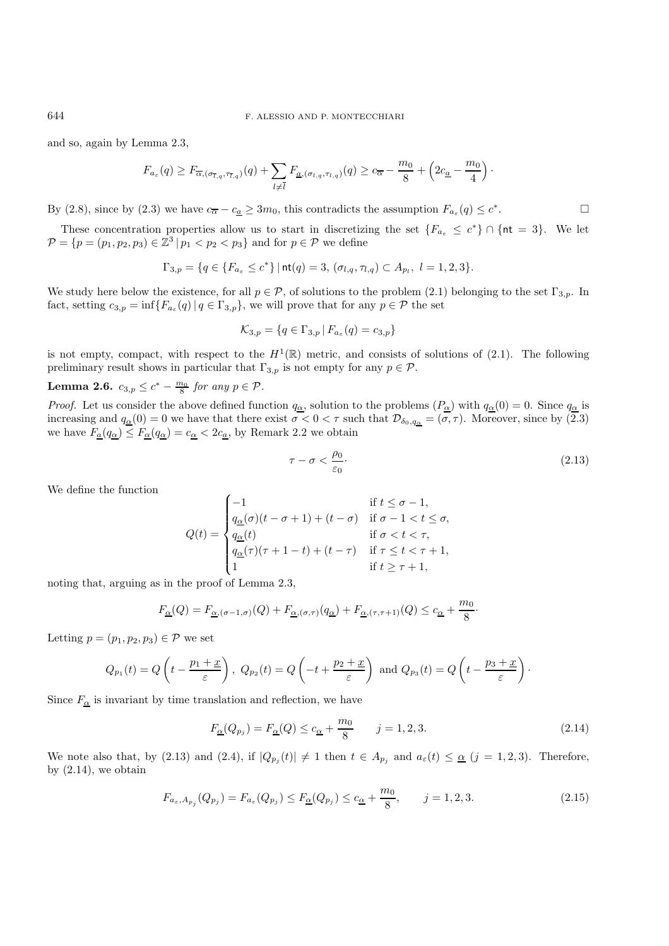#### 644 F. ALESSIO AND P. MONTECCHIARI

and so, again by Lemma 2.3,

$$
F_{a_{\varepsilon}}(q) \geq F_{\overline{\alpha},(\sigma_{\overline{t},q},\tau_{\overline{t},q})}(q) + \sum_{l \neq \overline{l}} F_{\underline{a},(\sigma_{l,q},\tau_{l,q})}(q) \geq c_{\overline{\alpha}} - \frac{m_0}{8} + \left(2c_{\underline{a}} - \frac{m_0}{4}\right).
$$

By (2.8), since by (2.3) we have  $c_{\overline{\alpha}} - c_{\underline{a}} \geq 3m_0$ , this contradicts the assumption  $F_{a_{\varepsilon}}(q) \leq c^*$ .

These concentration properties allow us to start in discretizing the set  ${F_{a<sub>e</sub> \le c^*} \cap {n \in S}}$ . We let  $\mathcal{P} = \{p = (p_1, p_2, p_3) \in \mathbb{Z}^3 \mid p_1 < p_2 < p_3\}$  and for  $p \in \mathcal{P}$  we define

$$
\Gamma_{3,p} = \{q \in \{F_{a_{\varepsilon}} \le c^*\} \mid \text{nt}(q) = 3, (\sigma_{l,q}, \tau_{l,q}) \subset A_{p_l}, \ l = 1,2,3\}.
$$

We study here below the existence, for all  $p \in \mathcal{P}$ , of solutions to the problem (2.1) belonging to the set  $\Gamma_{3,p}$ . In fact, setting  $c_{3,p} = \inf \{ F_{a_{\varepsilon}}(q) | q \in \Gamma_{3,p} \}$ , we will prove that for any  $p \in \mathcal{P}$  the set

$$
\mathcal{K}_{3,p} = \{q \in \Gamma_{3,p} \mid F_{a_{\varepsilon}}(q) = c_{3,p}\}
$$

is not empty, compact, with respect to the  $H^1(\mathbb{R})$  metric, and consists of solutions of (2.1). The following preliminary result shows in particular that  $\Gamma_{3,p}$  is not empty for any  $p \in \mathcal{P}$ .

# **Lemma 2.6.**  $c_{3,p} \leq c^* - \frac{m_0}{8}$  for any  $p \in \mathcal{P}$ .

*Proof.* Let us consider the above defined function  $q_{\alpha}$ , solution to the problems  $(P_{\alpha})$  with  $q_{\alpha}(0) = 0$ . Since  $q_{\alpha}$  is increasing and  $q_{\underline{\alpha}}(0) = 0$  we have that there exist  $\sigma < 0 < \tau$  such that  $\mathcal{D}_{\delta_0,q_{\underline{\alpha}}} = (\sigma,\tau)$ . Moreover, since by  $(2.3)$ we have  $F_{\underline{a}}(q_{\underline{\alpha}}) \leq F_{\underline{\alpha}}(q_{\underline{\alpha}}) = c_{\underline{\alpha}} < 2c_{\underline{a}}$ , by Remark 2.2 we obtain

$$
\tau - \sigma < \frac{\rho_0}{\varepsilon_0}.\tag{2.13}
$$

We define the function

$$
Q(t) = \begin{cases}\n-1 & \text{if } t \leq \sigma - 1, \\
\frac{q_{\alpha}(\sigma)(t - \sigma + 1) + (t - \sigma)}{\sigma} & \text{if } \sigma - 1 < t \leq \sigma, \\
\frac{q_{\alpha}(t)}{q_{\alpha}(\tau)(\tau + 1 - t) + (t - \tau)} & \text{if } \tau \leq t < \tau + 1, \\
1 & \text{if } t \geq \tau + 1,\n\end{cases}
$$

noting that, arguing as in the proof of Lemma 2.3,

$$
F_{\underline{\alpha}}(Q) = F_{\underline{\alpha}, (\sigma - 1, \sigma)}(Q) + F_{\underline{\alpha}, (\sigma, \tau)}(q_{\underline{\alpha}}) + F_{\underline{\alpha}, (\tau, \tau + 1)}(Q) \leq c_{\underline{\alpha}} + \frac{m_0}{8}.
$$

Letting  $p = (p_1, p_2, p_3) \in \mathcal{P}$  we set

$$
Q_{p_1}(t) = Q\left(t - \frac{p_1 + \underline{x}}{\varepsilon}\right), \ Q_{p_2}(t) = Q\left(-t + \frac{p_2 + \underline{x}}{\varepsilon}\right) \text{ and } Q_{p_3}(t) = Q\left(t - \frac{p_3 + \underline{x}}{\varepsilon}\right).
$$

Since  $F_{\underline{\alpha}}$  is invariant by time translation and reflection, we have

$$
F_{\underline{\alpha}}(Q_{p_j}) = F_{\underline{\alpha}}(Q) \le c_{\underline{\alpha}} + \frac{m_0}{8} \qquad j = 1, 2, 3. \tag{2.14}
$$

We note also that, by (2.13) and (2.4), if  $|Q_{p_j}(t)| \neq 1$  then  $t \in A_{p_j}$  and  $a_{\varepsilon}(t) \leq \underline{\alpha}$  (j = 1, 2, 3). Therefore, by  $(2.14)$ , we obtain

$$
F_{a_{\varepsilon}, A_{p_j}}(Q_{p_j}) = F_{a_{\varepsilon}}(Q_{p_j}) \le F_{\underline{\alpha}}(Q_{p_j}) \le c_{\underline{\alpha}} + \frac{m_0}{8}, \qquad j = 1, 2, 3.
$$
 (2.15)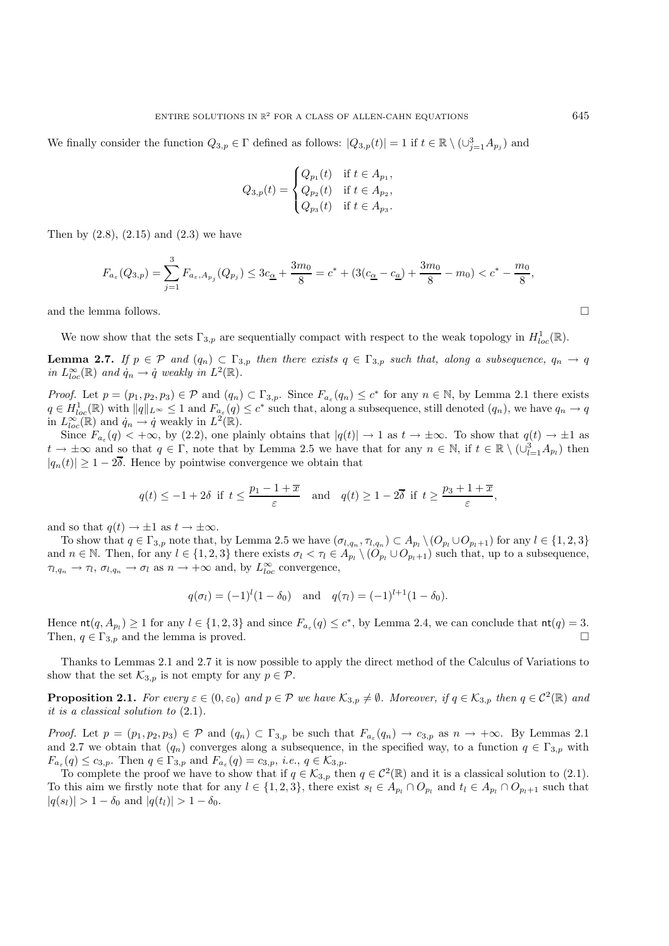We finally consider the function  $Q_{3,p} \in \Gamma$  defined as follows:  $|Q_{3,p}(t)| = 1$  if  $t \in \mathbb{R} \setminus (\cup_{j=1}^3 A_{p_j})$  and

$$
Q_{3,p}(t) = \begin{cases} Q_{p_1}(t) & \text{if } t \in A_{p_1}, \\ Q_{p_2}(t) & \text{if } t \in A_{p_2}, \\ Q_{p_3}(t) & \text{if } t \in A_{p_3}. \end{cases}
$$

Then by  $(2.8)$ ,  $(2.15)$  and  $(2.3)$  we have

$$
F_{a_{\varepsilon}}(Q_{3,p}) = \sum_{j=1}^{3} F_{a_{\varepsilon},A_{p_j}}(Q_{p_j}) \le 3c_{\underline{\alpha}} + \frac{3m_0}{8} = c^* + (3(c_{\underline{\alpha}} - c_{\underline{a}}) + \frac{3m_0}{8} - m_0) < c^* - \frac{m_0}{8},
$$

and the lemma follows.  $\Box$ 

We now show that the sets  $\Gamma_{3,p}$  are sequentially compact with respect to the weak topology in  $H^1_{loc}(\mathbb{R})$ .

**Lemma 2.7.** *If*  $p \in \mathcal{P}$  *and*  $(q_n) \subset \Gamma_{3,p}$  *then there exists*  $q \in \Gamma_{3,p}$  *such that, along a subsequence,*  $q_n \to q$ *in*  $L^{\infty}_{loc}(\mathbb{R})$  *and*  $\dot{q}_n \to \dot{q}$  *weakly in*  $L^2(\mathbb{R})$ *.* 

*Proof.* Let  $p = (p_1, p_2, p_3) \in \mathcal{P}$  and  $(q_n) \subset \Gamma_{3,p}$ . Since  $F_{a_{\varepsilon}}(q_n) \leq c^*$  for any  $n \in \mathbb{N}$ , by Lemma 2.1 there exists  $q \in H_{loc}^1(\mathbb{R})$  with  $||q||_{L^{\infty}} \leq 1$  and  $F_{a_{\varepsilon}}(q) \leq c^*$  such that, along a subsequence, still denoted  $(q_n)$ , we have  $q_n \to q$ in  $L^{\infty}_{loc}(\mathbb{R})$  and  $\dot{q}_n \to \dot{q}$  weakly in  $L^2(\mathbb{R})$ .

Since  $F_{a_{\varepsilon}}(q) < +\infty$ , by (2.2), one plainly obtains that  $|q(t)| \to 1$  as  $t \to \pm\infty$ . To show that  $q(t) \to \pm 1$  as  $t \to \pm \infty$  and so that  $q \in \Gamma$ , note that by Lemma 2.5 we have that for any  $n \in \mathbb{N}$ , if  $t \in \mathbb{R} \setminus (\cup_{l=1}^3 A_{p_l})$  then  $|q_n(t)| \geq 1 - 2\overline{\delta}$ . Hence by pointwise convergence we obtain that

$$
q(t) \le -1 + 2\delta
$$
 if  $t \le \frac{p_1 - 1 + \overline{x}}{\varepsilon}$  and  $q(t) \ge 1 - 2\overline{\delta}$  if  $t \ge \frac{p_3 + 1 + \overline{x}}{\varepsilon}$ ,

and so that  $q(t) \to \pm 1$  as  $t \to \pm \infty$ .

To show that  $q \in \Gamma_{3,p}$  note that, by Lemma 2.5 we have  $(\sigma_{l,q_n}, \tau_{l,q_n}) \subset A_{p_l} \setminus (O_{p_l} \cup O_{p_l+1})$  for any  $l \in \{1,2,3\}$ and  $n \in \mathbb{N}$ . Then, for any  $l \in \{1, 2, 3\}$  there exists  $\sigma_l < \tau_l \in A_{p_l} \setminus (O_{p_l} \cup O_{p_l+1})$  such that, up to a subsequence,  $\tau_{l,q_n} \to \tau_l$ ,  $\sigma_{l,q_n} \to \sigma_l$  as  $n \to +\infty$  and, by  $L_{loc}^{\infty}$  convergence,

$$
q(\sigma_l) = (-1)^l (1 - \delta_0)
$$
 and  $q(\tau_l) = (-1)^{l+1} (1 - \delta_0).$ 

Hence  $\text{nt}(q, A_{p_l}) \ge 1$  for any  $l \in \{1, 2, 3\}$  and since  $F_{a_{\varepsilon}}(q) \le c^*$ , by Lemma 2.4, we can conclude that  $\text{nt}(q) = 3$ . Then,  $q \in \Gamma_{3,p}$  and the lemma is proved.

Thanks to Lemmas 2.1 and 2.7 it is now possible to apply the direct method of the Calculus of Variations to show that the set  $\mathcal{K}_{3,p}$  is not empty for any  $p \in \mathcal{P}$ .

**Proposition 2.1.** For every  $\varepsilon \in (0, \varepsilon_0)$  and  $p \in \mathcal{P}$  we have  $\mathcal{K}_{3,p} \neq \emptyset$ . Moreover, if  $q \in \mathcal{K}_{3,p}$  then  $q \in \mathcal{C}^2(\mathbb{R})$  and *it is a classical solution to* (2.1)*.*

*Proof.* Let  $p = (p_1, p_2, p_3) \in \mathcal{P}$  and  $(q_n) \subset \Gamma_{3,p}$  be such that  $F_{a_{\varepsilon}}(q_n) \to c_{3,p}$  as  $n \to +\infty$ . By Lemmas 2.1 and 2.7 we obtain that  $(q_n)$  converges along a subsequence, in the specified way, to a function  $q \in \Gamma_{3,p}$  with  $F_{a_{\varepsilon}}(q) \leq c_{3,p}$ . Then  $q \in \Gamma_{3,p}$  and  $F_{a_{\varepsilon}}(q) = c_{3,p}$ , *i.e.*,  $q \in \mathcal{K}_{3,p}$ .

To complete the proof we have to show that if  $q \in \mathcal{K}_{3,p}$  then  $q \in \mathcal{C}^2(\mathbb{R})$  and it is a classical solution to (2.1). To this aim we firstly note that for any  $l \in \{1, 2, 3\}$ , there exist  $s_l \in A_{p_l} \cap O_{p_l}$  and  $t_l \in A_{p_l} \cap O_{p_l+1}$  such that  $|q(s_l)| > 1 - \delta_0$  and  $|q(t_l)| > 1 - \delta_0$ .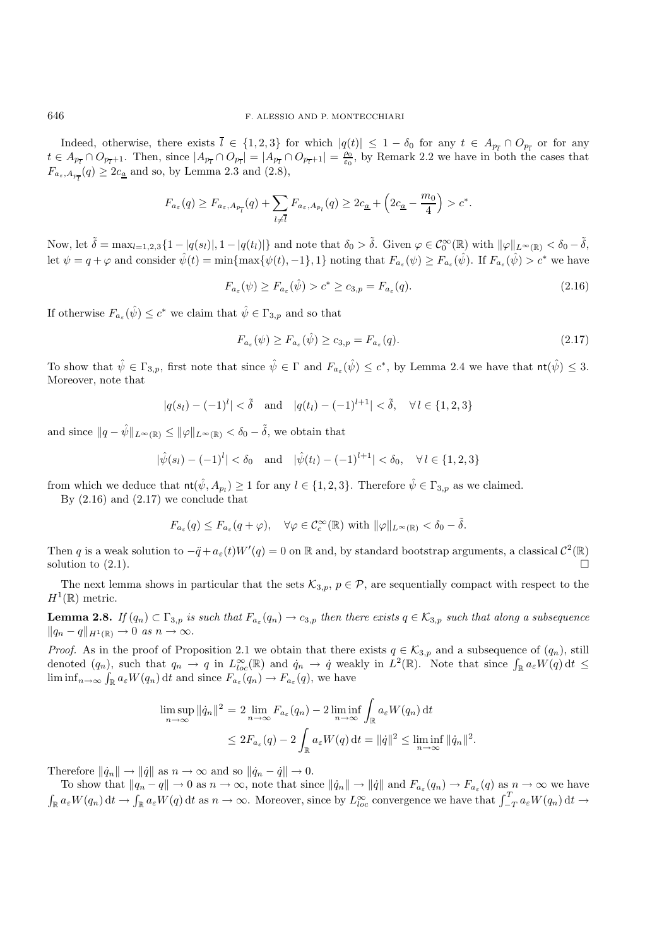Indeed, otherwise, there exists  $l \in \{1,2,3\}$  for which  $|q(t)| \leq 1 - \delta_0$  for any  $t \in A_{p_{\overline{l}}} \cap O_{p_{\overline{l}}}$  or for any  $t \in A_{p_{\overline{l}}} \cap O_{p_{\overline{l}}+1}$ . Then, since  $|A_{p_{\overline{l}}} \cap O_{p_{\overline{l}}}| = |A_{p_{\overline{l}}} \cap O_{p_{\overline{l}}+1}| = \frac{p_0}{\varepsilon_0}$ , by Remark 2.2 we have in both the cases that  $F_{a_{\varepsilon},A_{p_{\overline{l}}}}(q) \geq 2c_{\underline{a}}$  and so, by Lemma 2.3 and (2.8),

$$
F_{a_{\varepsilon}}(q) \ge F_{a_{\varepsilon},A_{p_{\overline{l}}}}(q) + \sum_{l \ne \overline{l}} F_{a_{\varepsilon},A_{p_l}}(q) \ge 2c_{\underline{a}} + \left(2c_{\underline{a}} - \frac{m_0}{4}\right) > c^*.
$$

Now, let  $\tilde{\delta} = \max_{l=1,2,3} \{1 - |q(s_l)|, 1 - |q(t_l)|\}$  and note that  $\delta_0 > \tilde{\delta}$ . Given  $\varphi \in \mathcal{C}_0^{\infty}(\mathbb{R})$  with  $\|\varphi\|_{L^{\infty}(\mathbb{R})} < \delta_0 - \tilde{\delta}$ , let  $\psi = q + \varphi$  and consider  $\hat{\psi}(t) = \min\{\max\{\psi(t), -1\}, 1\}$  noting that  $F_{a_{\varepsilon}}(\psi) \geq F_{a_{\varepsilon}}(\hat{\psi})$ . If  $F_{a_{\varepsilon}}(\hat{\psi}) > c^*$  we have

$$
F_{a_{\varepsilon}}(\psi) \ge F_{a_{\varepsilon}}(\hat{\psi}) > c^* \ge c_{3,p} = F_{a_{\varepsilon}}(q). \tag{2.16}
$$

If otherwise  $F_{a_{\varepsilon}}(\hat{\psi}) \leq c^*$  we claim that  $\hat{\psi} \in \Gamma_{3,p}$  and so that

$$
F_{a_{\varepsilon}}(\psi) \ge F_{a_{\varepsilon}}(\hat{\psi}) \ge c_{3,p} = F_{a_{\varepsilon}}(q). \tag{2.17}
$$

To show that  $\hat{\psi} \in \Gamma_{3,p}$ , first note that since  $\hat{\psi} \in \Gamma$  and  $F_{a_{\varepsilon}}(\hat{\psi}) \leq c^*$ , by Lemma 2.4 we have that  $\text{nt}(\hat{\psi}) \leq 3$ . Moreover, note that

 $|q(s_l) - (-1)^l| < \tilde{\delta}$  and  $|q(t_l) - (-1)^{l+1}| < \tilde{\delta}$ ,  $\forall l \in \{1, 2, 3\}$ 

and since  $||q - \hat{\psi}||_{L^{\infty}(\mathbb{R})} \le ||\varphi||_{L^{\infty}(\mathbb{R})} < \delta_0 - \tilde{\delta}$ , we obtain that

$$
|\hat{\psi}(s_l)-(-1)^l| < \delta_0
$$
 and  $|\hat{\psi}(t_l)-(-1)^{l+1}| < \delta_0$ ,  $\forall l \in \{1,2,3\}$ 

from which we deduce that  $\text{nt}(\hat{\psi}, A_{p_l}) \geq 1$  for any  $l \in \{1, 2, 3\}$ . Therefore  $\hat{\psi} \in \Gamma_{3,p}$  as we claimed.

By  $(2.16)$  and  $(2.17)$  we conclude that

$$
F_{a_{\varepsilon}}(q) \le F_{a_{\varepsilon}}(q+\varphi), \quad \forall \varphi \in \mathcal{C}_c^{\infty}(\mathbb{R}) \text{ with } ||\varphi||_{L^{\infty}(\mathbb{R})} < \delta_0 - \tilde{\delta}.
$$

Then q is a weak solution to  $-\ddot{q}+a_{\varepsilon}(t)W'(q)=0$  on R and, by standard bootstrap arguments, a classical  $\mathcal{C}^2(\mathbb{R})$ solution to  $(2.1)$ .

The next lemma shows in particular that the sets  $\mathcal{K}_{3,p}$ ,  $p \in \mathcal{P}$ , are sequentially compact with respect to the  $H^1(\mathbb{R})$  metric.

**Lemma 2.8.** *If*  $(q_n) \subset \Gamma_{3,p}$  *is such that*  $F_{a_{\varepsilon}}(q_n) \to c_{3,p}$  *then there exists*  $q \in \mathcal{K}_{3,p}$  *such that along a subsequence*  $||q_n - q||_{H^1(\mathbb{R})} \to 0 \text{ as } n \to \infty.$ 

*Proof.* As in the proof of Proposition 2.1 we obtain that there exists  $q \in \mathcal{K}_{3,p}$  and a subsequence of  $(q_n)$ , still denoted  $(q_n)$ , such that  $q_n \to q$  in  $L^{\infty}_{loc}(\mathbb{R})$  and  $\dot{q}_n \to \dot{q}$  weakly in  $L^2(\mathbb{R})$ . Note that since  $\int_{\mathbb{R}} a_{\varepsilon} W(q) dt \leq$  $\liminf_{n\to\infty} \int_{\mathbb{R}} a_{\varepsilon} W(q_n) dt$  and since  $F_{a_{\varepsilon}}(q_n) \to F_{a_{\varepsilon}}(q)$ , we have

$$
\limsup_{n \to \infty} ||\dot{q}_n||^2 = 2 \lim_{n \to \infty} F_{a_\varepsilon}(q_n) - 2 \liminf_{n \to \infty} \int_{\mathbb{R}} a_\varepsilon W(q_n) dt
$$
  

$$
\leq 2F_{a_\varepsilon}(q) - 2 \int_{\mathbb{R}} a_\varepsilon W(q) dt = ||\dot{q}||^2 \leq \liminf_{n \to \infty} ||\dot{q}_n||^2.
$$

Therefore  $\|\dot{q}_n\| \to \|\dot{q}\|$  as  $n \to \infty$  and so  $\|\dot{q}_n - \dot{q}\| \to 0$ .

To show that  $||q_n - q|| \to 0$  as  $n \to \infty$ , note that since  $||\dot{q}_n|| \to ||\dot{q}||$  and  $F_{a_\varepsilon}(q_n) \to F_{a_\varepsilon}(q)$  as  $n \to \infty$  we have  $\int_{\mathbb{R}} a_{\varepsilon} W(q_n) dt \to \int_{\mathbb{R}} a_{\varepsilon} W(q) dt$  as  $n \to \infty$ . Moreover, since by  $L_{loc}^{\infty}$  convergence we have that  $\int_{-T}^{T} a_{\varepsilon} W(q_n) dt \to$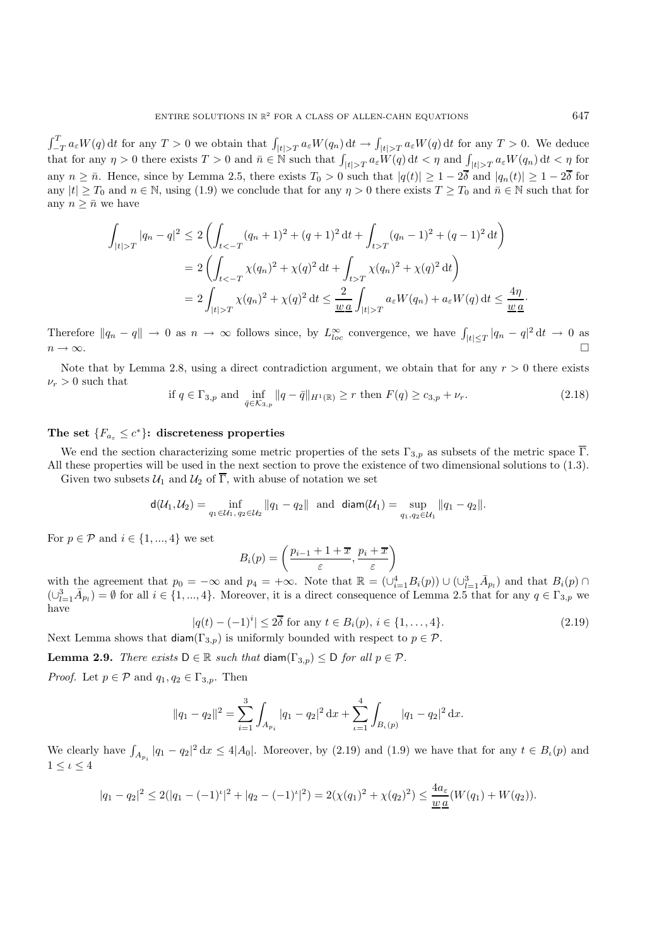$\int_{-T}^{T} a_{\varepsilon} W(q) dt$  for any  $T > 0$  we obtain that  $\int_{|t| > T} a_{\varepsilon} W(q_0) dt \to \int_{|t| > T} a_{\varepsilon} W(q) dt$  for any  $T > 0$ . We deduce that for any  $\eta > 0$  there exists  $T > 0$  and  $\bar{n} \in \mathbb{N}$  such that  $\int_{|t| > T} a_{\varepsilon} W(q) dt < \eta$  and  $\int_{|t| > T} a_{\varepsilon} W(q_n) dt < \eta$  for any  $n \geq \bar{n}$ . Hence, since by Lemma 2.5, there exists  $T_0 > 0$  such that  $|q(t)| \geq 1 - 2\bar{\delta}$  and  $|q_n(t)| \geq 1 - 2\bar{\delta}$  for any  $|t| \geq T_0$  and  $n \in \mathbb{N}$ , using (1.9) we conclude that for any  $\eta > 0$  there exists  $T \geq T_0$  and  $\overline{n} \in \mathbb{N}$  such that for any  $n \geq \bar{n}$  we have

$$
\int_{|t|>T} |q_n - q|^2 \le 2 \left( \int_{t<-T} (q_n + 1)^2 + (q+1)^2 dt + \int_{t>T} (q_n - 1)^2 + (q-1)^2 dt \right)
$$
  
=  $2 \left( \int_{t<-T} \chi(q_n)^2 + \chi(q)^2 dt + \int_{t>T} \chi(q_n)^2 + \chi(q)^2 dt \right)$   
=  $2 \int_{|t|>T} \chi(q_n)^2 + \chi(q)^2 dt \le \frac{2}{\underline{w} \underline{a}} \int_{|t|>T} a_{\varepsilon} W(q_n) + a_{\varepsilon} W(q) dt \le \frac{4\eta}{\underline{w} \underline{a}}.$ 

Therefore  $||q_n - q|| \to 0$  as  $n \to \infty$  follows since, by  $L_{loc}^{\infty}$  convergence, we have  $\int_{|t| \leq T} |q_n - q|^2 dt \to 0$  as  $n \to \infty$ .

Note that by Lemma 2.8, using a direct contradiction argument, we obtain that for any  $r > 0$  there exists  $\nu_r > 0$  such that

if 
$$
q \in \Gamma_{3,p}
$$
 and  $\inf_{\bar{q} \in K_{3,p}} ||q - \bar{q}||_{H^1(\mathbb{R})} \ge r$  then  $F(q) \ge c_{3,p} + \nu_r$ . (2.18)

#### The set  ${F_{a_{\varepsilon}} \leq c^*}$ : discreteness properties

We end the section characterizing some metric properties of the sets  $\Gamma_{3,p}$  as subsets of the metric space  $\overline{\Gamma}$ . All these properties will be used in the next section to prove the existence of two dimensional solutions to (1.3).

Given two subsets  $U_1$  and  $U_2$  of  $\overline{\Gamma}$ , with abuse of notation we set

$$
d(\mathcal{U}_1, \mathcal{U}_2) = \inf_{q_1 \in \mathcal{U}_1, q_2 \in \mathcal{U}_2} ||q_1 - q_2|| \text{ and } \text{diam}(\mathcal{U}_1) = \sup_{q_1, q_2 \in \mathcal{U}_1} ||q_1 - q_2||.
$$

For  $p \in \mathcal{P}$  and  $i \in \{1, ..., 4\}$  we set

$$
B_i(p) = \left(\frac{p_{i-1} + 1 + \overline{x}}{\varepsilon}, \frac{p_i + \overline{x}}{\varepsilon}\right)
$$

with the agreement that  $p_0 = -\infty$  and  $p_4 = +\infty$ . Note that  $\mathbb{R} = (\cup_{i=1}^4 B_i(p)) \cup (\cup_{l=1}^3 \bar{A}_{p_l})$  and that  $B_i(p) \cap$  $(\cup_{l=1}^{3} \bar{A}_{p_l}) = \emptyset$  for all  $i \in \{1, ..., 4\}$ . Moreover, it is a direct consequence of Lemma 2.5 that for any  $q \in \Gamma_{3,p}$  we have

$$
|q(t) - (-1)^{i}| \le 2\overline{\delta} \text{ for any } t \in B_{i}(p), i \in \{1, ..., 4\}. \tag{2.19}
$$

Next Lemma shows that  $\text{diam}(\Gamma_{3,p})$  is uniformly bounded with respect to  $p \in \mathcal{P}$ .

**Lemma 2.9.** *There exists*  $D \in \mathbb{R}$  *such that* diam( $\Gamma_{3,p}$ )  $\leq D$  *for all*  $p \in \mathcal{P}$ *.* 

*Proof.* Let  $p \in \mathcal{P}$  and  $q_1, q_2 \in \Gamma_{3,p}$ . Then

$$
||q_1 - q_2||^2 = \sum_{i=1}^3 \int_{A_{p_i}} |q_1 - q_2|^2 \, dx + \sum_{i=1}^4 \int_{B_i(p)} |q_1 - q_2|^2 \, dx.
$$

We clearly have  $\int_{A_{p_i}} |q_1 - q_2|^2 dx \leq 4|A_0|$ . Moreover, by (2.19) and (1.9) we have that for any  $t \in B_{\iota}(p)$  and  $1 \leq \iota \leq 4$ 

$$
|q_1 - q_2|^2 \le 2(|q_1 - (-1)^2|^2 + |q_2 - (-1)^2|^2) = 2(\chi(q_1)^2 + \chi(q_2)^2) \le \frac{4a_{\varepsilon}}{\underline{w}\,\underline{a}}(W(q_1) + W(q_2)).
$$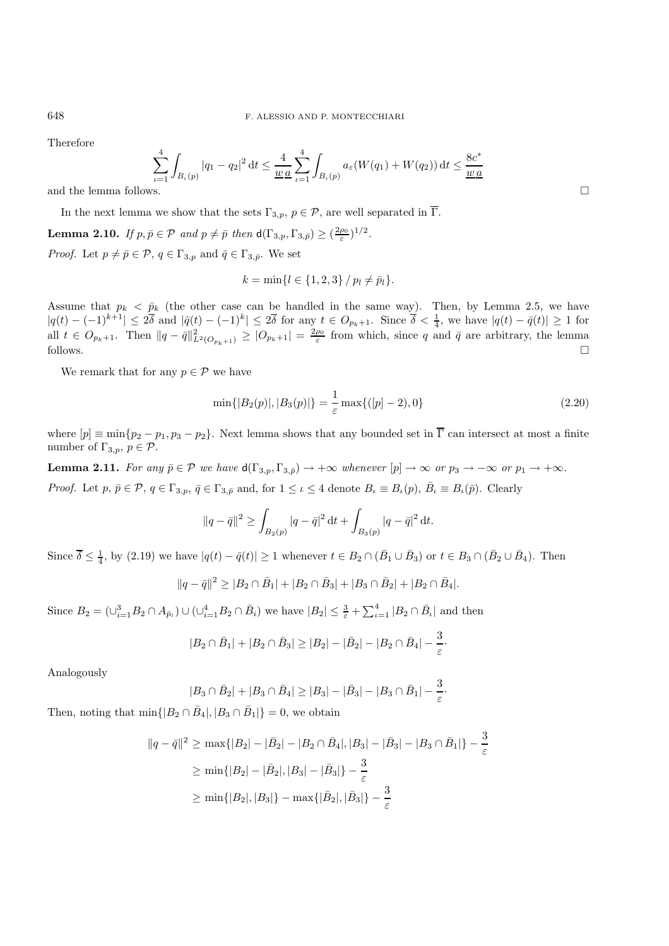Therefore

$$
\sum_{\iota=1}^4 \int_{B_{\iota}(p)} |q_1 - q_2|^2 \, \mathrm{d}t \le \frac{4}{\underline{w} \underline{a}} \sum_{\iota=1}^4 \int_{B_{\iota}(p)} a_{\varepsilon}(W(q_1) + W(q_2)) \, \mathrm{d}t \le \frac{8c^*}{\underline{w} \underline{a}} \quad \Box
$$

In the next lemma we show that the sets  $\Gamma_{3,p}$ ,  $p \in \mathcal{P}$ , are well separated in  $\overline{\Gamma}$ .

**Lemma 2.10.** *If*  $p, \bar{p} \in \mathcal{P}$  *and*  $p \neq \bar{p}$  *then*  $d(\Gamma_{3,p}, \Gamma_{3,\bar{p}}) \geq (\frac{2\rho_0}{\varepsilon})^{1/2}$ *. Proof.* Let  $p \neq \bar{p} \in \mathcal{P}$ ,  $q \in \Gamma_{3,p}$  and  $\bar{q} \in \Gamma_{3,\bar{p}}$ . We set

$$
k = \min\{l \in \{1, 2, 3\} / p_l \neq \bar{p}_l\}.
$$

Assume that  $p_k < \bar{p}_k$  (the other case can be handled in the same way). Then, by Lemma 2.5, we have  $|q(t) - (-1)^{k+1}| \leq 2\overline{\delta}$  and  $|\overline{q}(t) - (-1)^k| \leq 2\overline{\delta}$  for any  $t \in O_{p_k+1}$ . Since  $\overline{\delta} < \frac{1}{4}$ , we have  $|q(t) - \overline{q}(t)| \geq 1$  for all  $t \in O_{p_k+1}$ . Then  $||q - \bar{q}||_{L^2(O_{p_k+1})}^2 \geq |O_{p_k+1}| = \frac{2\rho_0}{\varepsilon}$  from which, since q and  $\bar{q}$  are arbitrary, the lemma follows.  $\Box$ 

We remark that for any  $p \in \mathcal{P}$  we have

$$
\min\{|B_2(p)|, |B_3(p)|\} = \frac{1}{\varepsilon} \max\{([p]-2), 0\} \tag{2.20}
$$

·

where  $[p] \equiv \min\{p_2 - p_1, p_3 - p_2\}$ . Next lemma shows that any bounded set in  $\overline{\Gamma}$  can intersect at most a finite number of  $\Gamma_{3,p}, p \in \mathcal{P}$ .

**Lemma 2.11.** *For any*  $\bar{p} \in \mathcal{P}$  *we have*  $d(\Gamma_{3,p}, \Gamma_{3,\bar{p}}) \to +\infty$  *whenever*  $[p] \to \infty$  *or*  $p_3 \to -\infty$  *or*  $p_1 \to +\infty$ *. Proof.* Let  $p, \bar{p} \in \mathcal{P}, q \in \Gamma_{3,p}, \bar{q} \in \Gamma_{3,\bar{p}}$  and, for  $1 \leq \iota \leq 4$  denote  $B_{\iota} \equiv B_{\iota}(p), \bar{B}_{\iota} \equiv B_{\iota}(\bar{p})$ . Clearly

$$
||q - \bar{q}||^2 \ge \int_{B_2(p)} |q - \bar{q}|^2 dt + \int_{B_3(p)} |q - \bar{q}|^2 dt.
$$

Since  $\overline{\delta} \leq \frac{1}{4}$ , by (2.19) we have  $|q(t) - \overline{q}(t)| \geq 1$  whenever  $t \in B_2 \cap (\overline{B}_1 \cup \overline{B}_3)$  or  $t \in B_3 \cap (\overline{B}_2 \cup \overline{B}_4)$ . Then

$$
||q - \bar{q}||^2 \ge |B_2 \cap \bar{B}_1| + |B_2 \cap \bar{B}_3| + |B_3 \cap \bar{B}_2| + |B_2 \cap \bar{B}_4|.
$$

Since  $B_2 = (\bigcup_{i=1}^3 B_2 \cap A_{\bar{p}_i}) \cup (\bigcup_{i=1}^4 B_2 \cap \bar{B}_i)$  we have  $|B_2| \leq \frac{3}{\varepsilon} + \sum_{i=1}^4 |B_2 \cap \bar{B}_i|$  and then

$$
|B_2 \cap \bar{B}_1| + |B_2 \cap \bar{B}_3| \ge |B_2| - |\bar{B}_2| - |B_2 \cap \bar{B}_4| - \frac{3}{\varepsilon}
$$

Analogously

$$
|B_3 \cap \bar{B}_2| + |B_3 \cap \bar{B}_4| \ge |B_3| - |\bar{B}_3| - |B_3 \cap \bar{B}_1| - \frac{3}{\varepsilon}.
$$

Then, noting that  $\min\{|B_2 \cap \bar{B}_4|, |B_3 \cap \bar{B}_1|\} = 0$ , we obtain

$$
||q - \bar{q}||^2 \ge \max\{|B_2| - |\bar{B}_2| - |B_2 \cap \bar{B}_4|, |B_3| - |\bar{B}_3| - |B_3 \cap \bar{B}_1|\} - \frac{3}{\varepsilon}
$$
  
 
$$
\ge \min\{|B_2| - |\bar{B}_2|, |B_3| - |\bar{B}_3|\} - \frac{3}{\varepsilon}
$$
  
 
$$
\ge \min\{|B_2|, |B_3|\} - \max\{|\bar{B}_2|, |\bar{B}_3|\} - \frac{3}{\varepsilon}
$$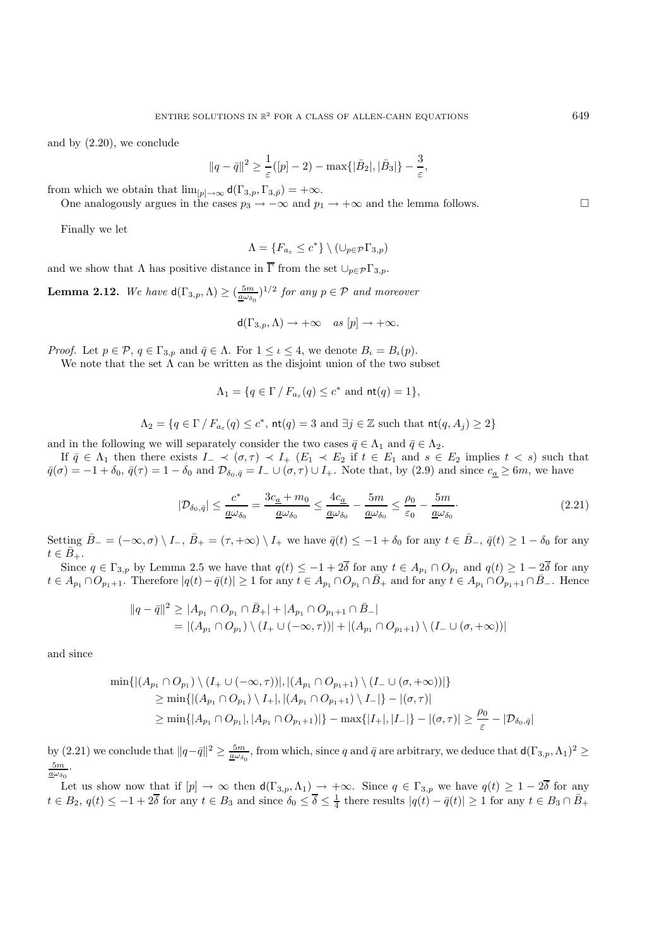and by (2.20), we conclude

$$
||q - \bar{q}||^2 \ge \frac{1}{\varepsilon} (p - 2) - \max\{|\bar{B}_2|, |\bar{B}_3|\} - \frac{3}{\varepsilon},
$$

from which we obtain that  $\lim_{p\to\infty} d(\Gamma_{3,p}, \Gamma_{3,p})=+\infty$ .

One analogously argues in the cases  $p_3 \to -\infty$  and  $p_1 \to +\infty$  and the lemma follows.

Finally we let

$$
\Lambda = \{F_{a_{\varepsilon}} \le c^*\} \setminus (\cup_{p \in \mathcal{P}} \Gamma_{3,p})
$$

and we show that  $\Lambda$  has positive distance in  $\overline{\Gamma}$  from the set  $\cup_{p\in \mathcal{P}} \Gamma_{3,p}$ .

**Lemma 2.12.** We have  $d(\Gamma_{3,p}, \Lambda) \geq (\frac{5m}{4\omega_{\delta_0}})^{1/2}$  for any  $p \in \mathcal{P}$  and moreover

$$
d(\Gamma_{3,p}, \Lambda) \to +\infty \quad \text{as } [p] \to +\infty.
$$

*Proof.* Let  $p \in \mathcal{P}$ ,  $q \in \Gamma_{3,p}$  and  $\bar{q} \in \Lambda$ . For  $1 \leq \iota \leq 4$ , we denote  $B_{\iota} = B_{\iota}(p)$ .

We note that the set  $\tilde{\Lambda}$  can be written as the disjoint union of the two subset

$$
\Lambda_1 = \{ q \in \Gamma \mid F_{a_{\varepsilon}}(q) \le c^* \text{ and } \mathsf{nt}(q) = 1 \},
$$

$$
\Lambda_2 = \{ q \in \Gamma / F_{a_{\varepsilon}}(q) \leq c^*, \, \text{nt}(q) = 3 \text{ and } \exists j \in \mathbb{Z} \text{ such that } \text{nt}(q, A_j) \geq 2 \}
$$

and in the following we will separately consider the two cases  $\bar{q} \in \Lambda_1$  and  $\bar{q} \in \Lambda_2$ .

If  $\bar{q} \in \Lambda_1$  then there exists  $I_-\prec (\sigma,\tau) \prec I_+$   $(E_1 \prec E_2 \text{ if } t \in E_1 \text{ and } s \in E_2 \text{ implies } t < s)$  such that  $\bar{q}(\sigma) = -1 + \delta_0$ ,  $\bar{q}(\tau) = 1 - \delta_0$  and  $\mathcal{D}_{\delta_0, \bar{q}} = I_- \cup (\sigma, \tau) \cup I_+$ . Note that, by (2.9) and since  $c_{\underline{a}} \geq 6m$ , we have

$$
|\mathcal{D}_{\delta_0,\bar{q}}| \le \frac{c^*}{\underline{a}\omega_{\delta_0}} = \frac{3c_{\underline{a}} + m_0}{\underline{a}\omega_{\delta_0}} \le \frac{4c_{\underline{a}}}{\underline{a}\omega_{\delta_0}} - \frac{5m}{\underline{a}\omega_{\delta_0}} \le \frac{\rho_0}{\varepsilon_0} - \frac{5m}{\underline{a}\omega_{\delta_0}}.
$$
\n(2.21)

Setting  $\overline{B}_- = (-\infty, \sigma) \setminus I_-, \overline{B}_+ = (\tau, +\infty) \setminus I_+$  we have  $\overline{q}(t) \leq -1 + \delta_0$  for any  $t \in \overline{B}_-, \overline{q}(t) \geq 1 - \delta_0$  for any  $t \in \bar{B}_{+}.$ 

Since  $q \in \Gamma_{3,p}$  by Lemma 2.5 we have that  $q(t) \leq -1+2\overline{\delta}$  for any  $t \in A_{p_1} \cap O_{p_1}$  and  $q(t) \geq 1-2\overline{\delta}$  for any  $t \in A_{p_1} \cap O_{p_1+1}$ . Therefore  $|q(t)-\bar{q}(t)| \geq 1$  for any  $t \in A_{p_1} \cap O_{p_1} \cap \bar{B}_+$  and for any  $t \in A_{p_1} \cap O_{p_1+1} \cap \bar{B}_-$ . Hence

$$
||q - \bar{q}||^2 \ge |A_{p_1} \cap O_{p_1} \cap \bar{B}_+| + |A_{p_1} \cap O_{p_1+1} \cap \bar{B}_-|
$$
  
=  $|(A_{p_1} \cap O_{p_1}) \setminus (I_+ \cup (-\infty, \tau))| + |(A_{p_1} \cap O_{p_1+1}) \setminus (I_- \cup (\sigma, +\infty))|$ 

and since

$$
\min\{|(A_{p_1}\cap O_{p_1})\setminus (I_+\cup(-\infty,\tau))|,|(A_{p_1}\cap O_{p_1+1})\setminus (I_-\cup(\sigma,+\infty))|\}
$$
  
\n
$$
\geq \min\{|(A_{p_1}\cap O_{p_1})\setminus I_+|,|(A_{p_1}\cap O_{p_1+1})\setminus I_-|\} - |(\sigma,\tau)|
$$
  
\n
$$
\geq \min\{|A_{p_1}\cap O_{p_1}|,|A_{p_1}\cap O_{p_1+1}|\} - \max\{|I_+|,|I_-|\} - |(\sigma,\tau)| \geq \frac{\rho_0}{\varepsilon} - |\mathcal{D}_{\delta_0,\bar{q}}|
$$

by (2.21) we conclude that  $||q-\bar{q}||^2 \ge \frac{5m}{\underline{a}\omega_{\delta_0}}$ , from which, since q and  $\bar{q}$  are arbitrary, we deduce that  $d(\Gamma_{3,p}, \Lambda_1)^2 \ge$  $rac{5m}{a\omega_{\delta_0}}$ ·

Let us show now that if  $[p] \to \infty$  then  $d(\Gamma_{3,p}, \Lambda_1) \to +\infty$ . Since  $q \in \Gamma_{3,p}$  we have  $q(t) \geq 1 - 2\overline{\delta}$  for any  $t \in B_2$ ,  $q(t) \le -1+2\overline{\delta}$  for any  $t \in B_3$  and since  $\delta_0 \le \overline{\delta} \le \frac{1}{4}$  there results  $|q(t) - \overline{q}(t)| \ge 1$  for any  $t \in B_3 \cap \overline{B_+}$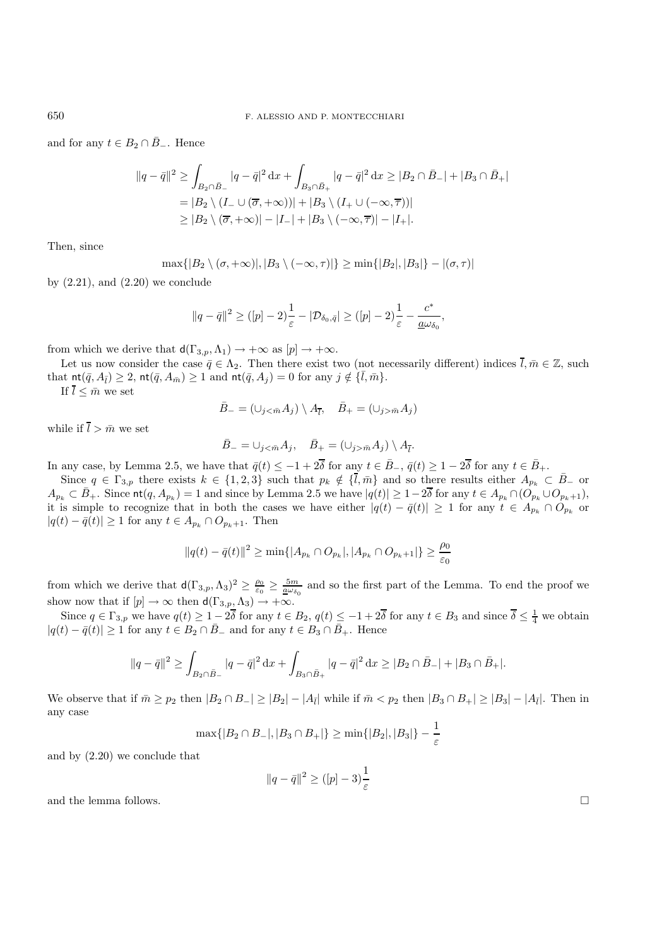and for any  $t \in B_2 \cap \overline{B}_-$ . Hence

$$
||q - \bar{q}||^2 \ge \int_{B_2 \cap \bar{B}_-} |q - \bar{q}|^2 dx + \int_{B_3 \cap \bar{B}_+} |q - \bar{q}|^2 dx \ge |B_2 \cap \bar{B}_-| + |B_3 \cap \bar{B}_+|
$$
  
=  $|B_2 \setminus (I_- \cup (\overline{\sigma}, +\infty))| + |B_3 \setminus (I_+ \cup (-\infty, \overline{\tau}))|$   
 $\ge |B_2 \setminus (\overline{\sigma}, +\infty)| - |I_-| + |B_3 \setminus (-\infty, \overline{\tau})| - |I_+|.$ 

Then, since

$$
\max\{|B_2 \setminus (\sigma, +\infty)|, |B_3 \setminus (-\infty, \tau)|\} \ge \min\{|B_2|, |B_3|\} - |(\sigma, \tau)|
$$

by  $(2.21)$ , and  $(2.20)$  we conclude

$$
||q-\bar{q}||^2 \geq ( [p]-2)\frac{1}{\varepsilon} - |\mathcal{D}_{\delta_0,\bar{q}}| \geq ( [p]-2)\frac{1}{\varepsilon} - \frac{c^*}{\underline{a}\omega_{\delta_0}},
$$

from which we derive that  $d(\Gamma_{3,p}, \Lambda_1) \to +\infty$  as  $[p] \to +\infty$ .

Let us now consider the case  $\bar{q} \in \Lambda_2$ . Then there exist two (not necessarily different) indices  $\bar{l}, \bar{m} \in \mathbb{Z}$ , such that  $\text{nt}(\bar{q}, A_{\bar{1}}) \geq 2$ ,  $\text{nt}(\bar{q}, A_{\bar{m}}) \geq 1$  and  $\text{nt}(\bar{q}, A_{\bar{1}}) = 0$  for any  $j \notin {\{\bar{l}, \bar{m}\}}$ .

If  $\overline{l} \leq \overline{m}$  we set

$$
\bar{B}_{-} = (\cup_{j < \bar{m}} A_j) \setminus A_{\bar{l}}, \quad \bar{B}_{+} = (\cup_{j > \bar{m}} A_j)
$$

while if  $\overline{l} > \overline{m}$  we set

$$
\bar{B}_{-}=\cup_{j<\bar{m}}A_j, \quad \bar{B}_{+}=(\cup_{j>\bar{m}}A_j)\setminus A_{\bar{l}}.
$$

In any case, by Lemma 2.5, we have that  $\bar{q}(t) \leq -1+2\bar{\delta}$  for any  $t \in \bar{B}_-$ ,  $\bar{q}(t) \geq 1-2\bar{\delta}$  for any  $t \in \bar{B}_+$ .

Since  $q \in \Gamma_{3,p}$  there exists  $k \in \{1,2,3\}$  such that  $p_k \notin \{\bar{l},\bar{m}\}\$  and so there results either  $A_{p_k} \subset \bar{B}_{-}$  or  $A_{p_k} \subset \overline{B}_+$ . Since  $\text{nt}(q, A_{p_k}) = 1$  and since by Lemma 2.5 we have  $|q(t)| \geq 1-2\overline{\delta}$  for any  $t \in A_{p_k} \cap (O_{p_k} \cup O_{p_k+1}),$ it is simple to recognize that in both the cases we have either  $|q(t) - \bar{q}(t)| \geq 1$  for any  $t \in A_{p_k} \cap O_{p_k}$  or  $|q(t) - \bar{q}(t)|$  ≥ 1 for any  $t \in A_{p_k} \cap O_{p_k+1}$ . Then

$$
||q(t) - \bar{q}(t)||^2 \ge \min\{|A_{p_k} \cap O_{p_k}|, |A_{p_k} \cap O_{p_k+1}|\} \ge \frac{\rho_0}{\varepsilon_0}
$$

from which we derive that  $d(\Gamma_{3,p}, \Lambda_3)^2 \geq \frac{\rho_0}{\varepsilon_0} \geq \frac{5m}{\underline{\omega} \omega_{\delta_0}}$  and so the first part of the Lemma. To end the proof we show now that if  $[p] \to \infty$  then  $d(\Gamma_{3,p}, \Lambda_3) \to +\infty$ .

Since  $q \in \Gamma_{3,p}$  we have  $q(t) \geq 1-2\overline{\delta}$  for any  $t \in B_2$ ,  $q(t) \leq -1+2\overline{\delta}$  for any  $t \in B_3$  and since  $\overline{\delta} \leq \frac{1}{4}$  we obtain  $|q(t) - \bar{q}(t)| \geq 1$  for any  $t \in B_2 \cap \bar{B}_-$  and for any  $t \in B_3 \cap \bar{B}_+$ . Hence

$$
||q - \bar{q}||^2 \ge \int_{B_2 \cap \bar{B}_-} |q - \bar{q}|^2 \, \mathrm{d}x + \int_{B_3 \cap \bar{B}_+} |q - \bar{q}|^2 \, \mathrm{d}x \ge |B_2 \cap \bar{B}_-| + |B_3 \cap \bar{B}_+|.
$$

We observe that if  $\bar{m} \ge p_2$  then  $|B_2 \cap B_-| \ge |B_2| - |A_{\bar{l}}|$  while if  $\bar{m} < p_2$  then  $|B_3 \cap B_+| \ge |B_3| - |A_{\bar{l}}|$ . Then in any case

$$
\max\{|B_2 \cap B_-|, |B_3 \cap B_+|\} \ge \min\{|B_2|, |B_3|\} - \frac{1}{\varepsilon}
$$

and by (2.20) we conclude that

$$
||q - \bar{q}||^2 \ge (|p| - 3)\frac{1}{\varepsilon}
$$

and the lemma follows.  $\Box$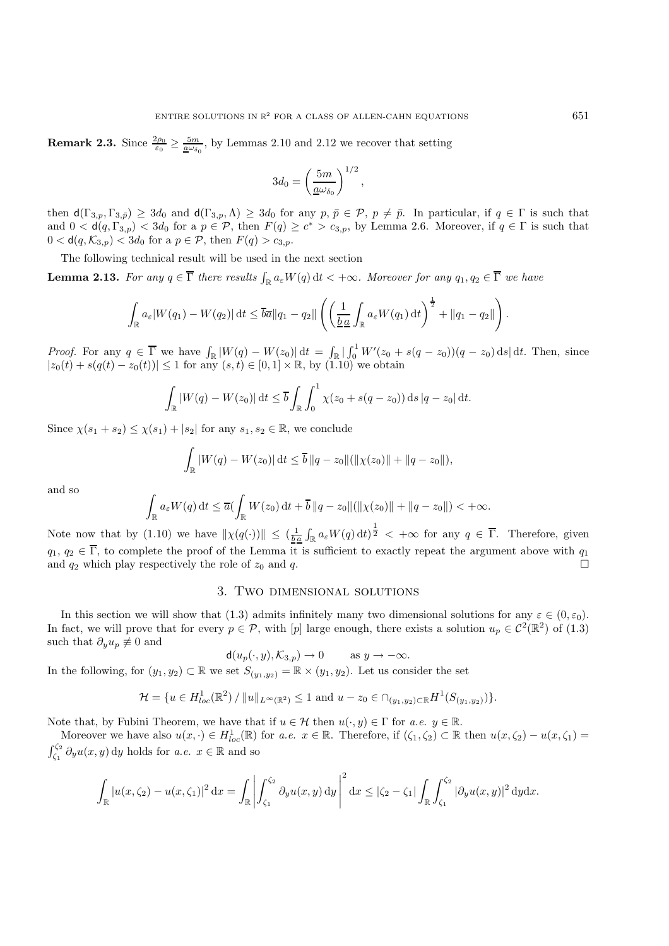**Remark 2.3.** Since  $\frac{2\rho_0}{\varepsilon_0} \ge \frac{5m}{\underline{a}\omega_{\delta_0}}$ , by Lemmas 2.10 and 2.12 we recover that setting

$$
3d_0=\left(\frac{5m}{\underline{a}\omega_{\delta_0}}\right)^{1/2},
$$

then  $d(\Gamma_{3,p}, \Gamma_{3,\bar{p}}) \geq 3d_0$  and  $d(\Gamma_{3,p}, \Lambda) \geq 3d_0$  for any  $p, \bar{p} \in \mathcal{P}, p \neq \bar{p}$ . In particular, if  $q \in \Gamma$  is such that and  $0 < d(q, \Gamma_{3,p}) < 3d_0$  for a  $p \in \mathcal{P}$ , then  $F(q) \ge c^* > c_{3,p}$ , by Lemma 2.6. Moreover, if  $q \in \Gamma$  is such that  $0 < d(q, \mathcal{K}_{3,p}) < 3d_0$  for a  $p \in \mathcal{P}$ , then  $F(q) > c_{3,p}$ .

The following technical result will be used in the next section

**Lemma 2.13.** For any  $q \in \overline{\Gamma}$  there results  $\int_{\mathbb{R}} a_{\varepsilon} W(q) dt < +\infty$ . Moreover for any  $q_1, q_2 \in \overline{\Gamma}$  we have

$$
\int_{\mathbb{R}} a_{\varepsilon} |W(q_1) - W(q_2)| dt \leq \overline{b} \overline{a} ||q_1 - q_2|| \left( \left( \frac{1}{\underline{b} \underline{a}} \int_{\mathbb{R}} a_{\varepsilon} W(q_1) dt \right)^{\frac{1}{2}} + ||q_1 - q_2|| \right).
$$

*Proof.* For any  $q \in \overline{\Gamma}$  we have  $\int_{\mathbb{R}} |W(q) - W(z_0)| dt = \int_{\mathbb{R}} |\int_0^1 W'(z_0 + s(q - z_0))(q - z_0) ds| dt$ . Then, since  $|z_0(t) + s(q(t) - z_0(t))| \le 1$  for any  $(s, t) \in [0, 1] \times \mathbb{R}$ , by  $(1.10)$  we obtain

$$
\int_{\mathbb{R}} |W(q) - W(z_0)| dt \le \overline{b} \int_{\mathbb{R}} \int_0^1 \chi(z_0 + s(q - z_0)) ds |q - z_0| dt.
$$

Since  $\chi(s_1 + s_2) \leq \chi(s_1) + |s_2|$  for any  $s_1, s_2 \in \mathbb{R}$ , we conclude

$$
\int_{\mathbb{R}} |W(q) - W(z_0)| dt \le \overline{b} ||q - z_0|| (||\chi(z_0)|| + ||q - z_0||),
$$

and so

$$
\int_{\mathbb{R}} a_{\varepsilon} W(q) dt \le \overline{a} \left( \int_{\mathbb{R}} W(z_0) dt + \overline{b} ||q - z_0|| (||\chi(z_0)|| + ||q - z_0||) < +\infty \right).
$$

Note now that by (1.10) we have  $\|\chi(q(\cdot))\| \leq (\frac{1}{ba}\int_{\mathbb{R}} a_{\varepsilon}W(q) dt)^{\frac{1}{2}} < +\infty$  for any  $q \in \overline{\Gamma}$ . Therefore, given  $q_1, q_2 \in \overline{\Gamma}$ , to complete the proof of the Lemma it is sufficient to exactly repeat the argument above with  $q_1$ and  $q_2$  which play respectively the role of  $z_0$  and q.

# 3. Two dimensional solutions

In this section we will show that (1.3) admits infinitely many two dimensional solutions for any  $\varepsilon \in (0,\varepsilon_0)$ . In fact, we will prove that for every  $p \in \mathcal{P}$ , with [p] large enough, there exists a solution  $u_p \in C^2(\mathbb{R}^2)$  of (1.3) such that  $\partial_y u_p \not\equiv 0$  and

$$
d(u_p(\cdot,y), \mathcal{K}_{3,p}) \to 0 \quad \text{as } y \to -\infty.
$$

In the following, for  $(y_1, y_2) \subset \mathbb{R}$  we set  $S_{(y_1, y_2)} = \mathbb{R} \times (y_1, y_2)$ . Let us consider the set

$$
\mathcal{H} = \{ u \in H_{loc}^1(\mathbb{R}^2) / ||u||_{L^{\infty}(\mathbb{R}^2)} \le 1 \text{ and } u - z_0 \in \cap_{(y_1, y_2) \subset \mathbb{R}} H^1(S_{(y_1, y_2)}) \}.
$$

Note that, by Fubini Theorem, we have that if  $u \in \mathcal{H}$  then  $u(\cdot, y) \in \Gamma$  for *a.e.*  $y \in \mathbb{R}$ .

Moreover we have also  $u(x, \cdot) \in H^1_{loc}(\mathbb{R})$  for *a.e.*  $x \in \mathbb{R}$ . Therefore, if  $(\zeta_1, \zeta_2) \subset \mathbb{R}$  then  $u(x, \zeta_2) - u(x, \zeta_1) =$  $\int_{\zeta_1}^{\zeta_2} \partial_y u(x, y) \, dy$  holds for *a.e.*  $x \in \mathbb{R}$  and so

$$
\int_{\mathbb{R}} |u(x,\zeta_2) - u(x,\zeta_1)|^2 dx = \int_{\mathbb{R}} \left| \int_{\zeta_1}^{\zeta_2} \partial_y u(x,y) dy \right|^2 dx \leq |\zeta_2 - \zeta_1| \int_{\mathbb{R}} \int_{\zeta_1}^{\zeta_2} |\partial_y u(x,y)|^2 dy dx.
$$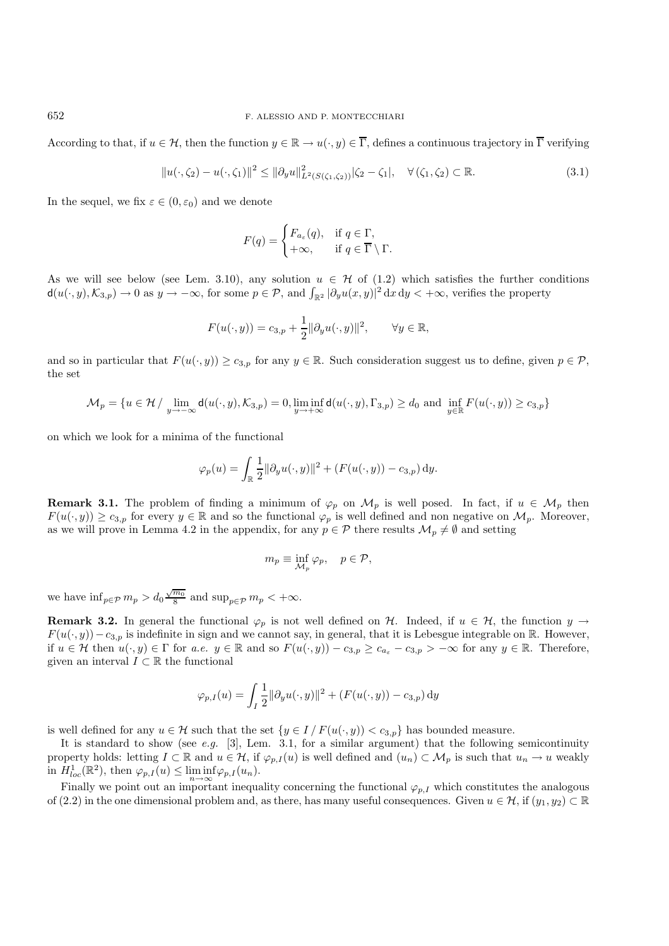According to that, if  $u \in \mathcal{H}$ , then the function  $y \in \mathbb{R} \to u(\cdot, y) \in \overline{\Gamma}$ , defines a continuous trajectory in  $\overline{\Gamma}$  verifying

$$
||u(\cdot,\zeta_2)-u(\cdot,\zeta_1)||^2 \le ||\partial_y u||^2_{L^2(S(\zeta_1,\zeta_2))}|\zeta_2-\zeta_1|, \quad \forall (\zeta_1,\zeta_2) \subset \mathbb{R}.
$$
 (3.1)

In the sequel, we fix  $\varepsilon \in (0, \varepsilon_0)$  and we denote

$$
F(q) = \begin{cases} F_{a_{\varepsilon}}(q), & \text{if } q \in \Gamma, \\ +\infty, & \text{if } q \in \overline{\Gamma} \setminus \Gamma. \end{cases}
$$

As we will see below (see Lem. 3.10), any solution  $u \in \mathcal{H}$  of (1.2) which satisfies the further conditions  $d(u(\cdot,y),\mathcal{K}_{3,p}) \to 0$  as  $y \to -\infty$ , for some  $p \in \mathcal{P}$ , and  $\int_{\mathbb{R}^2} |\partial_y u(x,y)|^2 dx dy < +\infty$ , verifies the property

$$
F(u(\cdot,y)) = c_{3,p} + \frac{1}{2} ||\partial_y u(\cdot,y)||^2, \qquad \forall y \in \mathbb{R},
$$

and so in particular that  $F(u(\cdot, y)) \ge c_{3,p}$  for any  $y \in \mathbb{R}$ . Such consideration suggest us to define, given  $p \in \mathcal{P}$ , the set

$$
\mathcal{M}_p=\{u\in \mathcal{H}\ /\ \lim_{y\to -\infty}\mathrm{d}(u(\cdot,y),\mathcal{K}_{3,p})=0, \liminf_{y\to +\infty}\mathrm{d}(u(\cdot,y),\Gamma_{3,p})\geq d_0 \text{ and } \inf_{y\in \mathbb{R}}F(u(\cdot,y))\geq c_{3,p}\}
$$

on which we look for a minima of the functional

$$
\varphi_p(u) = \int_{\mathbb{R}} \frac{1}{2} ||\partial_y u(\cdot, y)||^2 + (F(u(\cdot, y)) - c_{3,p}) \, dy.
$$

**Remark 3.1.** The problem of finding a minimum of  $\varphi_p$  on  $\mathcal{M}_p$  is well posed. In fact, if  $u \in \mathcal{M}_p$  then  $F(u(\cdot, y)) \geq c_{3,p}$  for every  $y \in \mathbb{R}$  and so the functional  $\varphi_p$  is well defined and non negative on  $\mathcal{M}_p$ . Moreover, as we will prove in Lemma 4.2 in the appendix, for any  $p \in \mathcal{P}$  there results  $\mathcal{M}_p \neq \emptyset$  and setting

$$
m_p \equiv \inf_{\mathcal{M}_p} \varphi_p, \quad p \in \mathcal{P},
$$

we have  $\inf_{p \in \mathcal{P}} m_p > d_0 \frac{\sqrt{m_0}}{8}$  and  $\sup_{p \in \mathcal{P}} m_p < +\infty$ .

**Remark 3.2.** In general the functional  $\varphi_p$  is not well defined on H. Indeed, if  $u \in H$ , the function  $y \to$  $F(u(\cdot, y)) - c_{3,p}$  is indefinite in sign and we cannot say, in general, that it is Lebesgue integrable on R. However, if  $u \in \mathcal{H}$  then  $u(\cdot, y) \in \Gamma$  for *a.e.*  $y \in \mathbb{R}$  and so  $F(u(\cdot, y)) - c_{3,p} \geq c_{a_{\varepsilon}} - c_{3,p} > -\infty$  for any  $y \in \mathbb{R}$ . Therefore, given an interval  $I \subset \mathbb{R}$  the functional

$$
\varphi_{p,I}(u) = \int_I \frac{1}{2} ||\partial_y u(\cdot, y)||^2 + (F(u(\cdot, y)) - c_{3,p}) \, dy
$$

is well defined for any  $u \in \mathcal{H}$  such that the set  $\{y \in I/F(u(\cdot, y)) < c_{3,p}\}$  has bounded measure.

It is standard to show (see *e.g.* [3], Lem. 3.1, for a similar argument) that the following semicontinuity property holds: letting  $I \subset \mathbb{R}$  and  $u \in \mathcal{H}$ , if  $\varphi_{p,I}(u)$  is well defined and  $(u_n) \subset \mathcal{M}_p$  is such that  $u_n \to u$  weakly in  $H_{loc}^1(\mathbb{R}^2)$ , then  $\varphi_{p,I}(u) \le \liminf_{n \to \infty} \varphi_{p,I}(u_n)$ .

Finally we point out an important inequality concerning the functional  $\varphi_{p,I}$  which constitutes the analogous of (2.2) in the one dimensional problem and, as there, has many useful consequences. Given  $u \in \mathcal{H}$ , if  $(y_1, y_2) \subset \mathbb{R}$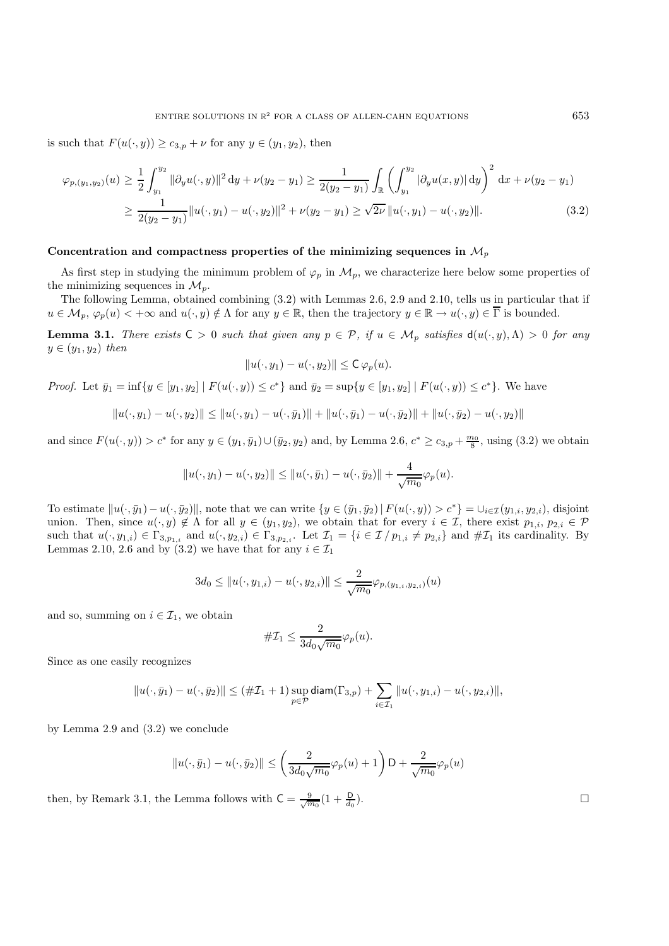is such that  $F(u(\cdot, y)) \geq c_{3,p} + \nu$  for any  $y \in (y_1, y_2)$ , then

$$
\varphi_{p,(y_1,y_2)}(u) \ge \frac{1}{2} \int_{y_1}^{y_2} \|\partial_y u(\cdot,y)\|^2 \, \mathrm{d}y + \nu(y_2 - y_1) \ge \frac{1}{2(y_2 - y_1)} \int_{\mathbb{R}} \left( \int_{y_1}^{y_2} |\partial_y u(x,y)| \, \mathrm{d}y \right)^2 \, \mathrm{d}x + \nu(y_2 - y_1)
$$
  
\n
$$
\ge \frac{1}{2(y_2 - y_1)} \|u(\cdot,y_1) - u(\cdot,y_2)\|^2 + \nu(y_2 - y_1) \ge \sqrt{2\nu} \|u(\cdot,y_1) - u(\cdot,y_2)\|.
$$
\n(3.2)

#### Concentration and compactness properties of the minimizing sequences in  $\mathcal{M}_p$

As first step in studying the minimum problem of  $\varphi_p$  in  $\mathcal{M}_p$ , we characterize here below some properties of the minimizing sequences in  $\mathcal{M}_p$ .

The following Lemma, obtained combining (3.2) with Lemmas 2.6, 2.9 and 2.10, tells us in particular that if  $u \in \mathcal{M}_p$ ,  $\varphi_p(u) < +\infty$  and  $u(\cdot, y) \notin \Lambda$  for any  $y \in \mathbb{R}$ , then the trajectory  $y \in \mathbb{R} \to u(\cdot, y) \in \overline{\Gamma}$  is bounded.

**Lemma 3.1.** *There exists*  $C > 0$  *such that given any*  $p \in \mathcal{P}$ , *if*  $u \in \mathcal{M}_p$  *satisfies*  $d(u(\cdot, y), \Lambda) > 0$  *for any*  $y \in (y_1, y_2)$  *then* 

$$
||u(\cdot,y_1)-u(\cdot,y_2)||\leq \mathsf{C}\,\varphi_p(u).
$$

*Proof.* Let  $\bar{y}_1 = \inf\{y \in [y_1, y_2] \mid F(u(\cdot, y)) \leq c^*\}\$  and  $\bar{y}_2 = \sup\{y \in [y_1, y_2] \mid F(u(\cdot, y)) \leq c^*\}\$ . We have

$$
||u(\cdot,y_1)-u(\cdot,y_2)|| \le ||u(\cdot,y_1)-u(\cdot,\bar{y}_1)|| + ||u(\cdot,\bar{y}_1)-u(\cdot,\bar{y}_2)|| + ||u(\cdot,\bar{y}_2)-u(\cdot,y_2)||
$$

and since  $F(u(\cdot, y)) > c^*$  for any  $y \in (y_1, \bar{y}_1) \cup (\bar{y}_2, y_2)$  and, by Lemma 2.6,  $c^* \ge c_{3,p} + \frac{m_0}{8}$ , using (3.2) we obtain

$$
||u(\cdot, y_1) - u(\cdot, y_2)|| \le ||u(\cdot, \bar{y}_1) - u(\cdot, \bar{y}_2)|| + \frac{4}{\sqrt{m_0}} \varphi_p(u).
$$

To estimate  $||u(\cdot, \bar{y}_1)-u(\cdot, \bar{y}_2)||$ , note that we can write  $\{y \in (\bar{y}_1, \bar{y}_2) | F(u(\cdot, y)) > c^*\} = \cup_{i \in \mathcal{I}} (y_{1,i}, y_{2,i})$ , disjoint union. Then, since  $u(\cdot, y) \notin \Lambda$  for all  $y \in (y_1, y_2)$ , we obtain that for every  $i \in \mathcal{I}$ , there exist  $p_{1,i}, p_{2,i} \in \mathcal{P}$ such that  $u(\cdot, y_{1,i}) \in \Gamma_{3,p_{1,i}}$  and  $u(\cdot, y_{2,i}) \in \Gamma_{3,p_{2,i}}$ . Let  $\mathcal{I}_1 = \{i \in \mathcal{I}/p_{1,i} \neq p_{2,i}\}\$ and  $\#\mathcal{I}_1$  its cardinality. By Lemmas 2.10, 2.6 and by (3.2) we have that for any  $i \in \mathcal{I}_1$ 

$$
3d_0 \leq ||u(\cdot,y_{1,i})-u(\cdot,y_{2,i})|| \leq \frac{2}{\sqrt{m_0}}\varphi_{p,(y_{1,i},y_{2,i})}(u)
$$

and so, summing on  $i \in \mathcal{I}_1$ , we obtain

$$
\#\mathcal{I}_1 \leq \frac{2}{3d_0\sqrt{m_0}}\varphi_p(u).
$$

Since as one easily recognizes

$$
||u(\cdot,\bar{y}_1)-u(\cdot,\bar{y}_2)||\leq (\#\mathcal{I}_1+1)\sup_{p\in\mathcal{P}}\text{diam}(\Gamma_{3,p})+\sum_{i\in\mathcal{I}_1}||u(\cdot,y_{1,i})-u(\cdot,y_{2,i})||,
$$

by Lemma 2.9 and (3.2) we conclude

$$
||u(\cdot,\bar{y}_1)-u(\cdot,\bar{y}_2)|| \le \left(\frac{2}{3d_0\sqrt{m_0}}\varphi_p(u)+1\right)D+\frac{2}{\sqrt{m_0}}\varphi_p(u)
$$

then, by Remark 3.1, the Lemma follows with  $C = \frac{9}{\sqrt{m_0}}(1 + \frac{D}{d_0})$  $\frac{D}{d_0}$ ).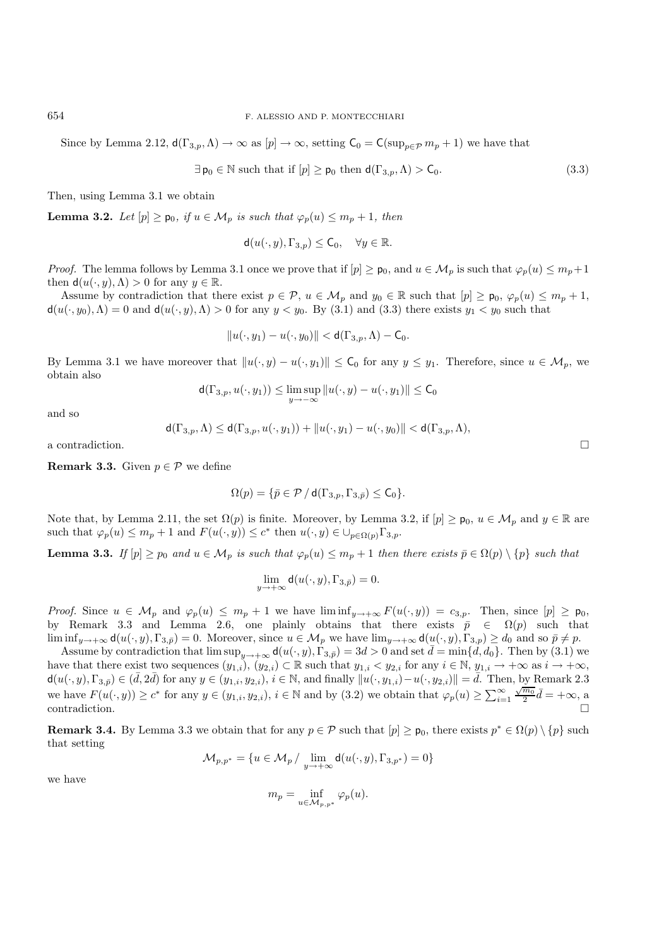Since by Lemma 2.12,  $d(\Gamma_{3,p}, \Lambda) \to \infty$  as  $[p] \to \infty$ , setting  $C_0 = C(\sup_{n \in \mathcal{D}} m_p + 1)$  we have that

$$
\exists \, \mathsf{p}_0 \in \mathbb{N} \text{ such that if } [p] \ge \mathsf{p}_0 \text{ then } \mathsf{d}(\Gamma_{3,p}, \Lambda) > \mathsf{C}_0. \tag{3.3}
$$

Then, using Lemma 3.1 we obtain

**Lemma 3.2.** *Let*  $[p] \geq p_0$ *, if*  $u \in \mathcal{M}_p$  *is such that*  $\varphi_p(u) \leq m_p + 1$ *, then* 

$$
\mathsf{d}(u(\cdot,y),\Gamma_{3,p}) \le \mathsf{C}_0, \quad \forall y \in \mathbb{R}.
$$

*Proof.* The lemma follows by Lemma 3.1 once we prove that if  $[p] \geq p_0$ , and  $u \in M_p$  is such that  $\varphi_p(u) \leq m_p + 1$ then  $d(u(\cdot, y), \Lambda) > 0$  for any  $y \in \mathbb{R}$ .

Assume by contradiction that there exist  $p \in \mathcal{P}$ ,  $u \in \mathcal{M}_p$  and  $y_0 \in \mathbb{R}$  such that  $[p] \geq p_0$ ,  $\varphi_p(u) \leq m_p + 1$ ,  $d(u(\cdot, y_0), \Lambda) = 0$  and  $d(u(\cdot, y), \Lambda) > 0$  for any  $y < y_0$ . By (3.1) and (3.3) there exists  $y_1 < y_0$  such that

$$
||u(\cdot,y_1)-u(\cdot,y_0)|| < \mathsf{d}(\Gamma_{3,p},\Lambda)-\mathsf{C}_0.
$$

By Lemma 3.1 we have moreover that  $||u(\cdot, y) - u(\cdot, y_1)|| \leq C_0$  for any  $y \leq y_1$ . Therefore, since  $u \in M_p$ , we obtain also

$$
\mathsf{d}(\Gamma_{3,p},u(\cdot,y_1)) \le \limsup_{y \to -\infty} ||u(\cdot,y) - u(\cdot,y_1)|| \le \mathsf{C}_0
$$

and so

$$
\mathsf d(\Gamma_{3,p},\Lambda)\leq \mathsf d(\Gamma_{3,p},u(\cdot,y_1))+\|u(\cdot,y_1)-u(\cdot,y_0)\|<\mathsf d(\Gamma_{3,p},\Lambda),
$$

a contradiction.

**Remark 3.3.** Given  $p \in \mathcal{P}$  we define

$$
\Omega(p) = \{ \bar{p} \in \mathcal{P} / \mathsf{d}(\Gamma_{3,p}, \Gamma_{3,\bar{p}}) \leq \mathsf{C}_0 \}.
$$

Note that, by Lemma 2.11, the set  $\Omega(p)$  is finite. Moreover, by Lemma 3.2, if  $[p] \geq p_0, u \in M_p$  and  $y \in \mathbb{R}$  are such that  $\varphi_p(u) \leq m_p + 1$  and  $F(u(\cdot, y)) \leq c^*$  then  $u(\cdot, y) \in \bigcup_{p \in \Omega(p)} \Gamma_{3,p}$ .

**Lemma 3.3.** *If*  $[p] \geq p_0$  *and*  $u \in M_p$  *is such that*  $\varphi_p(u) \leq m_p + 1$  *then there exists*  $\bar{p} \in \Omega(p) \setminus \{p\}$  *such that* 

$$
\lim_{y \to +\infty} \mathsf{d}(u(\cdot, y), \Gamma_{3,\bar{p}}) = 0.
$$

*Proof.* Since  $u \in M_p$  and  $\varphi_p(u) \leq m_p + 1$  we have  $\liminf_{y \to +\infty} F(u(\cdot, y)) = c_{3,p}$ . Then, since  $[p] \geq p_0$ , by Remark 3.3 and Lemma 2.6, one plainly obtains that there exists  $\bar{p} \in \Omega(p)$  such that  $\liminf_{y\to+\infty} d(u(\cdot,y),\Gamma_{3,\bar{p}})=0.$  Moreover, since  $u\in\mathcal{M}_p$  we have  $\lim_{y\to+\infty} d(u(\cdot,y),\Gamma_{3,p})\geq d_0$  and so  $\bar{p}\neq p$ .

Assume by contradiction that  $\limsup_{y\to+\infty} d(u(\cdot,y),\Gamma_{3,\bar{p}})=3d>0$  and set  $\bar{d}=\min\{d,d_0\}$ . Then by (3.1) we have that there exist two sequences  $(y_{1,i}), (y_{2,i}) \subset \mathbb{R}$  such that  $y_{1,i} < y_{2,i}$  for any  $i \in \mathbb{N}, y_{1,i} \to +\infty$  as  $i \to +\infty$ ,  $d(u(\cdot, y), \Gamma_{3, \bar{p}}) \in (\bar{d}, 2\bar{d})$  for any  $y \in (y_{1,i}, y_{2,i}), i \in \mathbb{N}$ , and finally  $||u(\cdot, y_{1,i}) - u(\cdot, y_{2,i})|| = \bar{d}$ . Then, by Remark 2.3 we have  $F(u(\cdot, y)) \ge c^*$  for any  $y \in (y_{1,i}, y_{2,i})$ ,  $i \in \mathbb{N}$  and by (3.2) we obtain that  $\varphi_p(u) \ge \sum_{i=1}^{\infty} \frac{\sqrt{m_0}}{2} \bar{d} = +\infty$ , a contradiction.  $\Box$ 

**Remark 3.4.** By Lemma 3.3 we obtain that for any  $p \in \mathcal{P}$  such that  $[p] \geq p_0$ , there exists  $p^* \in \Omega(p) \setminus \{p\}$  such that setting

$$
\mathcal{M}_{p,p^*} = \{u \in \mathcal{M}_p\ /\ \lim_{y \to +\infty} \mathsf{d}(u(\cdot,y),\Gamma_{3,p^*}) = 0\}
$$

we have

$$
m_p = \inf_{u \in \mathcal{M}_{p,p^*}} \varphi_p(u).
$$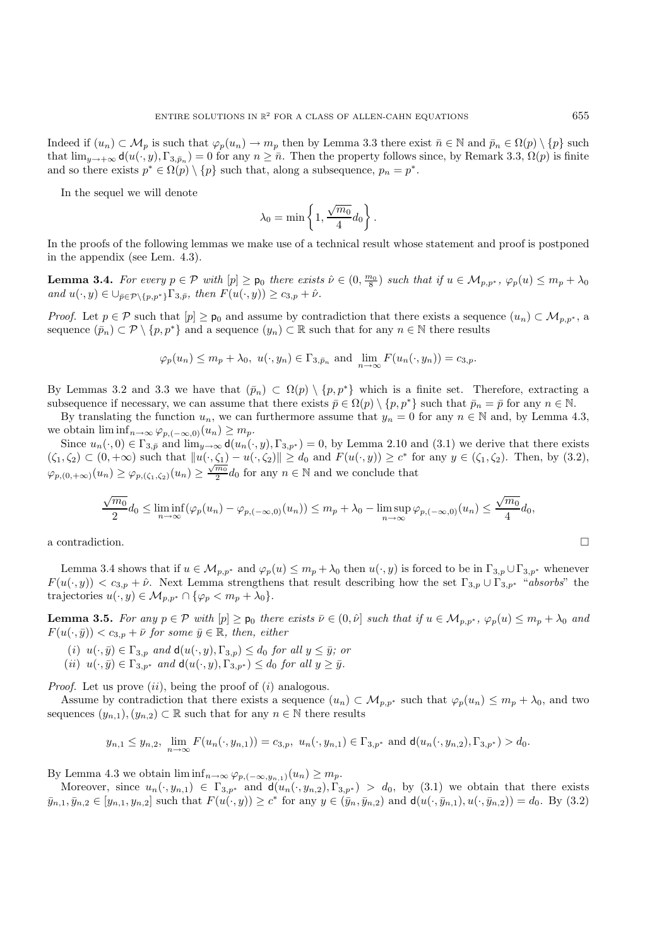Indeed if  $(u_n) \subset \mathcal{M}_p$  is such that  $\varphi_p(u_n) \to m_p$  then by Lemma 3.3 there exist  $\bar{n} \in \mathbb{N}$  and  $\bar{p}_n \in \Omega(p) \setminus \{p\}$  such that  $\lim_{y\to+\infty} d(u(\cdot,y),\Gamma_{3,\bar{p}_n})=0$  for any  $n\geq\bar{n}$ . Then the property follows since, by Remark 3.3,  $\Omega(p)$  is finite and so there exists  $p^* \in \Omega(p) \setminus \{p\}$  such that, along a subsequence,  $p_n = p^*$ .

In the sequel we will denote

$$
\lambda_0 = \min\left\{1, \frac{\sqrt{m_0}}{4}d_0\right\}.
$$

In the proofs of the following lemmas we make use of a technical result whose statement and proof is postponed in the appendix (see Lem. 4.3).

**Lemma 3.4.** For every  $p \in \mathcal{P}$  with  $[p] \geq p_0$  there exists  $\hat{\nu} \in (0, \frac{m_0}{8})$  such that if  $u \in \mathcal{M}_{p,p^*}, \varphi_p(u) \leq m_p + \lambda_0$ *and*  $u(\cdot, y) \in \bigcup_{\bar{p} \in \mathcal{P} \setminus \{p, p^*\}} \Gamma_{3, \bar{p}}$ *, then*  $F(u(\cdot, y)) \ge c_{3, p} + \hat{\nu}$ *.* 

*Proof.* Let  $p \in \mathcal{P}$  such that  $[p] \geq p_0$  and assume by contradiction that there exists a sequence  $(u_n) \subset \mathcal{M}_{p,p^*}$ , a sequence  $(\bar{p}_n) \subset \mathcal{P}\setminus\{p, p^*\}\$  and a sequence  $(y_n) \subset \mathbb{R}$  such that for any  $n \in \mathbb{N}$  there results

$$
\varphi_p(u_n) \le m_p + \lambda_0, \ u(\cdot, y_n) \in \Gamma_{3, \bar{p}_n}
$$
 and  $\lim_{n \to \infty} F(u_n(\cdot, y_n)) = c_{3, p}$ .

By Lemmas 3.2 and 3.3 we have that  $(\bar{p}_n) \subset \Omega(p) \setminus \{p, p^*\}$  which is a finite set. Therefore, extracting a subsequence if necessary, we can assume that there exists  $\bar{p} \in \Omega(p) \setminus \{p, p^*\}$  such that  $\bar{p}_n = \bar{p}$  for any  $n \in \mathbb{N}$ .

By translating the function  $u_n$ , we can furthermore assume that  $y_n = 0$  for any  $n \in \mathbb{N}$  and, by Lemma 4.3, we obtain  $\liminf_{n\to\infty} \varphi_{p,(-\infty,0)}(u_n) \geq m_p$ .

Since  $u_n(\cdot, 0) \in \Gamma_{3,\bar{p}}$  and  $\lim_{y\to\infty} d(u_n(\cdot, y), \Gamma_{3,p^*}) = 0$ , by Lemma 2.10 and (3.1) we derive that there exists  $(\zeta_1, \zeta_2) \subset (0, +\infty)$  such that  $||u(\cdot, \zeta_1) - u(\cdot, \zeta_2)|| \ge d_0$  and  $F(u(\cdot, y)) \ge c^*$  for any  $y \in (\zeta_1, \zeta_2)$ . Then, by (3.2),  $\varphi_{p,(0,+\infty)}(u_n) \geq \varphi_{p,(\zeta_1,\zeta_2)}(u_n) \geq \frac{\sqrt{m_0}}{2} d_0$  for any  $n \in \mathbb{N}$  and we conclude that

$$
\frac{\sqrt{m_0}}{2}d_0 \leq \liminf_{n \to \infty} (\varphi_p(u_n) - \varphi_{p, (-\infty, 0)}(u_n)) \leq m_p + \lambda_0 - \limsup_{n \to \infty} \varphi_{p, (-\infty, 0)}(u_n) \leq \frac{\sqrt{m_0}}{4}d_0,
$$

a contradiction.  $\hfill \square$ 

Lemma 3.4 shows that if  $u \in M_{p,p^*}$  and  $\varphi_p(u) \leq m_p + \lambda_0$  then  $u(\cdot, y)$  is forced to be in  $\Gamma_{3,p} \cup \Gamma_{3,p^*}$  whenever  $F(u(\cdot, y)) < c_{3,p} + \hat{\nu}$ . Next Lemma strengthens that result describing how the set  $\Gamma_{3,p} \cup \Gamma_{3,p^*}$  "*absorbs*" the trajectories  $u(\cdot, y) \in \mathcal{M}_{p,p^*} \cap {\varphi_p < m_p + \lambda_0}.$ 

**Lemma 3.5.** For any  $p \in \mathcal{P}$  with  $[p] \geq p_0$  there exists  $\bar{\nu} \in (0, \hat{\nu})$  such that if  $u \in \mathcal{M}_{p,p^*}, \varphi_p(u) \leq m_p + \lambda_0$  and  $F(u(\cdot,\bar{y})) < c_{3,p} + \bar{\nu}$  for some  $\bar{y} \in \mathbb{R}$ , then, either

- (*i*)  $u(\cdot, \bar{y}) \in \Gamma_{3,p}$  *and*  $d(u(\cdot, y), \Gamma_{3,p}) \leq d_0$  *for all*  $y \leq \bar{y}$ *; or*
- $(iii)$   $u(\cdot,\bar{y}) \in \Gamma_{3,p^*}$  *and*  $d(u(\cdot,y),\Gamma_{3,p^*}) \leq d_0$  *for all*  $y \geq \bar{y}$ *.*

*Proof.* Let us prove  $(ii)$ , being the proof of  $(i)$  analogous.

Assume by contradiction that there exists a sequence  $(u_n) \subset \mathcal{M}_{p,p^*}$  such that  $\varphi_p(u_n) \leq m_p + \lambda_0$ , and two sequences  $(y_{n,1}), (y_{n,2}) \subset \mathbb{R}$  such that for any  $n \in \mathbb{N}$  there results

$$
y_{n,1} \leq y_{n,2}, \lim_{n \to \infty} F(u_n(\cdot, y_{n,1})) = c_{3,p}, \ u_n(\cdot, y_{n,1}) \in \Gamma_{3,p^*} \text{ and } \mathsf{d}(u_n(\cdot, y_{n,2}), \Gamma_{3,p^*}) > d_0.
$$

By Lemma 4.3 we obtain  $\liminf_{n\to\infty} \varphi_{p,(-\infty,y_{n,1})}(u_n) \geq m_p$ .

Moreover, since  $u_n(\cdot, y_{n,1}) \in \Gamma_{3,p^*}$  and  $d(u_n(\cdot, y_{n,2}), \Gamma_{3,p^*}) > d_0$ , by (3.1) we obtain that there exists  $\bar{y}_{n,1}, \bar{y}_{n,2} \in [y_{n,1}, y_{n,2}]$  such that  $F(u(\cdot, y)) \ge c^*$  for any  $y \in (\bar{y}_n, \bar{y}_{n,2})$  and  $d(u(\cdot, \bar{y}_{n,1}), u(\cdot, \bar{y}_{n,2})) = d_0$ . By (3.2)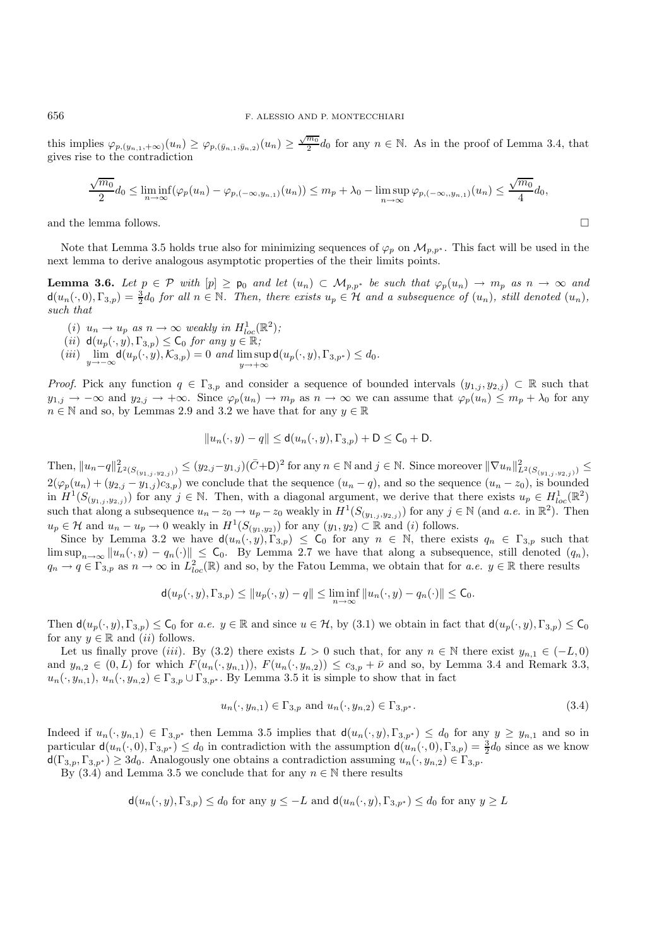this implies  $\varphi_{p,(y_{n,1},+\infty)}(u_n) \geq \varphi_{p,(\bar{y}_{n,1},\bar{y}_{n,2})}(u_n) \geq \frac{\sqrt{m_0}}{2}d_0$  for any  $n \in \mathbb{N}$ . As in the proof of Lemma 3.4, that gives rise to the contradiction

$$
\frac{\sqrt{m_0}}{2}d_0 \leq \liminf_{n \to \infty} (\varphi_p(u_n) - \varphi_{p, (-\infty, y_{n,1})}(u_n)) \leq m_p + \lambda_0 - \limsup_{n \to \infty} \varphi_{p, (-\infty, y_{n,1})}(u_n) \leq \frac{\sqrt{m_0}}{4}d_0,
$$

and the lemma follows.

Note that Lemma 3.5 holds true also for minimizing sequences of  $\varphi_p$  on  $\mathcal{M}_{p,p^*}$ . This fact will be used in the next lemma to derive analogous asymptotic properties of the their limits points.

**Lemma 3.6.** *Let*  $p \in \mathcal{P}$  *with*  $[p] \geq p_0$  *and let*  $(u_n) \subset \mathcal{M}_{p,p^*}$  *be such that*  $\varphi_p(u_n) \to m_p$  *as*  $n \to \infty$  *and*  $d(u_n(\cdot, 0), \Gamma_{3,p}) = \frac{3}{2}d_0$  *for all*  $n \in \mathbb{N}$ . Then, there exists  $u_p \in \mathcal{H}$  and a subsequence of  $(u_n)$ , still denoted  $(u_n)$ , *such that*

- (*i*)  $u_n \to u_p$  as  $n \to \infty$  weakly in  $H_{loc}^1(\mathbb{R}^2)$ ;
- (*ii*)  $d(u_p(\cdot, y), \Gamma_{3,p}) \leq C_0$  *for any*  $y \in \mathbb{R}$ ;
- $(iii)$   $\lim_{y \to -\infty} d(u_p(\cdot, y), \mathcal{K}_{3,p}) = 0$  *and*  $\limsup_{y \to +\infty} d(u_p(\cdot, y), \Gamma_{3,p^*}) \leq d_0.$

*Proof.* Pick any function  $q \in \Gamma_{3,p}$  and consider a sequence of bounded intervals  $(y_{1,j}, y_{2,j}) \subset \mathbb{R}$  such that  $y_{1,j} \to -\infty$  and  $y_{2,j} \to +\infty$ . Since  $\varphi_p(u_n) \to m_p$  as  $n \to \infty$  we can assume that  $\varphi_p(u_n) \leq m_p + \lambda_0$  for any  $n \in \mathbb{N}$  and so, by Lemmas 2.9 and 3.2 we have that for any  $y \in \mathbb{R}$ 

$$
||u_n(\cdot,y)-q|| \leq d(u_n(\cdot,y),\Gamma_{3,p})+D \leq \mathsf{C}_0+\mathsf{D}.
$$

Then,  $||u_n - q||_{L^2(S(y_{1,j}, y_{2,j}))}^2$  ≤  $(y_{2,j} - y_{1,j})(\bar{C} + D)^2$  for any  $n \in \mathbb{N}$  and  $j \in \mathbb{N}$ . Since moreover  $||\nabla u_n||^2_{L^2(S(y_{1,j}, y_{2,j}))}$  ≤  $2(\varphi_p(u_n)+(y_{2,j}-y_{1,j})c_{3,p})$  we conclude that the sequence  $(u_n-q)$ , and so the sequence  $(u_n-z_0)$ , is bounded in  $H^1(S_{(y_1,j,y_2,j)})$  for any  $j \in \mathbb{N}$ . Then, with a diagonal argument, we derive that there exists  $u_p \in H^1_{loc}(\mathbb{R}^2)$ such that along a subsequence  $u_n - z_0 \to u_p - z_0$  weakly in  $H^1(S_{(y_1,j,y_2,j)})$  for any  $j \in \mathbb{N}$  (and *a.e.* in  $\mathbb{R}^2$ ). Then  $u_p \in \mathcal{H}$  and  $u_n - u_p \to 0$  weakly in  $H^1(S_{(y_1,y_2)})$  for any  $(y_1,y_2) \subset \mathbb{R}$  and (i) follows.

Since by Lemma 3.2 we have  $d(u_n(\cdot, y), \Gamma_{3,p}) \leq C_0$  for any  $n \in \mathbb{N}$ , there exists  $q_n \in \Gamma_{3,p}$  such that  $\limsup_{n\to\infty} ||u_n(\cdot,y)-q_n(\cdot)|| \leq C_0$ . By Lemma 2.7 we have that along a subsequence, still denoted  $(q_n)$ ,  $q_n \to q \in \Gamma_{3,p}$  as  $n \to \infty$  in  $L^2_{loc}(\mathbb{R})$  and so, by the Fatou Lemma, we obtain that for *a.e.*  $y \in \mathbb{R}$  there results

$$
\mathsf{d}(u_p(\cdot,y),\Gamma_{3,p})\leq \|u_p(\cdot,y)-q\|\leq \liminf_{n\to\infty}\|u_n(\cdot,y)-q_n(\cdot)\|\leq \mathsf{C}_0.
$$

Then  $d(u_p(\cdot, y), \Gamma_{3,p}) \leq C_0$  for *a.e.*  $y \in \mathbb{R}$  and since  $u \in \mathcal{H}$ , by (3.1) we obtain in fact that  $d(u_p(\cdot, y), \Gamma_{3,p}) \leq C_0$ for any  $y \in \mathbb{R}$  and  $(ii)$  follows.

Let us finally prove (iii). By (3.2) there exists  $L > 0$  such that, for any  $n \in \mathbb{N}$  there exist  $y_{n,1} \in (-L, 0)$ and  $y_{n,2} \in (0,L)$  for which  $F(u_n(\cdot, y_{n,1}))$ ,  $F(u_n(\cdot, y_{n,2})) \leq c_{3,p} + \bar{\nu}$  and so, by Lemma 3.4 and Remark 3.3,  $u_n(\cdot, y_{n,1}), u_n(\cdot, y_{n,2}) \in \Gamma_{3,p} \cup \Gamma_{3,p^*}.$  By Lemma 3.5 it is simple to show that in fact

$$
u_n(\cdot, y_{n,1}) \in \Gamma_{3,p} \text{ and } u_n(\cdot, y_{n,2}) \in \Gamma_{3,p^*}.
$$
\n
$$
(3.4)
$$

Indeed if  $u_n(\cdot, y_{n,1}) \in \Gamma_{3,p^*}$  then Lemma 3.5 implies that  $d(u_n(\cdot, y), \Gamma_{3,p^*}) \leq d_0$  for any  $y \geq y_{n,1}$  and so in particular  $d(u_n(\cdot,0), \Gamma_{3,p^*}) \le d_0$  in contradiction with the assumption  $d(u_n(\cdot,0), \Gamma_{3,p}) = \frac{3}{2}d_0$  since as we know  $d(\Gamma_{3,p}, \Gamma_{3,p^*}) \geq 3d_0$ . Analogously one obtains a contradiction assuming  $u_n(\cdot, y_{n,2}) \in \Gamma_{3,p}$ .

By (3.4) and Lemma 3.5 we conclude that for any  $n \in \mathbb{N}$  there results

$$
\mathsf{d}(u_n(\cdot,y),\Gamma_{3,p}) \le d_0 \text{ for any } y \le -L \text{ and } \mathsf{d}(u_n(\cdot,y),\Gamma_{3,p^*}) \le d_0 \text{ for any } y \ge L
$$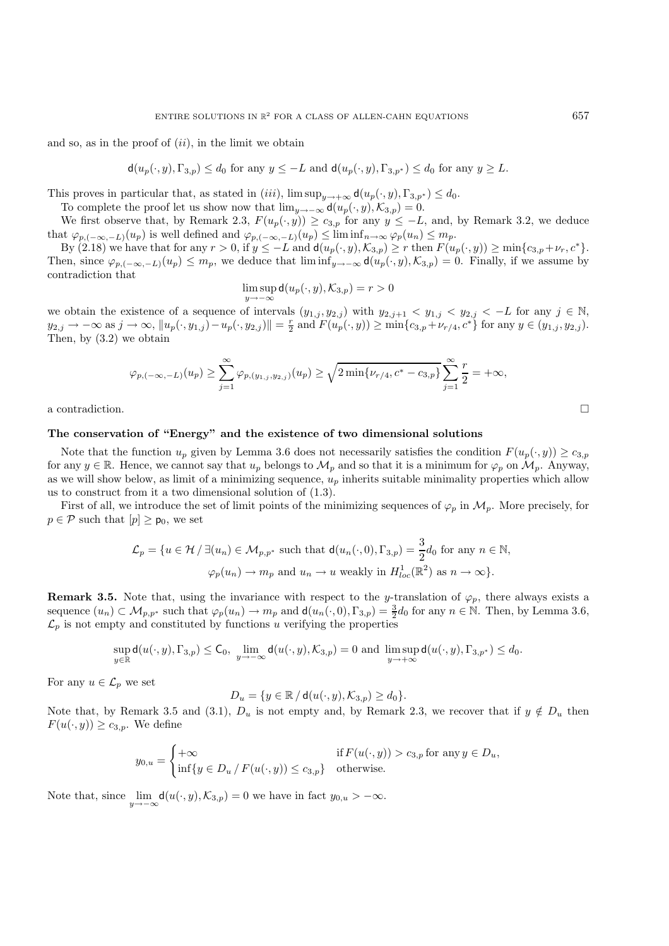and so, as in the proof of  $(ii)$ , in the limit we obtain

 $d(u_p(\cdot, y), \Gamma_{3,p}) \leq d_0$  for any  $y \leq -L$  and  $d(u_p(\cdot, y), \Gamma_{3,p^*}) \leq d_0$  for any  $y \geq L$ .

This proves in particular that, as stated in (iii),  $\limsup_{y\to+\infty} d(u_p(\cdot,y), \Gamma_{3,p^*}) \leq d_0$ .

To complete the proof let us show now that  $\lim_{y\to-\infty} d(u_p(\cdot,y),{\mathcal{K}}_{3,p})=0.$ 

We first observe that, by Remark 2.3,  $F(u_p(\cdot, y)) \ge c_{3,p}$  for any  $y \le -L$ , and, by Remark 3.2, we deduce that  $\varphi_{p,(-\infty,-L)}(u_p)$  is well defined and  $\varphi_{p,(-\infty,-L)}(u_p) \leq \liminf_{n \to \infty} \varphi_p(u_n) \leq m_p$ .

By  $(2.18)$  we have that for any  $r > 0$ , if  $y \le -L$  and  $d(u_p(\cdot, y), \mathcal{K}_{3,p}) \ge r$  then  $F(u_p(\cdot, y)) \ge \min\{c_{3,p} + \nu_r, c^*\}.$ Then, since  $\varphi_{p,(-\infty,-L)}(u_p) \leq m_p$ , we deduce that  $\liminf_{y\to-\infty} d(u_p(\cdot,y),\mathcal{K}_{3,p}) = 0$ . Finally, if we assume by contradiction that

$$
\limsup_{y \to -\infty} \mathsf{d}(u_p(\cdot,y),\mathcal{K}_{3,p}) = r > 0
$$

we obtain the existence of a sequence of intervals  $(y_{1,j}, y_{2,j})$  with  $y_{2,j+1} < y_{1,j} < y_{2,j} < -L$  for any  $j \in \mathbb{N}$ ,  $y_{2,j} \to -\infty$  as  $j \to \infty$ ,  $||u_p(\cdot, y_{1,j}) - u_p(\cdot, y_{2,j})|| = \frac{r}{2}$  and  $F(u_p(\cdot, y)) \ge \min\{c_{3,p} + \nu_{r/4}, c^*\}$  for any  $y \in (y_{1,j}, y_{2,j})$ . Then, by (3.2) we obtain

$$
\varphi_{p,(-\infty,-L)}(u_p) \ge \sum_{j=1}^{\infty} \varphi_{p,(y_{1,j},y_{2,j})}(u_p) \ge \sqrt{2 \min\{ \nu_{r/4}, c^* - c_{3,p}\}} \sum_{j=1}^{\infty} \frac{r}{2} = +\infty,
$$

a contradiction.  $\Box$ 

#### **The conservation of "Energy" and the existence of two dimensional solutions**

Note that the function  $u_p$  given by Lemma 3.6 does not necessarily satisfies the condition  $F(u_p(\cdot, y)) \ge c_{3,p}$ for any  $y \in \mathbb{R}$ . Hence, we cannot say that  $u_p$  belongs to  $\mathcal{M}_p$  and so that it is a minimum for  $\varphi_p$  on  $\mathcal{M}_p$ . Anyway, as we will show below, as limit of a minimizing sequence,  $u_p$  inherits suitable minimality properties which allow us to construct from it a two dimensional solution of (1.3).

First of all, we introduce the set of limit points of the minimizing sequences of  $\varphi_p$  in  $\mathcal{M}_p$ . More precisely, for  $p \in \mathcal{P}$  such that  $[p] \geq p_0$ , we set

$$
\mathcal{L}_p = \{ u \in \mathcal{H} / \exists (u_n) \in \mathcal{M}_{p,p^*} \text{ such that } d(u_n(\cdot,0),\Gamma_{3,p}) = \frac{3}{2}d_0 \text{ for any } n \in \mathbb{N},
$$
  

$$
\varphi_p(u_n) \to m_p \text{ and } u_n \to u \text{ weakly in } H_{loc}^1(\mathbb{R}^2) \text{ as } n \to \infty \}.
$$

**Remark 3.5.** Note that, using the invariance with respect to the y-translation of  $\varphi_p$ , there always exists a sequence  $(u_n) \subset \mathcal{M}_{p,p^*}$  such that  $\varphi_p(u_n) \to m_p$  and  $d(u_n(\cdot, 0), \Gamma_{3,p}) = \frac{3}{2}d_0$  for any  $n \in \mathbb{N}$ . Then, by Lemma 3.6,  $\mathcal{L}_p$  is not empty and constituted by functions u verifying the properties

$$
\sup_{y\in\mathbb{R}} \mathsf{d}(u(\cdot,y),\Gamma_{3,p}) \le \mathsf{C}_0, \; \lim_{y\to-\infty} \mathsf{d}(u(\cdot,y),\mathcal{K}_{3,p}) = 0 \text{ and } \limsup_{y\to+\infty} \mathsf{d}(u(\cdot,y),\Gamma_{3,p^*}) \le d_0.
$$

For any  $u \in \mathcal{L}_p$  we set

$$
D_u = \{ y \in \mathbb{R} / d(u(\cdot, y), \mathcal{K}_{3,p}) \ge d_0 \}.
$$

Note that, by Remark 3.5 and (3.1),  $D_u$  is not empty and, by Remark 2.3, we recover that if  $y \notin D_u$  then  $F(u(\cdot, y)) \geq c_{3,p}$ . We define

$$
y_{0,u} = \begin{cases} +\infty & \text{if } F(u(\cdot,y)) > c_{3,p} \text{ for any } y \in D_u, \\ \inf\{y \in D_u \mid F(u(\cdot,y)) \le c_{3,p}\} & \text{otherwise.} \end{cases}
$$

Note that, since  $\lim_{u\to -\infty} d(u(\cdot, y), \mathcal{K}_{3,p}) = 0$  we have in fact  $y_{0,u} > -\infty$ .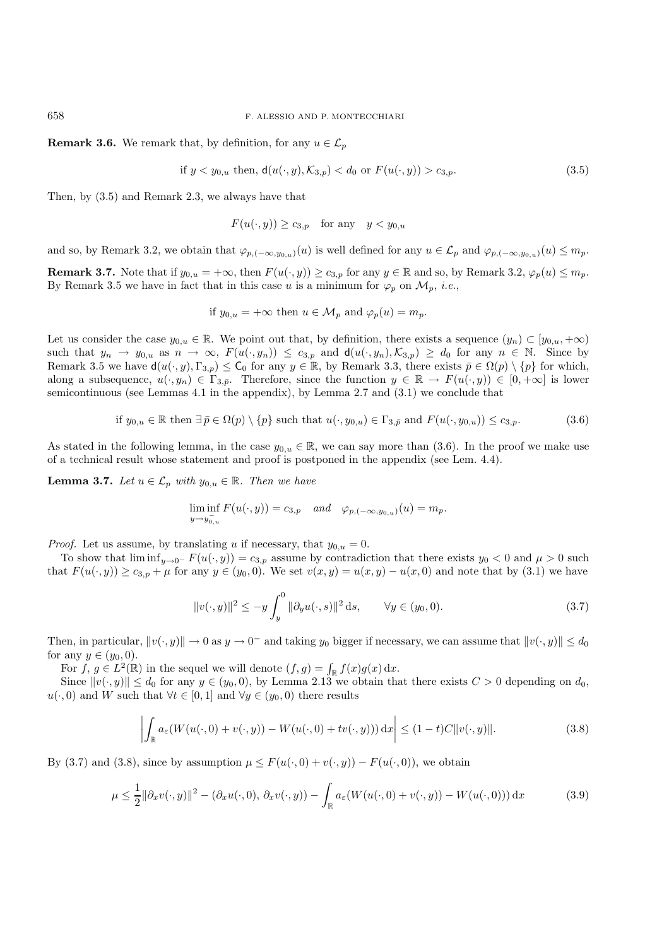658 F. ALESSIO AND P. MONTECCHIARI

**Remark 3.6.** We remark that, by definition, for any  $u \in \mathcal{L}_n$ 

if  $y < y_{0,u}$  then,  $d(u(\cdot, y), \mathcal{K}_{3,v}) < d_0$  or  $F(u(\cdot, y)) > c_{3,v}$ . (3.5)

Then, by (3.5) and Remark 2.3, we always have that

 $F(u(\cdot, y)) \geq c_{3,p}$  for any  $y < y_{0,u}$ 

and so, by Remark 3.2, we obtain that  $\varphi_{p,(-\infty,y_{0,u})}(u)$  is well defined for any  $u \in \mathcal{L}_p$  and  $\varphi_{p,(-\infty,y_{0,u})}(u) \leq m_p$ .

**Remark 3.7.** Note that if  $y_{0,u} = +\infty$ , then  $F(u(\cdot, y)) \ge c_{3,p}$  for any  $y \in \mathbb{R}$  and so, by Remark 3.2,  $\varphi_p(u) \le m_p$ . By Remark 3.5 we have in fact that in this case u is a minimum for  $\varphi_p$  on  $\mathcal{M}_p$ , *i.e.*,

if 
$$
y_{0,u} = +\infty
$$
 then  $u \in \mathcal{M}_p$  and  $\varphi_p(u) = m_p$ .

Let us consider the case  $y_{0,u} \in \mathbb{R}$ . We point out that, by definition, there exists a sequence  $(y_n) \subset [y_{0,u}, +\infty)$ such that  $y_n \to y_{0,u}$  as  $n \to \infty$ ,  $F(u(\cdot, y_n)) \leq c_{3,p}$  and  $d(u(\cdot, y_n), \mathcal{K}_{3,p}) \geq d_0$  for any  $n \in \mathbb{N}$ . Since by Remark 3.5 we have  $d(u(\cdot, y), \Gamma_{3,p}) \leq C_0$  for any  $y \in \mathbb{R}$ , by Remark 3.3, there exists  $\bar{p} \in \Omega(p) \setminus \{p\}$  for which, along a subsequence,  $u(\cdot, y_n) \in \Gamma_{3,\bar{p}}$ . Therefore, since the function  $y \in \mathbb{R} \to F(u(\cdot, y)) \in [0, +\infty]$  is lower semicontinuous (see Lemmas 4.1 in the appendix), by Lemma 2.7 and (3.1) we conclude that

if 
$$
y_{0,u} \in \mathbb{R}
$$
 then  $\exists \bar{p} \in \Omega(p) \setminus \{p\}$  such that  $u(\cdot, y_{0,u}) \in \Gamma_{3,\bar{p}}$  and  $F(u(\cdot, y_{0,u})) \leq c_{3,p}$ . (3.6)

As stated in the following lemma, in the case  $y_{0,u} \in \mathbb{R}$ , we can say more than (3.6). In the proof we make use of a technical result whose statement and proof is postponed in the appendix (see Lem. 4.4).

**Lemma 3.7.** *Let*  $u \in \mathcal{L}_p$  *with*  $y_{0,u} \in \mathbb{R}$ *. Then we have* 

$$
\liminf_{y \to y_{0,u}^-} F(u(\cdot, y)) = c_{3,p} \quad and \quad \varphi_{p, (-\infty, y_{0,u})}(u) = m_p.
$$

*Proof.* Let us assume, by translating u if necessary, that  $y_{0,u} = 0$ .

To show that  $\liminf_{y\to 0^-} F(u(\cdot, y)) = c_{3,p}$  assume by contradiction that there exists  $y_0 < 0$  and  $\mu > 0$  such that  $F(u(\cdot, y)) \ge c_{3,p} + \mu$  for any  $y \in (y_0, 0)$ . We set  $v(x, y) = u(x, y) - u(x, 0)$  and note that by (3.1) we have

$$
||v(\cdot, y)||^{2} \le -y \int_{y}^{0} ||\partial_{y}u(\cdot, s)||^{2} ds, \qquad \forall y \in (y_{0}, 0).
$$
 (3.7)

Then, in particular,  $||v(\cdot, y)|| \to 0$  as  $y \to 0^-$  and taking  $y_0$  bigger if necessary, we can assume that  $||v(\cdot, y)|| \leq d_0$ for any  $y \in (y_0, 0)$ .

For  $f, g \in L^2(\mathbb{R})$  in the sequel we will denote  $(f, g) = \int_{\mathbb{R}} f(x)g(x) dx$ .

Since  $||v(\cdot, y)|| \leq d_0$  for any  $y \in (y_0, 0)$ , by Lemma 2.13 we obtain that there exists  $C > 0$  depending on  $d_0$ ,  $u(\cdot, 0)$  and W such that  $\forall t \in [0, 1]$  and  $\forall y \in (y_0, 0)$  there results

$$
\left| \int_{\mathbb{R}} a_{\varepsilon}(W(u(\cdot,0) + v(\cdot,y)) - W(u(\cdot,0) + tv(\cdot,y))) \,dx \right| \leq (1-t)C \|v(\cdot,y)\|.
$$
 (3.8)

By (3.7) and (3.8), since by assumption  $\mu \leq F(u(\cdot, 0) + v(\cdot, y)) - F(u(\cdot, 0))$ , we obtain

$$
\mu \leq \frac{1}{2} \|\partial_x v(\cdot, y)\|^2 - (\partial_x u(\cdot, 0), \partial_x v(\cdot, y)) - \int_{\mathbb{R}} a_{\varepsilon}(W(u(\cdot, 0) + v(\cdot, y)) - W(u(\cdot, 0))) \, \mathrm{d}x \tag{3.9}
$$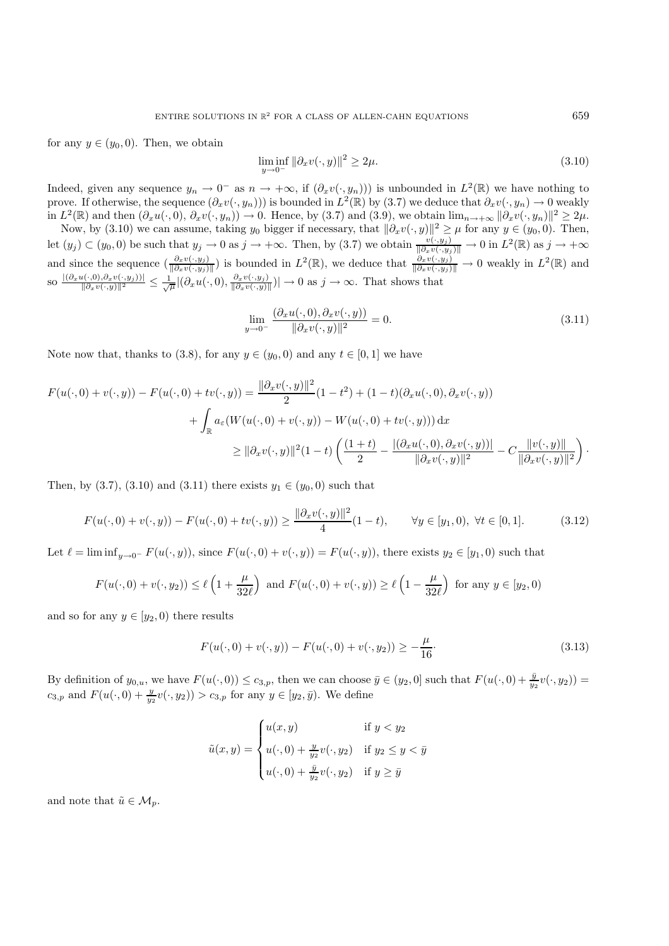for any  $y \in (y_0, 0)$ . Then, we obtain

$$
\liminf_{y \to 0^-} \|\partial_x v(\cdot, y)\|^2 \ge 2\mu. \tag{3.10}
$$

Indeed, given any sequence  $y_n \to 0^-$  as  $n \to +\infty$ , if  $(\partial_x v(\cdot, y_n))$  is unbounded in  $L^2(\mathbb{R})$  we have nothing to prove. If otherwise, the sequence  $(\partial_x v(\cdot, y_n))$  is bounded in  $L^2(\mathbb{R})$  by (3.7) we deduce that  $\partial_x v(\cdot, y_n) \to 0$  weakly in  $L^2(\mathbb{R})$  and then  $(\partial_x u(\cdot, 0), \partial_x v(\cdot, y_n)) \to 0$ . Hence, by (3.7) and (3.9), we obtain  $\lim_{n\to+\infty} ||\partial_x v(\cdot, y_n)||^2 \geq 2\mu$ .

Now, by (3.10) we can assume, taking  $y_0$  bigger if necessary, that  $\|\partial_x v(\cdot, y)\|^2 \geq \mu$  for any  $y \in (y_0, 0)$ . Then, let  $(y_j) \subset (y_0, 0)$  be such that  $y_j \to 0$  as  $j \to +\infty$ . Then, by  $(3.7)$  we obtain  $\frac{v(\cdot, y_j)}{\|\partial_x v(\cdot, y_j)\|} \to 0$  in  $L^2(\mathbb{R})$  as  $j \to +\infty$ and since the sequence  $\left(\frac{\partial_x v(\cdot, y_j)}{\partial_x v(\cdot, y_j)}\right]$  is bounded in  $L^2(\mathbb{R})$ , we deduce that  $\frac{\partial_x v(\cdot, y_j)}{\partial_x v(\cdot, y_j)}$  → 0 weakly in  $L^2(\mathbb{R})$  and  $\sup_{\|\partial_x u(\cdot,0),\partial_x v(\cdot,y_j)\|^2} \leq \frac{1}{\sqrt{\mu}} |\left(\partial_x u(\cdot,0),\frac{\partial_x v(\cdot,y_j)}{\partial_x v(\cdot,y)}\right)| \to 0 \text{ as } j \to \infty.$  That shows that

$$
\lim_{y \to 0^-} \frac{(\partial_x u(\cdot, 0), \partial_x v(\cdot, y))}{\|\partial_x v(\cdot, y)\|^2} = 0.
$$
\n(3.11)

Note now that, thanks to (3.8), for any  $y \in (y_0, 0)$  and any  $t \in [0, 1]$  we have

$$
F(u(\cdot,0) + v(\cdot,y)) - F(u(\cdot,0) + tv(\cdot,y)) = \frac{\|\partial_x v(\cdot,y)\|^2}{2} (1-t^2) + (1-t)(\partial_x u(\cdot,0), \partial_x v(\cdot,y))
$$
  
+ 
$$
\int_{\mathbb{R}} a_{\varepsilon}(W(u(\cdot,0) + v(\cdot,y)) - W(u(\cdot,0) + tv(\cdot,y))) dx
$$
  

$$
\geq \|\partial_x v(\cdot,y)\|^2 (1-t) \left( \frac{(1+t)}{2} - \frac{|(\partial_x u(\cdot,0), \partial_x v(\cdot,y))|}{\|\partial_x v(\cdot,y)\|^2} - C \frac{\|v(\cdot,y)\|}{\|\partial_x v(\cdot,y)\|^2} \right).
$$

Then, by (3.7), (3.10) and (3.11) there exists  $y_1 \in (y_0, 0)$  such that

$$
F(u(\cdot,0) + v(\cdot,y)) - F(u(\cdot,0) + tv(\cdot,y)) \ge \frac{\|\partial_x v(\cdot,y)\|^2}{4}(1-t), \qquad \forall y \in [y_1,0), \ \forall t \in [0,1].
$$
 (3.12)

Let  $\ell = \liminf_{y\to 0^-} F(u(\cdot, y))$ , since  $F(u(\cdot, 0) + v(\cdot, y)) = F(u(\cdot, y))$ , there exists  $y_2 \in [y_1, 0)$  such that

$$
F(u(\cdot,0) + v(\cdot,y_2)) \le \ell\left(1 + \frac{\mu}{32\ell}\right) \text{ and } F(u(\cdot,0) + v(\cdot,y)) \ge \ell\left(1 - \frac{\mu}{32\ell}\right) \text{ for any } y \in [y_2,0)
$$

and so for any  $y \in [y_2, 0)$  there results

$$
F(u(\cdot,0) + v(\cdot,y)) - F(u(\cdot,0) + v(\cdot,y_2)) \ge -\frac{\mu}{16}.
$$
\n(3.13)

By definition of  $y_{0,u}$ , we have  $F(u(\cdot,0)) \leq c_{3,p}$ , then we can choose  $\bar{y} \in (y_2,0]$  such that  $F(u(\cdot,0) + \frac{\bar{y}}{y_2}v(\cdot,y_2)) =$  $c_{3,p}$  and  $F(u(\cdot, 0) + \frac{y}{y_2}v(\cdot, y_2)) > c_{3,p}$  for any  $y \in [y_2, \bar{y})$ . We define

$$
\tilde{u}(x, y) = \begin{cases}\nu(x, y) & \text{if } y < y_2 \\
u(\cdot, 0) + \frac{y}{y_2}v(\cdot, y_2) & \text{if } y_2 \le y < \bar{y} \\
u(\cdot, 0) + \frac{\bar{y}}{y_2}v(\cdot, y_2) & \text{if } y \ge \bar{y}\n\end{cases}
$$

and note that  $\tilde{u} \in \mathcal{M}_p$ .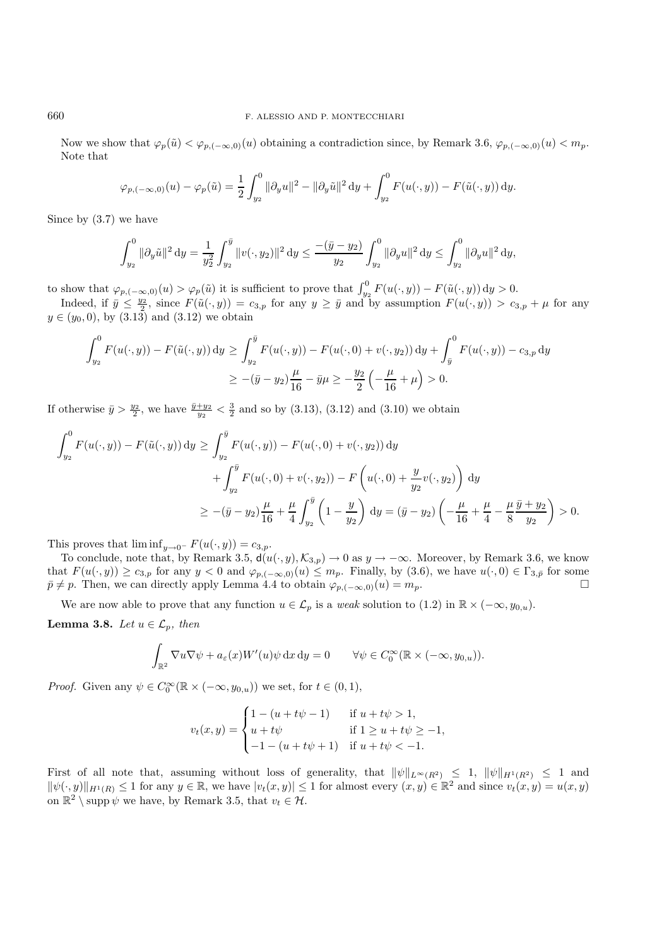Now we show that  $\varphi_p(\tilde{u}) < \varphi_{p,(-\infty,0)}(u)$  obtaining a contradiction since, by Remark 3.6,  $\varphi_{p,(-\infty,0)}(u) < m_p$ . Note that

$$
\varphi_{p,(-\infty,0)}(u) - \varphi_p(\tilde{u}) = \frac{1}{2} \int_{y_2}^0 \|\partial_y u\|^2 - \|\partial_y \tilde{u}\|^2 \, \mathrm{d}y + \int_{y_2}^0 F(u(\cdot,y)) - F(\tilde{u}(\cdot,y)) \, \mathrm{d}y.
$$

Since by (3.7) we have

$$
\int_{y_2}^0 \|\partial_y \tilde{u}\|^2 \, \mathrm{d}y = \frac{1}{y_2^2} \int_{y_2}^{\bar{y}} \|v(\cdot, y_2)\|^2 \, \mathrm{d}y \le \frac{-(\bar{y} - y_2)}{y_2} \int_{y_2}^0 \|\partial_y u\|^2 \, \mathrm{d}y \le \int_{y_2}^0 \|\partial_y u\|^2 \, \mathrm{d}y,
$$

to show that  $\varphi_{p,(-\infty,0)}(u) > \varphi_p(\tilde{u})$  it is sufficient to prove that  $\int_{y_2}^0 F(u(\cdot,y)) - F(\tilde{u}(\cdot,y)) dy > 0$ .

Indeed, if  $\overline{y} \le \frac{y_2}{2}$ , since  $F(\tilde{u}(\cdot, y)) = c_{3,p}$  for any  $y \ge \overline{y}$  and by assumption  $F(u(\cdot, y)) > c_{3,p} + \mu$  for any  $y \in (y_0, 0)$ , by  $(3.13)$  and  $(3.12)$  we obtain

$$
\int_{y_2}^{0} F(u(\cdot, y)) - F(\tilde{u}(\cdot, y)) dy \ge \int_{y_2}^{\bar{y}} F(u(\cdot, y)) - F(u(\cdot, 0) + v(\cdot, y_2)) dy + \int_{\bar{y}}^{0} F(u(\cdot, y)) - c_{3, p} dy
$$
  

$$
\ge -(\bar{y} - y_2) \frac{\mu}{16} - \bar{y}\mu \ge -\frac{y_2}{2} \left( -\frac{\mu}{16} + \mu \right) > 0.
$$

If otherwise  $\bar{y} > \frac{y_2}{2}$ , we have  $\frac{\bar{y}+y_2}{y_2} < \frac{3}{2}$  and so by (3.13), (3.12) and (3.10) we obtain

$$
\int_{y_2}^{0} F(u(\cdot, y)) - F(\tilde{u}(\cdot, y)) dy \ge \int_{y_2}^{\bar{y}} F(u(\cdot, y)) - F(u(\cdot, 0) + v(\cdot, y_2)) dy
$$
  
+ 
$$
\int_{y_2}^{\bar{y}} F(u(\cdot, 0) + v(\cdot, y_2)) - F(u(\cdot, 0) + \frac{y}{y_2}v(\cdot, y_2)) dy
$$
  

$$
\ge -(\bar{y} - y_2)\frac{\mu}{16} + \frac{\mu}{4} \int_{y_2}^{\bar{y}} \left(1 - \frac{y}{y_2}\right) dy = (\bar{y} - y_2) \left(-\frac{\mu}{16} + \frac{\mu}{4} - \frac{\mu}{8} \frac{\bar{y} + y_2}{y_2}\right) > 0.
$$

This proves that  $\liminf_{y\to 0^-} F(u(\cdot, y)) = c_{3,p}$ .

To conclude, note that, by Remark 3.5,  $d(u(\cdot, y), \mathcal{K}_{3,p}) \to 0$  as  $y \to -\infty$ . Moreover, by Remark 3.6, we know that  $F(u(\cdot, y)) \ge c_{3,p}$  for any  $y < 0$  and  $\varphi_{p, (-\infty, 0)}(u) \le m_p$ . Finally, by (3.6), we have  $u(\cdot, 0) \in \Gamma_{3,p}$  for some  $\bar{p} \neq p$ . Then, we can directly apply Lemma 4.4 to obtain  $\varphi_{p,(-\infty,0)}(u) = m_p$ .

We are now able to prove that any function  $u \in \mathcal{L}_p$  is a *weak* solution to (1.2) in  $\mathbb{R} \times (-\infty, y_{0,u})$ . **Lemma 3.8.** *Let*  $u \in \mathcal{L}_p$ *, then* 

$$
\int_{\mathbb{R}^2} \nabla u \nabla \psi + a_{\varepsilon}(x) W'(u) \psi \,dx \,dy = 0 \qquad \forall \psi \in C_0^{\infty}(\mathbb{R} \times (-\infty, y_{0,u})).
$$

*Proof.* Given any  $\psi \in C_0^{\infty}(\mathbb{R} \times (-\infty, y_{0,u}))$  we set, for  $t \in (0,1)$ ,

$$
v_t(x,y) = \begin{cases} 1 - (u + t\psi - 1) & \text{if } u + t\psi > 1, \\ u + t\psi & \text{if } 1 \ge u + t\psi \ge -1, \\ -1 - (u + t\psi + 1) & \text{if } u + t\psi < -1. \end{cases}
$$

First of all note that, assuming without loss of generality, that  $\|\psi\|_{L^{\infty}(R^2)} \leq 1$ ,  $\|\psi\|_{H^1(R^2)} \leq 1$  and  $\|\psi(\cdot,y)\|_{H^1(R)} \leq 1$  for any  $y \in \mathbb{R}$ , we have  $|v_t(x,y)| \leq 1$  for almost every  $(x,y) \in \mathbb{R}^2$  and since  $v_t(x,y) = u(x,y)$ on  $\mathbb{R}^2 \setminus \text{supp } \psi$  we have, by Remark 3.5, that  $v_t \in \mathcal{H}$ .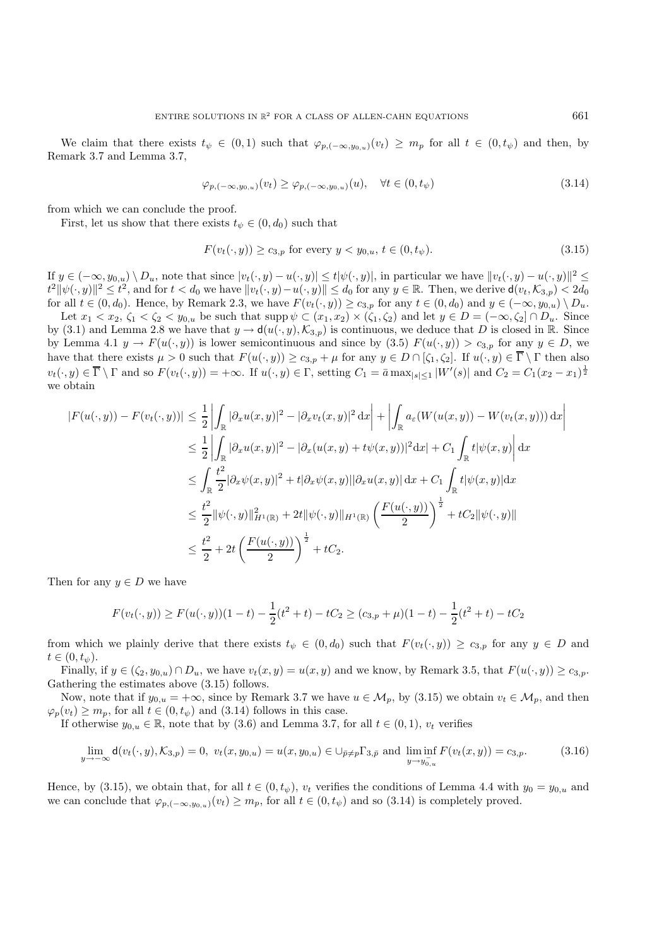We claim that there exists  $t_{\psi} \in (0,1)$  such that  $\varphi_{p,(-\infty,u_{0,\psi})}(v_t) \geq m_p$  for all  $t \in (0,t_{\psi})$  and then, by Remark 3.7 and Lemma 3.7,

$$
\varphi_{p, (-\infty, y_{0,u})}(v_t) \ge \varphi_{p, (-\infty, y_{0,u})}(u), \quad \forall t \in (0, t_{\psi})
$$
\n
$$
(3.14)
$$

from which we can conclude the proof.

First, let us show that there exists  $t_{\psi} \in (0, d_0)$  such that

$$
F(v_t(\cdot, y)) \ge c_{3,p} \text{ for every } y < y_{0,u}, \, t \in (0, t_\psi). \tag{3.15}
$$

If  $y \in (-\infty, y_{0,u}) \setminus D_u$ , note that since  $|v_t(\cdot, y) - u(\cdot, y)| \le t |\psi(\cdot, y)|$ , in particular we have  $||v_t(\cdot, y) - u(\cdot, y)||^2 \le$  $\|t^2\|\psi(\cdot,y)\|^2 \leq t^2$ , and for  $t < d_0$  we have  $\|v_t(\cdot,y)-u(\cdot,y)\| \leq d_0$  for any  $y \in \mathbb{R}$ . Then, we derive  $\mathsf{d}(v_t, \mathcal{K}_{3,p}) < 2d_0$ for all  $t \in (0, d_0)$ . Hence, by Remark 2.3, we have  $F(v_t(\cdot, y)) \ge c_{3,p}$  for any  $t \in (0, d_0)$  and  $y \in (-\infty, y_{0,u}) \setminus D_u$ .

Let  $x_1 < x_2$ ,  $\zeta_1 < \zeta_2 < y_{0,u}$  be such that supp  $\psi \subset (x_1, x_2) \times (\zeta_1, \zeta_2)$  and let  $y \in D = (-\infty, \zeta_2] \cap D_u$ . Since by (3.1) and Lemma 2.8 we have that  $y \to d(u(\cdot, y), \mathcal{K}_{3,p})$  is continuous, we deduce that D is closed in R. Since by Lemma 4.1  $y \to F(u(\cdot, y))$  is lower semicontinuous and since by (3.5)  $F(u(\cdot, y)) > c_{3,p}$  for any  $y \in D$ , we have that there exists  $\mu > 0$  such that  $F(u(\cdot, y)) \ge c_{3,p} + \mu$  for any  $y \in D \cap [\zeta_1, \zeta_2]$ . If  $u(\cdot, y) \in \overline{\Gamma} \setminus \Gamma$  then also  $v_t(\cdot, y) \in \overline{\Gamma} \setminus \Gamma$  and so  $F(v_t(\cdot, y)) = +\infty$ . If  $u(\cdot, y) \in \Gamma$ , setting  $C_1 = \overline{a} \max_{|s| \leq 1} |W'(s)|$  and  $C_2 = C_1(x_2 - x_1)^{\frac{1}{2}}$ we obtain

$$
|F(u(\cdot,y)) - F(v_t(\cdot,y))| \leq \frac{1}{2} \left| \int_{\mathbb{R}} |\partial_x u(x,y)|^2 - |\partial_x v_t(x,y)|^2 dx \right| + \left| \int_{\mathbb{R}} a_{\varepsilon}(W(u(x,y)) - W(v_t(x,y))) dx \right|
$$
  
\n
$$
\leq \frac{1}{2} \left| \int_{\mathbb{R}} |\partial_x u(x,y)|^2 - |\partial_x(u(x,y) + t\psi(x,y))|^2 dx \right| + C_1 \int_{\mathbb{R}} t|\psi(x,y)| dx
$$
  
\n
$$
\leq \int_{\mathbb{R}} \frac{t^2}{2} |\partial_x \psi(x,y)|^2 + t|\partial_x \psi(x,y)||\partial_x u(x,y)| dx + C_1 \int_{\mathbb{R}} t|\psi(x,y)| dx
$$
  
\n
$$
\leq \frac{t^2}{2} \|\psi(\cdot,y)\|_{H^1(\mathbb{R})}^2 + 2t \|\psi(\cdot,y)\|_{H^1(\mathbb{R})} \left(\frac{F(u(\cdot,y))}{2}\right)^{\frac{1}{2}} + tC_2 \|\psi(\cdot,y)\|
$$
  
\n
$$
\leq \frac{t^2}{2} + 2t \left(\frac{F(u(\cdot,y))}{2}\right)^{\frac{1}{2}} + tC_2.
$$

Then for any  $y \in D$  we have

$$
F(v_t(\cdot, y)) \ge F(u(\cdot, y))(1 - t) - \frac{1}{2}(t^2 + t) - tC_2 \ge (c_{3, p} + \mu)(1 - t) - \frac{1}{2}(t^2 + t) - tC_2
$$

from which we plainly derive that there exists  $t_{\psi} \in (0, d_0)$  such that  $F(v_t(\cdot, y)) \ge c_{3,p}$  for any  $y \in D$  and  $t\in (0,t_{\psi}).$ 

Finally, if  $y \in (\zeta_2, y_{0,u}) \cap D_u$ , we have  $v_t(x, y) = u(x, y)$  and we know, by Remark 3.5, that  $F(u(\cdot, y)) \ge c_{3,p}$ . Gathering the estimates above (3.15) follows.

Now, note that if  $y_{0,u} = +\infty$ , since by Remark 3.7 we have  $u \in \mathcal{M}_p$ , by (3.15) we obtain  $v_t \in \mathcal{M}_p$ , and then  $\varphi_p(v_t) \geq m_p$ , for all  $t \in (0, t_{\psi})$  and  $(3.14)$  follows in this case.

If otherwise  $y_{0,u} \in \mathbb{R}$ , note that by (3.6) and Lemma 3.7, for all  $t \in (0,1)$ ,  $v_t$  verifies

$$
\lim_{y \to -\infty} \mathsf{d}(v_t(\cdot, y), \mathcal{K}_{3,p}) = 0, \ v_t(x, y_{0,u}) = u(x, y_{0,u}) \in \bigcup_{\bar{p} \neq p} \Gamma_{3,\bar{p}} \text{ and } \liminf_{y \to y_{0,u}^-} F(v_t(x, y)) = c_{3,p}. \tag{3.16}
$$

Hence, by (3.15), we obtain that, for all  $t \in (0, t_{\psi})$ ,  $v_t$  verifies the conditions of Lemma 4.4 with  $y_0 = y_{0,u}$  and we can conclude that  $\varphi_{p,(-\infty,y_{0,u})}(v_t) \geq m_p$ , for all  $t \in (0,t_{\psi})$  and so (3.14) is completely proved.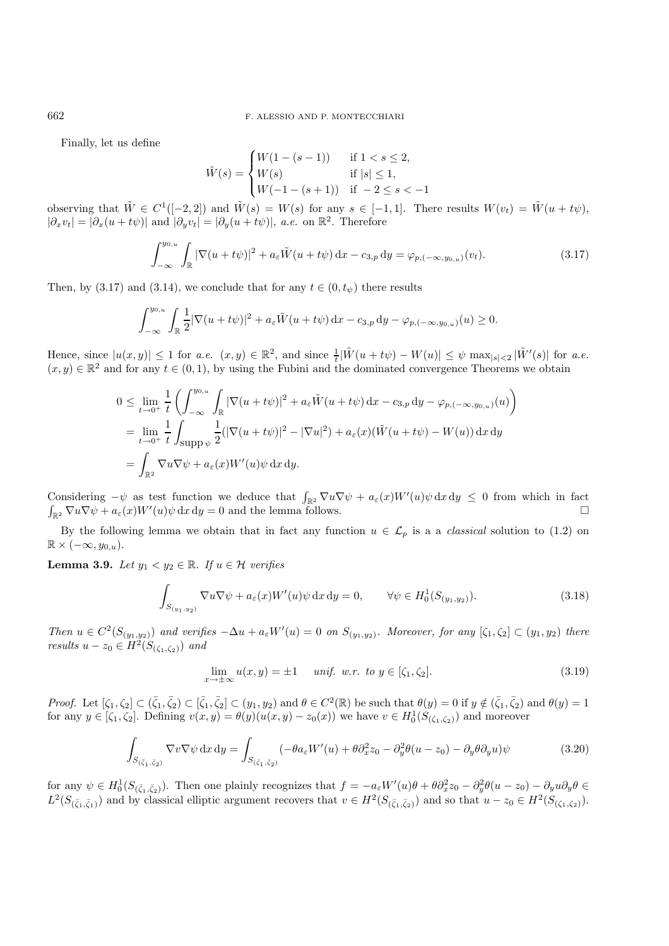Finally, let us define

$$
\tilde{W}(s) = \begin{cases}\nW(1 - (s - 1)) & \text{if } 1 < s \le 2, \\
W(s) & \text{if } |s| \le 1, \\
W(-1 - (s + 1)) & \text{if } -2 \le s < -1\n\end{cases}
$$

observing that  $\tilde{W} \in C^1([-2, 2])$  and  $\tilde{W}(s) = W(s)$  for any  $s \in [-1, 1]$ . There results  $W(v_t) = \tilde{W}(u + t\psi)$ ,  $|\partial_xv_t| = |\partial_x(u+t\psi)|$  and  $|\partial_yv_t| = |\partial_y(u+t\psi)|$ , *a.e.* on  $\mathbb{R}^2$ . Therefore

$$
\int_{-\infty}^{y_{0,u}} \int_{\mathbb{R}} |\nabla(u+t\psi)|^2 + a_{\varepsilon} \tilde{W}(u+t\psi) dx - c_{3,p} dy = \varphi_{p,(-\infty,y_{0,u})}(v_t).
$$
 (3.17)

Then, by (3.17) and (3.14), we conclude that for any  $t \in (0, t_{\psi})$  there results

$$
\int_{-\infty}^{y_{0,u}} \int_{\mathbb{R}} \frac{1}{2} |\nabla(u+t\psi)|^2 + a_{\varepsilon} \tilde{W}(u+t\psi) \,dx - c_{3,p} \,dy - \varphi_{p,(-\infty,y_{0,u})}(u) \ge 0.
$$

Hence, since  $|u(x,y)| \leq 1$  for *a.e.*  $(x,y) \in \mathbb{R}^2$ , and since  $\frac{1}{t}|\tilde{W}(u+t\psi) - W(u)| \leq \psi \max_{|s| \leq 2} |\tilde{W}'(s)|$  for *a.e.*  $(x, y) \in \mathbb{R}^2$  and for any  $t \in (0, 1)$ , by using the Fubini and the dominated convergence Theorems we obtain

$$
0 \leq \lim_{t \to 0^+} \frac{1}{t} \left( \int_{-\infty}^{y_{0,u}} \int_{\mathbb{R}} |\nabla(u + t\psi)|^2 + a_{\varepsilon} \tilde{W}(u + t\psi) dx - c_{3,p} dy - \varphi_{p,(-\infty, y_{0,u})}(u) \right)
$$
  
\n
$$
= \lim_{t \to 0^+} \frac{1}{t} \int_{\text{supp }\psi} \frac{1}{2} (|\nabla(u + t\psi)|^2 - |\nabla u|^2) + a_{\varepsilon}(x) (\tilde{W}(u + t\psi) - W(u)) dx dy
$$
  
\n
$$
= \int_{\mathbb{R}^2} \nabla u \nabla \psi + a_{\varepsilon}(x) W'(u) \psi dx dy.
$$

Considering  $-\psi$  as test function we deduce that  $\int_{\mathbb{R}^2} \nabla u \nabla \psi + a_\varepsilon(x) W'(u) \psi \,dx \,dy \leq 0$  from which in fact  $\int_{\mathbb{R}^2} \nabla u \nabla \psi + a_\varepsilon(x) W'(u) \psi \,dx \,dy = 0$  and the lemma follows.

By the following lemma we obtain that in fact any function  $u \in \mathcal{L}_p$  is a a *classical* solution to (1.2) on  $\mathbb{R} \times (-\infty, y_{0,u}).$ 

**Lemma 3.9.** *Let*  $y_1 < y_2 \in \mathbb{R}$ *. If*  $u \in \mathcal{H}$  *verifies* 

$$
\int_{S_{(y_1,y_2)}} \nabla u \nabla \psi + a_{\varepsilon}(x) W'(u) \psi \, \mathrm{d}x \, \mathrm{d}y = 0, \qquad \forall \psi \in H_0^1(S_{(y_1,y_2)}). \tag{3.18}
$$

*Then*  $u \in C^2(S_{(y_1,y_2)})$  *and verifies*  $-\Delta u + a_{\varepsilon}W'(u) = 0$  *on*  $S_{(y_1,y_2)}$ *. Moreover, for any*  $[\zeta_1, \zeta_2] \subset (y_1, y_2)$  *there results*  $u - z_0 \in H^2(S_{(\zeta_1,\zeta_2)})$  *and* 

$$
\lim_{x \to \pm \infty} u(x, y) = \pm 1 \quad \text{unif. w.r. to } y \in [\zeta_1, \zeta_2]. \tag{3.19}
$$

*Proof.* Let  $[\zeta_1, \zeta_2] \subset (\bar{\zeta}_1, \bar{\zeta}_2) \subset [\bar{\zeta}_1, \bar{\zeta}_2] \subset (y_1, y_2)$  and  $\theta \in C^2(\mathbb{R})$  be such that  $\theta(y) = 0$  if  $y \notin (\bar{\zeta}_1, \bar{\zeta}_2)$  and  $\theta(y) = 1$ for any  $y \in [\zeta_1, \zeta_2]$ . Defining  $v(x, y) = \theta(y)(u(x, y) - z_0(x))$  we have  $v \in H_0^1(S_{(\zeta_1, \zeta_2)})$  and moreover

$$
\int_{S_{(\bar{\zeta}_1,\bar{\zeta}_2)}} \nabla v \nabla \psi \, dx \, dy = \int_{S_{(\bar{\zeta}_1,\bar{\zeta}_2)}} (-\theta a_\varepsilon W'(u) + \theta \partial_x^2 z_0 - \partial_y^2 \theta (u - z_0) - \partial_y \theta \partial_y u) \psi
$$
\n(3.20)

for any  $\psi \in H_0^1(S_{(\bar{\zeta}_1,\bar{\zeta}_2)})$ . Then one plainly recognizes that  $f = -a_\varepsilon W'(u)\theta + \theta \partial_x^2 z_0 - \partial_y^2 \theta(u - z_0) - \partial_y u \partial_y \theta \in$  $L^2(S_{(\bar{\zeta}_1,\bar{\zeta}_1)})$  and by classical elliptic argument recovers that  $v \in H^2(S_{(\bar{\zeta}_1,\bar{\zeta}_2)})$  and so that  $u - z_0 \in H^2(S_{(\zeta_1,\zeta_2)})$ .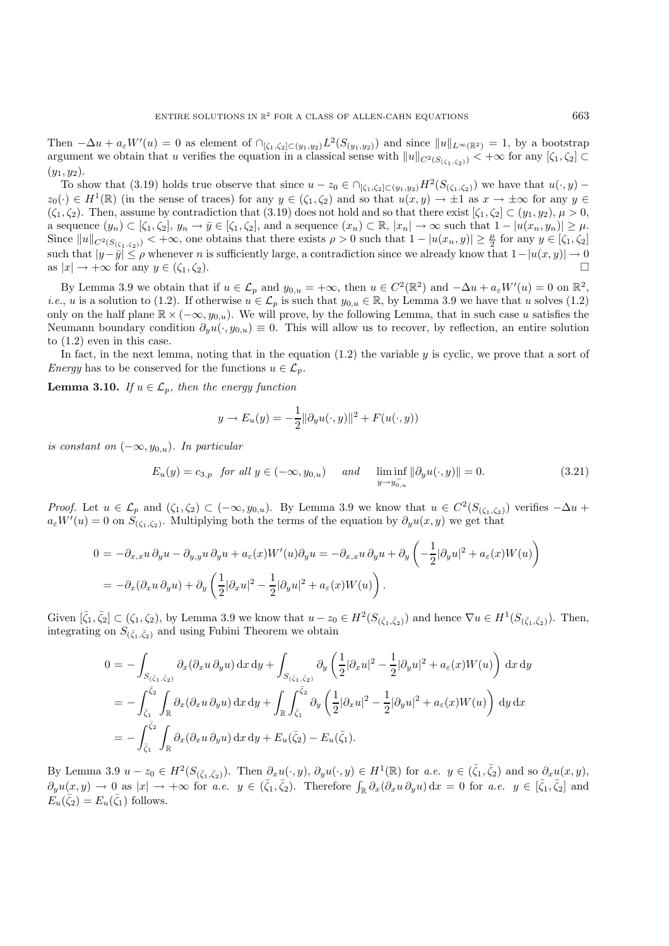Then  $-\Delta u + a_{\varepsilon}W'(u) = 0$  as element of  $\bigcap_{[\zeta_1,\zeta_2]\subset(y_1,y_2)} L^2(S_{(y_1,y_2)})$  and since  $||u||_{L^{\infty}(\mathbb{R}^2)} = 1$ , by a bootstrap argument we obtain that u verifies the equation in a classical sense with  $||u||_{C^2(S_{(\zeta_1,\zeta_2)})} < +\infty$  for any  $[\zeta_1,\zeta_2] \subset$  $(y_1, y_2)$ .

To show that (3.19) holds true observe that since  $u - z_0 \in \bigcap_{[\zeta_1,\zeta_2]\subset (y_1,y_2)} H^2(S_{(\zeta_1,\zeta_2)})$  we have that  $u(\cdot,y)$  –  $z_0(\cdot) \in H^1(\mathbb{R})$  (in the sense of traces) for any  $y \in (\zeta_1, \zeta_2)$  and so that  $u(x, y) \to \pm 1$  as  $x \to \pm \infty$  for any  $y \in \zeta_1$  $(\zeta_1, \zeta_2)$ . Then, assume by contradiction that  $(3.19)$  does not hold and so that there exist  $[\zeta_1, \zeta_2] \subset (y_1, y_2), \mu > 0$ , a sequence  $(y_n) \subset [\zeta_1, \zeta_2], y_n \to \bar{y} \in [\zeta_1, \zeta_2],$  and a sequence  $(x_n) \subset \mathbb{R}, |x_n| \to \infty$  such that  $1 - |u(x_n, y_n)| \geq \mu$ . Since  $||u||_{C^2(S_{(\zeta_1,\zeta_2)})} < +\infty$ , one obtains that there exists  $\rho > 0$  such that  $1 - |u(x_n, y)| \ge \frac{\mu}{2}$  for any  $y \in [\zeta_1, \zeta_2]$ such that  $|y-\overline{y}|\leq \rho$  whenever n is sufficiently large, a contradiction since we already know that  $1-|u(x,y)|\to 0$ as  $|x| \to +\infty$  for any  $y \in (\zeta_1, \zeta_2)$ .

By Lemma 3.9 we obtain that if  $u \in \mathcal{L}_p$  and  $y_{0,u} = +\infty$ , then  $u \in C^2(\mathbb{R}^2)$  and  $-\Delta u + a_\varepsilon W'(u) = 0$  on  $\mathbb{R}^2$ , *i.e.*, u is a solution to (1.2). If otherwise  $u \in \mathcal{L}_p$  is such that  $y_{0,u} \in \mathbb{R}$ , by Lemma 3.9 we have that u solves (1.2) only on the half plane  $\mathbb{R} \times (-\infty, y_{0,u})$ . We will prove, by the following Lemma, that in such case u satisfies the Neumann boundary condition  $\partial_u u(\cdot, y_{0,u}) \equiv 0$ . This will allow us to recover, by reflection, an entire solution to (1.2) even in this case.

In fact, in the next lemma, noting that in the equation  $(1.2)$  the variable  $y$  is cyclic, we prove that a sort of *Energy* has to be conserved for the functions  $u \in \mathcal{L}_p$ .

**Lemma 3.10.** *If*  $u \in \mathcal{L}_p$ *, then the energy function* 

$$
y \to E_u(y) = -\frac{1}{2} ||\partial_y u(\cdot, y)||^2 + F(u(\cdot, y))
$$

*is constant on*  $(-\infty, y_{0,u})$ *. In particular* 

$$
E_u(y) = c_{3,p} \quad \text{for all } y \in (-\infty, y_{0,u}) \quad \text{and} \quad \liminf_{y \to y_{0,u}^-} \|\partial_y u(\cdot, y)\| = 0. \tag{3.21}
$$

*Proof.* Let  $u \in \mathcal{L}_p$  and  $(\zeta_1, \zeta_2) \subset (-\infty, y_{0,u})$ . By Lemma 3.9 we know that  $u \in C^2(S_{(\zeta_1,\zeta_2)})$  verifies  $-\Delta u$  +  $a_{\varepsilon}W'(u) = 0$  on  $S_{(\zeta_1,\zeta_2)}$ . Multiplying both the terms of the equation by  $\partial_y u(x,y)$  we get that

$$
0 = -\partial_{x,x} u \, \partial_y u - \partial_{y,y} u \, \partial_y u + a_{\varepsilon}(x) W'(u) \partial_y u = -\partial_{x,x} u \, \partial_y u + \partial_y \left( -\frac{1}{2} |\partial_y u|^2 + a_{\varepsilon}(x) W(u) \right)
$$
  
= 
$$
-\partial_x (\partial_x u \, \partial_y u) + \partial_y \left( \frac{1}{2} |\partial_x u|^2 - \frac{1}{2} |\partial_y u|^2 + a_{\varepsilon}(x) W(u) \right).
$$

Given  $[\bar{\zeta}_1, \bar{\zeta}_2] \subset (\zeta_1, \zeta_2)$ , by Lemma 3.9 we know that  $u - z_0 \in H^2(S_{(\bar{\zeta}_1, \bar{\zeta}_2)})$  and hence  $\nabla u \in H^1(S_{(\bar{\zeta}_1, \bar{\zeta}_2)})$ . Then, integrating on  $S_{(\bar{\zeta}_1,\bar{\zeta}_2)}$  and using Fubini Theorem we obtain

$$
0 = -\int_{S_{(\bar{\zeta}_1,\bar{\zeta}_2)}} \partial_x(\partial_x u \, \partial_y u) \, dx \, dy + \int_{S_{(\bar{\zeta}_1,\bar{\zeta}_2)}} \partial_y \left(\frac{1}{2}|\partial_x u|^2 - \frac{1}{2}|\partial_y u|^2 + a_{\varepsilon}(x)W(u)\right) \, dx \, dy
$$
  
\n
$$
= -\int_{\bar{\zeta}_1}^{\bar{\zeta}_2} \int_{\mathbb{R}} \partial_x(\partial_x u \, \partial_y u) \, dx \, dy + \int_{\mathbb{R}} \int_{\bar{\zeta}_1}^{\bar{\zeta}_2} \partial_y \left(\frac{1}{2}|\partial_x u|^2 - \frac{1}{2}|\partial_y u|^2 + a_{\varepsilon}(x)W(u)\right) \, dy \, dx
$$
  
\n
$$
= -\int_{\bar{\zeta}_1}^{\bar{\zeta}_2} \int_{\mathbb{R}} \partial_x(\partial_x u \, \partial_y u) \, dx \, dy + E_u(\bar{\zeta}_2) - E_u(\bar{\zeta}_1).
$$

By Lemma 3.9  $u - z_0 \in H^2(S_{(\bar{\zeta}_1,\bar{\zeta}_2)})$ . Then  $\partial_x u(\cdot,y)$ ,  $\partial_y u(\cdot,y) \in H^1(\mathbb{R})$  for *a.e.*  $y \in (\bar{\zeta}_1,\bar{\zeta}_2)$  and so  $\partial_x u(x,y)$ ,  $\partial_y u(x,y) \to 0$  as  $|x| \to +\infty$  for *a.e.*  $y \in (\bar{\zeta}_1, \bar{\zeta}_2)$ . Therefore  $\int_{\mathbb{R}} \partial_x(\partial_x u \partial_y u) dx = 0$  for *a.e.*  $y \in [\bar{\zeta}_1, \bar{\zeta}_2]$  and  $E_u(\bar{\zeta}_2) = E_u(\bar{\zeta}_1)$  follows.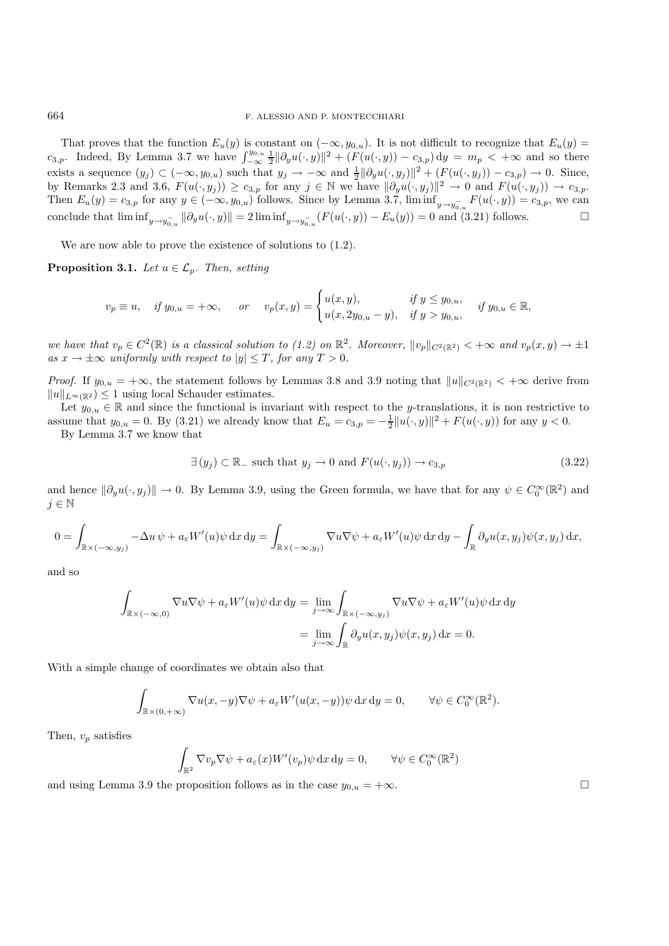That proves that the function  $E_u(y)$  is constant on  $(-\infty, y_{0,u})$ . It is not difficult to recognize that  $E_u(y)$  = c<sub>3,p</sub>. Indeed, By Lemma 3.7 we have  $\int_{-\infty}^{y_{0,u}} \frac{1}{2} ||\partial_y u(\cdot, y)||^2 + (F(u(\cdot, y)) - c_{3,p}) dy = m_p < +\infty$  and so there exists a sequence  $(y_j) \subset (-\infty, y_{0,u})$  such that  $y_j \to -\infty$  and  $\frac{1}{2} ||\partial_y u(\cdot, y_j)||^2 + (F(u(\cdot, y_j)) - c_{3,p}) \to 0$ . Since, by Remarks 2.3 and 3.6,  $F(u(\cdot, y_j)) \ge c_{3,p}$  for any  $j \in \mathbb{N}$  we have  $\|\partial_y u(\cdot, y_j)\|^2 \to 0$  and  $F(u(\cdot, y_j)) \to c_{3,p}$ . Then  $E_u(y) = c_{3,p}$  for any  $y \in (-\infty, y_{0,u})$  follows. Since by Lemma 3.7,  $\liminf_{y \to y_{0,u}^-} F(u(\cdot, y)) = c_{3,p}$ , we can conclude that  $\liminf_{y \to y_{0,u}^-} ||\partial_y u(\cdot, y)|| = 2 \liminf_{y \to y_{0,u}^-} (F(u(\cdot, y)) - E_u(y)) = 0$  and (3.21) follows.

We are now able to prove the existence of solutions to (1.2).

**Proposition 3.1.** *Let*  $u \in \mathcal{L}_p$ *. Then, setting* 

$$
v_p \equiv u, \quad \text{if } y_{0,u} = +\infty, \quad \text{or} \quad v_p(x,y) = \begin{cases} u(x,y), & \text{if } y \leq y_{0,u}, \\ u(x, 2y_{0,u} - y), & \text{if } y > y_{0,u}, \end{cases} \quad \text{if } y_{0,u} \in \mathbb{R},
$$

*we have that*  $v_p \in C^2(\mathbb{R})$  *is a classical solution to (1.2) on*  $\mathbb{R}^2$ *. Moreover,*  $||v_p||_{C^2(\mathbb{R}^2)} < +\infty$  *and*  $v_p(x, y) \to \pm 1$ *as*  $x \to \pm \infty$  *uniformly with respect to*  $|y| \leq T$ *, for any*  $T > 0$ *.* 

*Proof.* If  $y_{0,u} = +\infty$ , the statement follows by Lemmas 3.8 and 3.9 noting that  $||u||_{C^2(\mathbb{R}^2)} < +\infty$  derive from  $||u||_{L^{\infty}(\mathbb{R}^2)} \leq 1$  using local Schauder estimates.

Let  $y_{0,u} \in \mathbb{R}$  and since the functional is invariant with respect to the y-translations, it is non restrictive to assume that  $y_{0,u} = 0$ . By (3.21) we already know that  $E_u = c_{3,p} = -\frac{1}{2} ||u(\cdot, y)||^2 + F(u(\cdot, y))$  for any  $y < 0$ .

By Lemma 3.7 we know that

$$
\exists (y_j) \subset \mathbb{R}_-\text{ such that } y_j \to 0 \text{ and } F(u(\cdot, y_j)) \to c_{3,p} \tag{3.22}
$$

and hence  $\|\partial_y u(\cdot, y_j)\| \to 0$ . By Lemma 3.9, using the Green formula, we have that for any  $\psi \in C_0^{\infty}(\mathbb{R}^2)$  and  $j \in \mathbb{N}$ 

$$
0 = \int_{\mathbb{R} \times (-\infty, y_j)} -\Delta u \psi + a_{\varepsilon} W'(u) \psi \,dx \,dy = \int_{\mathbb{R} \times (-\infty, y_j)} \nabla u \nabla \psi + a_{\varepsilon} W'(u) \psi \,dx \,dy - \int_{\mathbb{R}} \partial_y u(x, y_j) \psi(x, y_j) \,dx,
$$

and so

$$
\int_{\mathbb{R}\times(-\infty,0)} \nabla u \nabla \psi + a_{\varepsilon} W'(u) \psi \,dx \,dy = \lim_{j \to \infty} \int_{\mathbb{R}\times(-\infty,y_j)} \nabla u \nabla \psi + a_{\varepsilon} W'(u) \psi \,dx \,dy
$$
\n
$$
= \lim_{j \to \infty} \int_{\mathbb{R}} \partial_y u(x,y_j) \psi(x,y_j) \,dx = 0.
$$

With a simple change of coordinates we obtain also that

$$
\int_{\mathbb{R}\times(0,+\infty)}\nabla u(x,-y)\nabla\psi + a_{\varepsilon}W'(u(x,-y))\psi \,dx\,dy = 0, \qquad \forall \psi \in C_0^{\infty}(\mathbb{R}^2).
$$

Then,  $v_p$  satisfies

$$
\int_{\mathbb{R}^2} \nabla v_p \nabla \psi + a_\varepsilon(x) W'(v_p) \psi \,dx \,dy = 0, \qquad \forall \psi \in C_0^{\infty}(\mathbb{R}^2)
$$

and using Lemma 3.9 the proposition follows as in the case  $y_{0,u} = +\infty$ .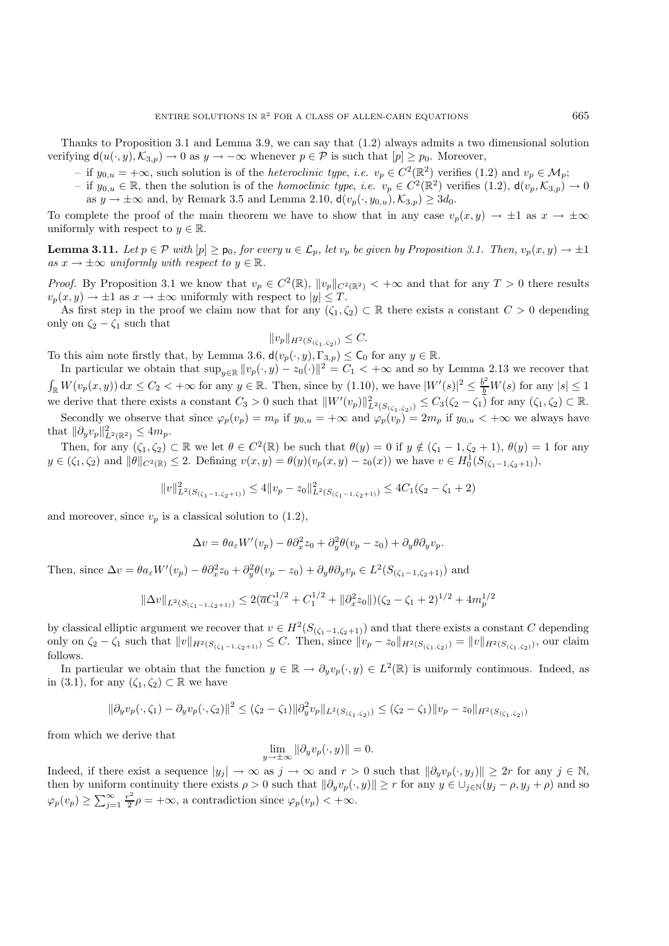Thanks to Proposition 3.1 and Lemma 3.9, we can say that (1.2) always admits a two dimensional solution verifying  $d(u(\cdot, y), \mathcal{K}_{3,p}) \to 0$  as  $y \to -\infty$  whenever  $p \in \mathcal{P}$  is such that  $[p] \geq p_0$ . Moreover,

- $-$  if  $y_{0,u} = +\infty$ , such solution is of the *heteroclinic type*, *i.e.*  $v_p \in C^2(\mathbb{R}^2)$  verifies (1.2) and  $v_p \in \mathcal{M}_p$ ;
- $-$  if  $y_{0,u} \in \mathbb{R}$ , then the solution is of the *homoclinic type*, *i.e.*  $v_p \in C^2(\mathbb{R}^2)$  verifies (1.2),  $d(v_p, \mathcal{K}_{3,p}) \to 0$ 
	- as  $y \to \pm \infty$  and, by Remark 3.5 and Lemma 2.10,  $d(v_p(\cdot, y_{0,u}), \mathcal{K}_{3,p}) \geq 3d_0$ .

To complete the proof of the main theorem we have to show that in any case  $v_p(x, y) \to \pm 1$  as  $x \to \pm \infty$ uniformly with respect to  $y \in \mathbb{R}$ .

**Lemma 3.11.** *Let*  $p \in \mathcal{P}$  *with*  $[p] \geq p_0$ *, for every*  $u \in \mathcal{L}_p$ *, let*  $v_p$  *be given by Proposition 3.1. Then,*  $v_p(x, y) \to \pm 1$ *as*  $x \to \pm \infty$  *uniformly with respect to*  $y \in \mathbb{R}$ *.* 

*Proof.* By Proposition 3.1 we know that  $v_p \in C^2(\mathbb{R})$ ,  $||v_p||_{C^2(\mathbb{R}^2)} < +\infty$  and that for any  $T > 0$  there results  $v_p(x, y) \to \pm 1$  as  $x \to \pm \infty$  uniformly with respect to  $|y| \leq T$ .

As first step in the proof we claim now that for any  $(\zeta_1, \zeta_2) \subset \mathbb{R}$  there exists a constant  $C > 0$  depending only on  $\zeta_2 - \zeta_1$  such that

$$
||v_p||_{H^2(S_{(\zeta_1,\zeta_2)})} \leq C.
$$

To this aim note firstly that, by Lemma 3.6,  $d(v_p(\cdot, y), \Gamma_{3,p}) \leq \mathsf{C}_0$  for any  $y \in \mathbb{R}$ .

In particular we obtain that  $\sup_{y\in\mathbb{R}}||v_p(\cdot,y)-z_0(\cdot)||^2=C_1<+\infty$  and so by Lemma 2.13 we recover that  $\int_{\mathbb{R}} W(v_p(x, y)) dx \leq C_2 < +\infty$  for any  $y \in \mathbb{R}$ . Then, since by (1.10), we have  $|W'(s)|^2 \leq \frac{\bar{b}^2}{b} W(s)$  for any  $|s| \leq 1$ we derive that there exists a constant  $C_3 > 0$  such that  $||W'(v_p)||_{L^2(S_{(\zeta_1,\zeta_2)})}^2 \leq C_3(\zeta_2 - \zeta_1)$  for any  $(\zeta_1,\zeta_2) \subset \mathbb{R}$ . Secondly we observe that since  $\varphi_p(v_p) = m_p$  if  $y_{0,u} = +\infty$  and  $\varphi_p(v_p) = 2m_p$  if  $y_{0,u} < +\infty$  we always have

that  $\|\partial_y v_p\|_{L^2(\mathbb{R}^2)}^2 \leq 4m_p.$ 

Then, for any  $(\zeta_1, \zeta_2) \subset \mathbb{R}$  we let  $\theta \in C^2(\mathbb{R})$  be such that  $\theta(y) = 0$  if  $y \notin (\zeta_1 - 1, \zeta_2 + 1), \theta(y) = 1$  for any  $y \in (\zeta_1, \zeta_2)$  and  $\|\theta\|_{C^2(\mathbb{R})} \leq 2$ . Defining  $v(x, y) = \theta(y)(v_p(x, y) - z_0(x))$  we have  $v \in H_0^1(S_{(\zeta_1-1,\zeta_2+1)}),$ 

$$
||v||_{L^{2}(S_{(\zeta_{1}-1,\zeta_{2}+1)})}^{2} \leq 4||v_{p} - z_{0}||_{L^{2}(S_{(\zeta_{1}-1,\zeta_{2}+1)})}^{2} \leq 4C_{1}(\zeta_{2} - \zeta_{1} + 2)
$$

and moreover, since  $v_p$  is a classical solution to  $(1.2)$ ,

$$
\Delta v = \theta a_{\varepsilon} W'(v_p) - \theta \partial_x^2 z_0 + \partial_y^2 \theta(v_p - z_0) + \partial_y \theta \partial_y v_p.
$$

Then, since  $\Delta v = \theta a_{\varepsilon} W'(v_p) - \theta \partial_x^2 z_0 + \partial_y^2 \theta(v_p - z_0) + \partial_y \theta \partial_y v_p \in L^2(S_{(\zeta_1 - 1, \zeta_2 + 1)})$  and

$$
\|\Delta v\|_{L^2(S_{(\zeta_1-1,\zeta_2+1)})} \le 2(\overline{a}C_3^{1/2} + C_1^{1/2} + \|\partial_x^2 z_0\|)(\zeta_2 - \zeta_1 + 2)^{1/2} + 4m_p^{1/2}
$$

by classical elliptic argument we recover that  $v \in H^2(S_{(\zeta_1-1,\zeta_2+1)})$  and that there exists a constant C depending only on  $\zeta_2 - \zeta_1$  such that  $||v||_{H^2(S_{(\zeta_1-1,\zeta_2+1)})} \leq C$ . Then, since  $||v_p - z_0||_{H^2(S_{(\zeta_1,\zeta_2)})} = ||v||_{H^2(S_{(\zeta_1,\zeta_2)})}$ , our claim follows.

In particular we obtain that the function  $y \in \mathbb{R} \to \partial_y v_p(\cdot, y) \in L^2(\mathbb{R})$  is uniformly continuous. Indeed, as in (3.1), for any  $(\zeta_1, \zeta_2) \subset \mathbb{R}$  we have

$$
\|\partial_y v_p(\cdot,\zeta_1)-\partial_y v_p(\cdot,\zeta_2)\|^2\leq (\zeta_2-\zeta_1)\|\partial_y^2 v_p\|_{L^2(S_{(\zeta_1,\zeta_2)})}\leq (\zeta_2-\zeta_1)\|v_p-z_0\|_{H^2(S_{(\zeta_1,\zeta_2)})}
$$

from which we derive that

$$
\lim_{y \to \pm \infty} \|\partial_y v_p(\cdot, y)\| = 0.
$$

Indeed, if there exist a sequence  $|y_j| \to \infty$  as  $j \to \infty$  and  $r > 0$  such that  $\|\partial_y v_p(\cdot, y_j)\| \geq 2r$  for any  $j \in \mathbb{N}$ , then by uniform continuity there exists  $\rho > 0$  such that  $\|\partial_y v_p(\cdot, y)\| \ge r$  for any  $y \in \bigcup_{j \in \mathbb{N}} (y_j - \rho, y_j + \rho)$  and so  $\varphi_p(v_p) \ge \sum_{j=1}^{\infty} \frac{r^2}{2} \rho = +\infty$ , a contradiction since  $\varphi_p(v_p) < +\infty$ .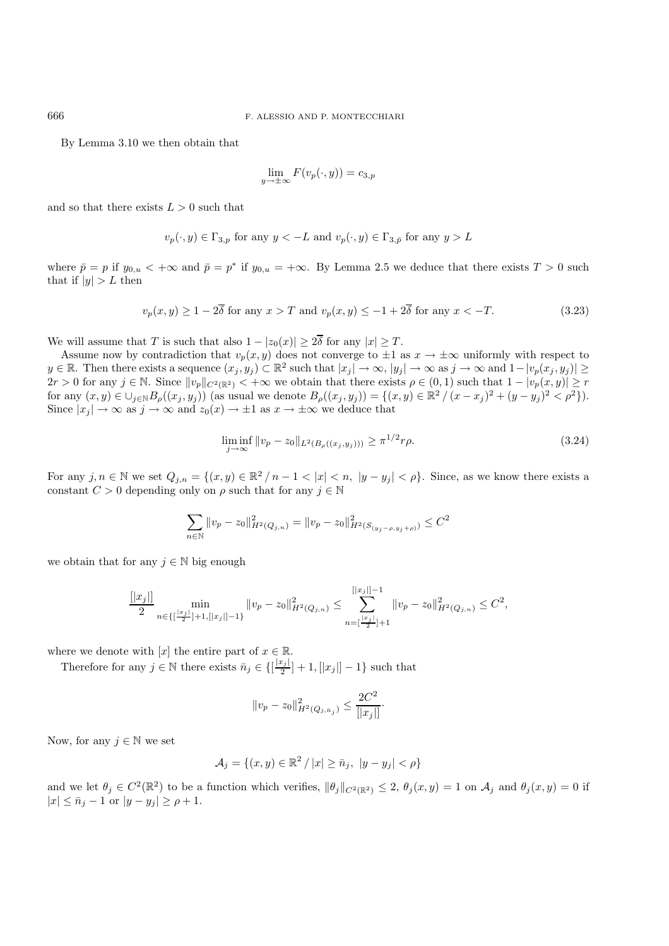By Lemma 3.10 we then obtain that

$$
\lim_{y \to \pm \infty} F(v_p(\cdot, y)) = c_{3,p}
$$

and so that there exists  $L > 0$  such that

$$
v_p(\cdot, y) \in \Gamma_{3,p}
$$
 for any  $y < -L$  and  $v_p(\cdot, y) \in \Gamma_{3,p}$  for any  $y > L$ 

where  $\bar{p} = p$  if  $y_{0,u} < +\infty$  and  $\bar{p} = p^*$  if  $y_{0,u} = +\infty$ . By Lemma 2.5 we deduce that there exists  $T > 0$  such that if  $|y| > L$  then

$$
v_p(x,y) \ge 1 - 2\overline{\delta} \text{ for any } x > T \text{ and } v_p(x,y) \le -1 + 2\overline{\delta} \text{ for any } x < -T. \tag{3.23}
$$

We will assume that T is such that also  $1 - |z_0(x)| \geq 2\overline{\delta}$  for any  $|x| \geq T$ .

Assume now by contradiction that  $v_p(x, y)$  does not converge to  $\pm 1$  as  $x \to \pm \infty$  uniformly with respect to  $y \in \mathbb{R}$ . Then there exists a sequence  $(x_j, y_j) \subset \mathbb{R}^2$  such that  $|x_j| \to \infty$ ,  $|y_j| \to \infty$  as  $j \to \infty$  and  $1-|v_p(x_j, y_j)| \ge$  $2r > 0$  for any  $j \in \mathbb{N}$ . Since  $||v_p||_{C^2(\mathbb{R}^2)} < +\infty$  we obtain that there exists  $\rho \in (0,1)$  such that  $1 - |v_p(x,y)| \geq r$ for any  $(x, y) \in \bigcup_{j \in \mathbb{N}} B_{\rho}((x_j, y_j))$  (as usual we denote  $B_{\rho}((x_j, y_j)) = \{(x, y) \in \mathbb{R}^2 / (x - x_j)^2 + (y - y_j)^2 < \rho^2\}$ ). Since  $|x_j| \to \infty$  as  $j \to \infty$  and  $z_0(x) \to \pm 1$  as  $x \to \pm \infty$  we deduce that

$$
\liminf_{j \to \infty} \|v_p - z_0\|_{L^2(B_\rho((x_j, y_j)))} \ge \pi^{1/2} r \rho.
$$
\n(3.24)

For any  $j, n \in \mathbb{N}$  we set  $Q_{j,n} = \{(x, y) \in \mathbb{R}^2 / n - 1 < |x| < n, |y - y_j| < \rho\}$ . Since, as we know there exists a constant  $C > 0$  depending only on  $\rho$  such that for any  $j \in \mathbb{N}$ 

$$
\sum_{n \in \mathbb{N}} \|v_p - z_0\|_{H^2(Q_{j,n})}^2 = \|v_p - z_0\|_{H^2(S_{(y_j - \rho, y_j + \rho)})}^2 \le C^2
$$

we obtain that for any  $j \in \mathbb{N}$  big enough

$$
\frac{[|x_j|]}{2} \min_{n \in \{ [\frac{|x_j|}{2}]+1, [|x_j|]-1 \}} \|v_p - z_0\|_{H^2(Q_{j,n})}^2 \le \sum_{n = [\frac{|x_j|}{2}]+1}^{[|x_j|]-1} \|v_p - z_0\|_{H^2(Q_{j,n})}^2 \le C^2,
$$

where we denote with [x] the entire part of  $x \in \mathbb{R}$ .

Therefore for any  $j \in \mathbb{N}$  there exists  $\bar{n}_j \in \{[\frac{|x_j|}{2}]+1, [|x_j|]-1\}$  such that

$$
\|v_p-z_0\|_{H^2(Q_{j,\bar{n}_j})}^2\leq \frac{2C^2}{[|x_j|]}.
$$

Now, for any  $j \in \mathbb{N}$  we set

$$
\mathcal{A}_{j} = \{(x, y) \in \mathbb{R}^{2} / |x| \geq \bar{n}_{j}, |y - y_{j}| < \rho\}
$$

and we let  $\theta_j \in C^2(\mathbb{R}^2)$  to be a function which verifies,  $\|\theta_j\|_{C^2(\mathbb{R}^2)} \leq 2$ ,  $\theta_j(x, y) = 1$  on  $\mathcal{A}_j$  and  $\theta_j(x, y) = 0$  if  $|x| \leq \bar{n}_j - 1$  or  $|y - y_j| \geq \rho + 1$ .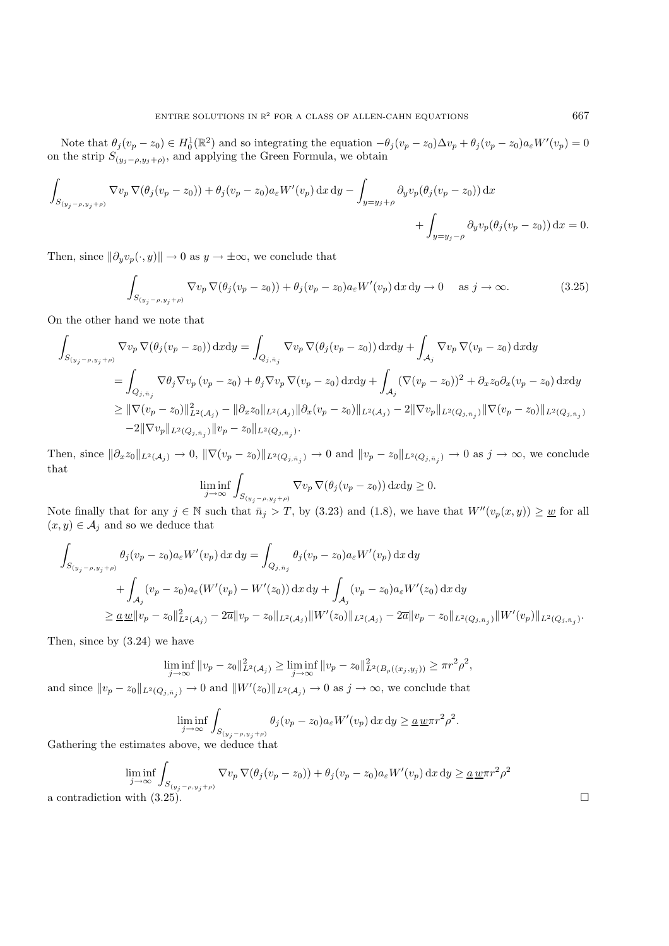Note that  $\theta_j(v_p - z_0) \in H_0^1(\mathbb{R}^2)$  and so integrating the equation  $-\theta_j(v_p - z_0)\Delta v_p + \theta_j(v_p - z_0)a_\varepsilon W'(v_p) = 0$ on the strip  $S_{(y_j-\rho,y_j+\rho)}$ , and applying the Green Formula, we obtain

$$
\int_{S_{(y_j - \rho, y_j + \rho)}} \nabla v_p \nabla (\theta_j (v_p - z_0)) + \theta_j (v_p - z_0) a_\varepsilon W'(v_p) \, dx \, dy - \int_{y = y_j + \rho} \partial_y v_p (\theta_j (v_p - z_0)) \, dx + \int_{y = y_j - \rho} \partial_y v_p (\theta_j (v_p - z_0)) \, dx = 0.
$$

Then, since  $\|\partial_y v_p(\cdot, y)\| \to 0$  as  $y \to \pm \infty$ , we conclude that

$$
\int_{S_{(y_j-\rho,y_j+\rho)}} \nabla v_p \nabla (\theta_j (v_p - z_0)) + \theta_j (v_p - z_0) a_\varepsilon W'(v_p) \,dx \,dy \to 0 \quad \text{as } j \to \infty. \tag{3.25}
$$

On the other hand we note that

$$
\int_{S_{(y_j - \rho, y_j + \rho)}} \nabla v_p \nabla (\theta_j (v_p - z_0)) \,dxdy = \int_{Q_{j, \bar{n}_j}} \nabla v_p \nabla (\theta_j (v_p - z_0)) \,dxdy + \int_{\mathcal{A}_j} \nabla v_p \nabla (v_p - z_0) \,dxdy \n= \int_{Q_{j, \bar{n}_j}} \nabla \theta_j \nabla v_p (v_p - z_0) + \theta_j \nabla v_p \nabla (v_p - z_0) \,dxdy + \int_{\mathcal{A}_j} (\nabla (v_p - z_0))^2 + \partial_x z_0 \partial_x (v_p - z_0) \,dxdy \n\geq ||\nabla (v_p - z_0)||_{L^2(\mathcal{A}_j)}^2 - ||\partial_x z_0||_{L^2(\mathcal{A}_j)} ||\partial_x (v_p - z_0)||_{L^2(\mathcal{A}_j)} - 2||\nabla v_p||_{L^2(Q_{j, \bar{n}_j})} ||\nabla (v_p - z_0)||_{L^2(Q_{j, \bar{n}_j})}.
$$

Then, since  $\|\partial_x z_0\|_{L^2(\mathcal{A}_j)} \to 0$ ,  $\|\nabla (v_p - z_0)\|_{L^2(Q_{j,\bar{n}_j})} \to 0$  and  $\|v_p - z_0\|_{L^2(Q_{j,\bar{n}_j})} \to 0$  as  $j \to \infty$ , we conclude that

$$
\liminf_{j \to \infty} \int_{S_{(y_j - \rho, y_j + \rho)}} \nabla v_p \, \nabla (\theta_j (v_p - z_0)) \, \mathrm{d}x \mathrm{d}y \ge 0.
$$

Note finally that for any  $j \in \mathbb{N}$  such that  $\bar{n}_j > T$ , by (3.23) and (1.8), we have that  $W''(v_p(x, y)) \geq \underline{w}$  for all  $(x, y) \in \mathcal{A}_j$  and so we deduce that

$$
\int_{S_{(y_j - \rho, y_j + \rho)}} \theta_j(v_p - z_0) a_{\varepsilon} W'(v_p) dx dy = \int_{Q_{j, \bar{n}_j}} \theta_j(v_p - z_0) a_{\varepsilon} W'(v_p) dx dy \n+ \int_{\mathcal{A}_j} (v_p - z_0) a_{\varepsilon} (W'(v_p) - W'(z_0)) dx dy + \int_{\mathcal{A}_j} (v_p - z_0) a_{\varepsilon} W'(z_0) dx dy \n\geq \underline{a} \underline{w} \|v_p - z_0\|_{L^2(\mathcal{A}_j)}^2 - 2\overline{a} \|v_p - z_0\|_{L^2(\mathcal{A}_j)} \|W'(z_0)\|_{L^2(\mathcal{A}_j)} - 2\overline{a} \|v_p - z_0\|_{L^2(Q_{j, \bar{n}_j})} \|W'(v_p)\|_{L^2(Q_{j, \bar{n}_j})}.
$$

Then, since by (3.24) we have

$$
\liminf_{j \to \infty} ||v_p - z_0||_{L^2(\mathcal{A}_j)}^2 \ge \liminf_{j \to \infty} ||v_p - z_0||_{L^2(B_\rho((x_j, y_j))}^2 \ge \pi r^2 \rho^2,
$$

and since  $||v_p - z_0||_{L^2(Q_{j,n_j})} \to 0$  and  $||W'(z_0)||_{L^2(\mathcal{A}_j)} \to 0$  as  $j \to \infty$ , we conclude that

$$
\liminf_{j \to \infty} \int_{S_{(y_j - \rho, y_j + \rho)}} \theta_j(v_p - z_0) a_{\varepsilon} W'(v_p) \,dx \,dy \ge \underline{a} \underline{w} \pi r^2 \rho^2.
$$

Gathering the estimates above, we deduce that

$$
\liminf_{j \to \infty} \int_{S(y_j - \rho, y_j + \rho)} \nabla v_p \nabla (\theta_j (v_p - z_0)) + \theta_j (v_p - z_0) a_{\varepsilon} W'(v_p) dx dy \geq \underline{a} \underline{w} \pi r^2 \rho^2
$$
\na contradiction with (3.25).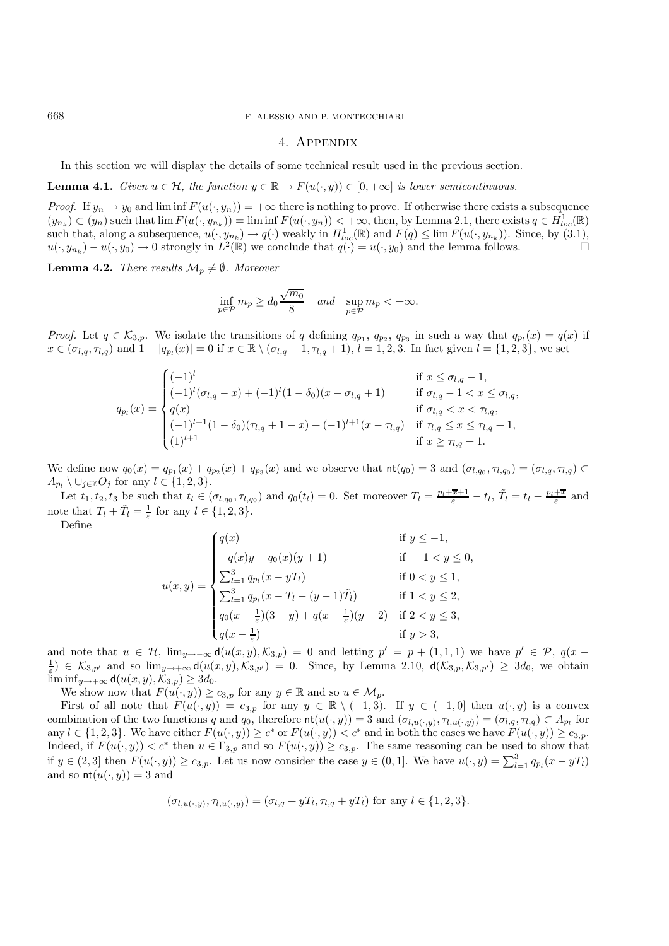#### 668 F. ALESSIO AND P. MONTECCHIARI

#### 4. Appendix

In this section we will display the details of some technical result used in the previous section.

**Lemma 4.1.** *Given*  $u \in \mathcal{H}$ *, the function*  $y \in \mathbb{R} \to F(u(\cdot, y)) \in [0, +\infty]$  *is lower semicontinuous.* 

*Proof.* If  $y_n \to y_0$  and lim inf  $F(u(\cdot, y_n)) = +\infty$  there is nothing to prove. If otherwise there exists a subsequence  $(y_{n_k}) \subset (y_n)$  such that  $\lim F(u(\cdot, y_{n_k})) = \liminf F(u(\cdot, y_n)) < +\infty$ , then, by Lemma 2.1, there exists  $q \in H^1_{loc}(\mathbb{R})$ such that, along a subsequence,  $u(\cdot, y_{n_k}) \to q(\cdot)$  weakly in  $H^1_{loc}(\mathbb{R})$  and  $F(q) \le \lim F(u(\cdot, y_{n_k}))$ . Since, by (3.1),  $u(\cdot, y_{n_k}) - u(\cdot, y_0) \to 0$  strongly in  $L^2(\mathbb{R})$  we conclude that  $q(\cdot) = u(\cdot, y_0)$  and the lemma follows.

**Lemma 4.2.** *There results*  $\mathcal{M}_p \neq \emptyset$ *. Moreover* 

$$
\inf_{p \in \mathcal{P}} m_p \ge d_0 \frac{\sqrt{m_0}}{8} \quad \text{and} \quad \sup_{p \in \mathcal{P}} m_p < +\infty.
$$

*Proof.* Let  $q \in \mathcal{K}_{3,p}$ . We isolate the transitions of q defining  $q_{p_1}, q_{p_2}, q_{p_3}$  in such a way that  $q_{p_l}(x) = q(x)$  if  $x \in (\sigma_{l,q}, \tau_{l,q})$  and  $1 - |q_{p_l}(x)| = 0$  if  $x \in \mathbb{R} \setminus (\sigma_{l,q} - 1, \tau_{l,q} + 1), l = 1, 2, 3$ . In fact given  $l = \{1, 2, 3\}$ , we set

$$
q_{p_l}(x) = \begin{cases} (-1)^l & \text{if } x \leq \sigma_{l,q} - 1, \\ (-1)^l (\sigma_{l,q} - x) + (-1)^l (1 - \delta_0)(x - \sigma_{l,q} + 1) & \text{if } \sigma_{l,q} - 1 < x \leq \sigma_{l,q}, \\ q(x) & \text{if } \sigma_{l,q} < x < \tau_{l,q}, \\ (-1)^{l+1} (1 - \delta_0)(\tau_{l,q} + 1 - x) + (-1)^{l+1}(x - \tau_{l,q}) & \text{if } \tau_{l,q} \leq x \leq \tau_{l,q} + 1, \\ (1)^{l+1} & \text{if } x \geq \tau_{l,q} + 1. \end{cases}
$$

We define now  $q_0(x) = q_{p_1}(x) + q_{p_2}(x) + q_{p_3}(x)$  and we observe that  $\text{nt}(q_0) = 3$  and  $(\sigma_{l,q_0}, \tau_{l,q_0}) = (\sigma_{l,q}, \tau_{l,q}) \subset$  $A_{p_l} \setminus \cup_{j \in \mathbb{Z}} O_j$  for any  $l \in \{1, 2, 3\}.$ 

Let  $t_1, t_2, t_3$  be such that  $t_l \in (\sigma_{l,q_0}, \tau_{l,q_0})$  and  $q_0(t_l) = 0$ . Set moreover  $T_l = \frac{p_l + \overline{x} + 1}{\varepsilon} - t_l$ ,  $\tilde{T}_l = t_l - \frac{p_l + \overline{x}}{\varepsilon}$  and note that  $T_l + \tilde{T}_l = \frac{1}{\varepsilon}$  for any  $l \in \{1, 2, 3\}.$ 

Define

$$
u(x,y) = \begin{cases} q(x) & \text{if } y \le -1, \\ -q(x)y + q_0(x)(y+1) & \text{if } -1 < y \le 0, \\ \sum_{l=1}^3 q_{p_l}(x - yT_l) & \text{if } 0 < y \le 1, \\ \sum_{l=1}^3 q_{p_l}(x - T_l - (y-1)\tilde{T}_l) & \text{if } 1 < y \le 2, \\ q_0(x - \frac{1}{\varepsilon})(3 - y) + q(x - \frac{1}{\varepsilon})(y-2) & \text{if } 2 < y \le 3, \\ q(x - \frac{1}{\varepsilon}) & \text{if } y > 3, \end{cases}
$$

and note that  $u \in \mathcal{H}$ ,  $\lim_{y\to-\infty} \mathsf{d}(u(x,y),\mathcal{K}_{3,p}) = 0$  and letting  $p' = p + (1,1,1)$  we have  $p' \in \mathcal{P}$ ,  $q(x (\frac{1}{\varepsilon}) \in \mathcal{K}_{3,p'}$  and so  $\lim_{y \to +\infty} d(u(x,y),\mathcal{K}_{3,p'}) = 0$ . Since, by Lemma 2.10,  $d(\mathcal{K}_{3,p},\mathcal{K}_{3,p'}) \geq 3d_0$ , we obtain  $\liminf_{y\to+\infty} d(u(x,y),\mathcal{K}_{3,p}) \geq 3d_0.$ 

We show now that  $F(u(\cdot, y)) \ge c_{3,p}$  for any  $y \in \mathbb{R}$  and so  $u \in \mathcal{M}_p$ .

First of all note that  $F(u(\cdot, y)) = c_{3,p}$  for any  $y \in \mathbb{R} \setminus (-1, 3)$ . If  $y \in (-1, 0]$  then  $u(\cdot, y)$  is a convex combination of the two functions q and  $q_0$ , therefore  $\text{nt}(u(\cdot, y)) = 3$  and  $(\sigma_{l,u(\cdot,y)}, \tau_{l,u(\cdot,y)}) = (\sigma_{l,q}, \tau_{l,q}) \subset A_{p_l}$  for any  $l \in \{1,2,3\}$ . We have either  $F(u(\cdot,y)) \ge c^*$  or  $F(u(\cdot,y)) < c^*$  and in both the cases we have  $F(u(\cdot,y)) \ge c_{3,p}$ . Indeed, if  $F(u(\cdot, y)) < c^*$  then  $u \in \Gamma_{3,p}$  and so  $F(u(\cdot, y)) \ge c_{3,p}$ . The same reasoning can be used to show that if  $y \in (2,3]$  then  $F(u(\cdot,y)) \ge c_{3,p}$ . Let us now consider the case  $y \in (0,1]$ . We have  $u(\cdot,y) = \sum_{l=1}^{3} q_{p_l}(x-yT_l)$ and so  $\operatorname{nt}(u(\cdot, y)) = 3$  and

$$
(\sigma_{l,u(\cdot,y)},\tau_{l,u(\cdot,y)})=(\sigma_{l,q}+yT_l,\tau_{l,q}+yT_l) \text{ for any } l\in\{1,2,3\}.
$$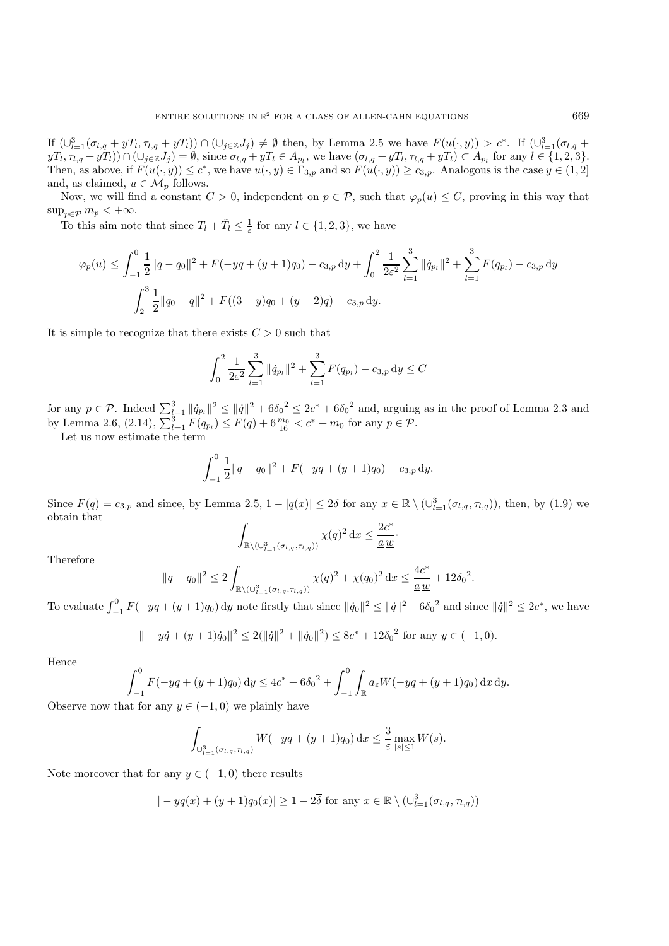If  $(\bigcup_{l=1}^{3}(\sigma_{l,q}+yT_l,\tau_{l,q}+yT_l))\cap(\bigcup_{j\in\mathbb{Z}}J_j)\neq\emptyset$  then, by Lemma 2.5 we have  $F(u(\cdot,y))>c^*$ . If  $(\bigcup_{l=1}^{3}(\sigma_{l,q}+yT_l)\bigcap(\bigcup_{j\in\mathbb{Z}}J_j)\neq\emptyset$  $yT_l, \tau_{l,q} + yT_l)$ )  $\cap$   $(\cup_{j\in\mathbb{Z}}J_j) = \emptyset$ , since  $\sigma_{l,q} + yT_l \in A_{p_l}$ , we have  $(\sigma_{l,q} + yT_l, \tau_{l,q} + yT_l) \subset A_{p_l}$  for any  $l \in \{1, 2, 3\}$ . Then, as above, if  $F(u(\cdot, y)) \leq c^*$ , we have  $u(\cdot, y) \in \Gamma_{3,p}$  and so  $F(u(\cdot, y)) \geq c_{3,p}$ . Analogous is the case  $y \in (1, 2]$ and, as claimed,  $u \in \mathcal{M}_p$  follows.

Now, we will find a constant  $C > 0$ , independent on  $p \in \mathcal{P}$ , such that  $\varphi_p(u) \leq C$ , proving in this way that  $\sup_{p\in\mathcal{P}} m_p < +\infty.$ 

To this aim note that since  $T_l + \tilde{T}_l \leq \frac{1}{\varepsilon}$  for any  $l \in \{1, 2, 3\}$ , we have

$$
\varphi_p(u) \le \int_{-1}^0 \frac{1}{2} ||q - q_0||^2 + F(-yq + (y+1)q_0) - c_{3,p} dy + \int_0^2 \frac{1}{2\varepsilon^2} \sum_{l=1}^3 ||\dot{q}_{p_l}||^2 + \sum_{l=1}^3 F(q_{p_l}) - c_{3,p} dy + \int_2^3 \frac{1}{2} ||q_0 - q||^2 + F((3-y)q_0 + (y-2)q) - c_{3,p} dy.
$$

It is simple to recognize that there exists  $C > 0$  such that

$$
\int_0^2 \frac{1}{2\varepsilon^2} \sum_{l=1}^3 \|\dot{q}_{p_l}\|^2 + \sum_{l=1}^3 F(q_{p_l}) - c_{3,p} \, dy \le C
$$

for any  $p \in \mathcal{P}$ . Indeed  $\sum_{l=1}^{3} ||\dot{q}_{pl}||^2 \le ||\dot{q}||^2 + 6\delta_0^2 \le 2c^* + 6\delta_0^2$  and, arguing as in the proof of Lemma 2.3 and by Lemma 2.6,  $(2.14)$ ,  $\sum_{l=1}^{3} F(q_{p_l}) \leq F(q) + 6 \frac{m_0}{16} < c^* + m_0$  for any  $p \in \mathcal{P}$ .

Let us now estimate the term

$$
\int_{-1}^{0} \frac{1}{2} ||q - q_0||^2 + F(-yq + (y+1)q_0) - c_{3,p} dy.
$$

Since  $F(q) = c_{3,p}$  and since, by Lemma 2.5,  $1 - |q(x)| \leq 2\overline{\delta}$  for any  $x \in \mathbb{R} \setminus (\cup_{l=1}^3 (\sigma_{l,q}, \tau_{l,q}))$ , then, by (1.9) we obtain that

$$
\int_{\mathbb{R}\setminus(\cup_{l=1}^3(\sigma_{l,q},\tau_{l,q}))}\chi(q)^2\,\mathrm{d}x\leq\frac{2c^*}{\underline{a}\,\underline{w}}.
$$

Therefore

$$
||q - q_0||^2 \le 2 \int_{\mathbb{R}\setminus(\cup_{l=1}^3(\sigma_{l,q}, \tau_{l,q}) )} \chi(q)^2 + \chi(q_0)^2 dx \le \frac{4c^*}{\underline{a}\,\underline{w}} + 12\delta_0^2.
$$

To evaluate  $\int_{-1}^{0} F(-yq + (y+1)q_0) dy$  note firstly that since  $\|\dot{q}_0\|^2 \leq \|\dot{q}\|^2 + 6\delta_0^2$  and since  $\|\dot{q}\|^2 \leq 2c^*$ , we have

$$
\| - y\dot{q} + (y+1)\dot{q}_0 \|^2 \le 2(\|\dot{q}\|^2 + \|\dot{q}_0\|^2) \le 8c^* + 12\delta_0^2
$$
 for any  $y \in (-1, 0)$ .

Hence

$$
\int_{-1}^{0} F(-yq + (y+1)q_0) dy \le 4c^* + 6\delta_0^2 + \int_{-1}^{0} \int_{\mathbb{R}} a_{\varepsilon} W(-yq + (y+1)q_0) dx dy.
$$

Observe now that for any  $y \in (-1,0)$  we plainly have

$$
\int_{\cup_{l=1}^3(\sigma_{l,q},\tau_{l,q})} W(-yq+(y+1)q_0) dx \leq \frac{3}{\varepsilon} \max_{|s| \leq 1} W(s).
$$

Note moreover that for any  $y \in (-1,0)$  there results

$$
|-yq(x)+(y+1)q_0(x)| \geq 1-2\overline{\delta} \text{ for any } x \in \mathbb{R} \setminus (\cup_{l=1}^3 (\sigma_{l,q}, \tau_{l,q}))
$$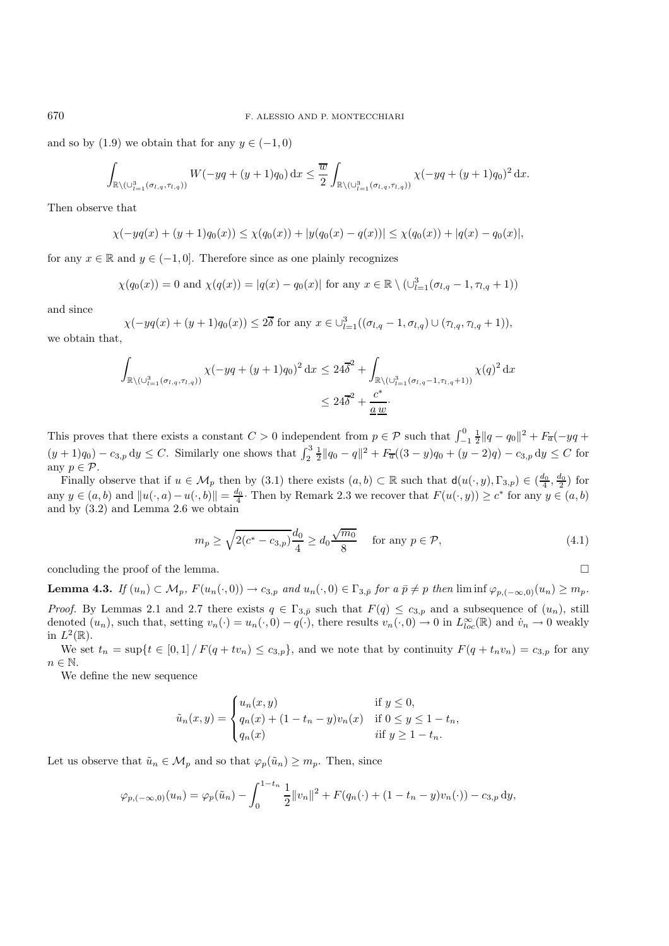and so by (1.9) we obtain that for any  $y \in (-1,0)$ 

$$
\int_{\mathbb{R}\setminus(\cup_{l=1}^3(\sigma_{l,q},\tau_{l,q}))} W(-yq+(y+1)q_0) \,dx \le \frac{\overline{w}}{2} \int_{\mathbb{R}\setminus(\cup_{l=1}^3(\sigma_{l,q},\tau_{l,q}))} \chi(-yq+(y+1)q_0)^2 \,dx.
$$

Then observe that

$$
\chi(-yq(x) + (y+1)q_0(x)) \leq \chi(q_0(x)) + |y(q_0(x) - q(x))| \leq \chi(q_0(x)) + |q(x) - q_0(x)|,
$$

for any  $x \in \mathbb{R}$  and  $y \in (-1, 0]$ . Therefore since as one plainly recognizes

$$
\chi(q_0(x)) = 0
$$
 and  $\chi(q(x)) = |q(x) - q_0(x)|$  for any  $x \in \mathbb{R} \setminus (\cup_{l=1}^3 (\sigma_{l,q} - 1, \tau_{l,q} + 1))$ 

and since

$$
\chi(-yq(x) + (y+1)q_0(x)) \le 2\overline{\delta} \text{ for any } x \in \bigcup_{l=1}^3 ((\sigma_{l,q} - 1, \sigma_{l,q}) \cup (\tau_{l,q}, \tau_{l,q} + 1)),
$$
 we obtain that,

$$
\int_{\mathbb{R}\backslash (\cup_{l=1}^3(\sigma_{l,q},\tau_{l,q}))} \chi(-yq+(y+1)q_0)^2 dx \le 24\overline{\delta}^2 + \int_{\mathbb{R}\backslash (\cup_{l=1}^3(\sigma_{l,q}-1,\tau_{l,q}+1))} \chi(q)^2 dx
$$
  

$$
\le 24\overline{\delta}^2 + \frac{c^*}{\underline{a}\,\underline{w}}.
$$

This proves that there exists a constant  $C > 0$  independent from  $p \in \mathcal{P}$  such that  $\int_{-1}^{0} \frac{1}{2} ||q - q_0||^2 + F_{\overline{a}}(-yq +$  $(y+1)q_0$  –  $c_{3,p}$  dy  $\leq C$ . Similarly one shows that  $\int_2^3 \frac{1}{2} ||q_0 - q||^2 + F_{\overline{a}}((3-y)q_0 + (y-2)q) - c_{3,p}$  dy  $\leq C$  for any  $p \in \mathcal{P}$ .

Finally observe that if  $u \in M_p$  then by (3.1) there exists  $(a, b) \subset \mathbb{R}$  such that  $d(u(\cdot, y), \Gamma_{3,p}) \in (\frac{d_0}{4}, \frac{d_0}{2})$  for any  $y \in (a, b)$  and  $||u(\cdot, a) - u(\cdot, b)|| = \frac{d_0}{4}$ . Then by Remark 2.3 we recover that  $F(u(\cdot, y)) \ge c^*$  for any  $y \in (a, b)$ and by (3.2) and Lemma 2.6 we obtain

$$
m_p \ge \sqrt{2(c^* - c_{3,p})} \frac{d_0}{4} \ge d_0 \frac{\sqrt{m_0}}{8} \quad \text{for any } p \in \mathcal{P}, \tag{4.1}
$$

concluding the proof of the lemma.  $\Box$ 

**Lemma 4.3.** *If*  $(u_n) \subset \mathcal{M}_p$ ,  $F(u_n(\cdot, 0)) \to c_{3,p}$  *and*  $u_n(\cdot, 0) \in \Gamma_{3,p}$  *for*  $a \bar{p} \neq p$  *then* liminf  $\varphi_{p, (-\infty, 0)}(u_n) \geq m_p$ . *Proof.* By Lemmas 2.1 and 2.7 there exists  $q \in \Gamma_{3,\bar{p}}$  such that  $F(q) \leq c_{3,p}$  and a subsequence of  $(u_n)$ , still denoted  $(u_n)$ , such that, setting  $v_n(\cdot) = u_n(\cdot,0) - q(\cdot)$ , there results  $v_n(\cdot,0) \to 0$  in  $L^{\infty}_{loc}(\mathbb{R})$  and  $v_n \to 0$  weakly in  $L^2(\mathbb{R})$ .

We set  $t_n = \sup\{t \in [0,1] / F(q+tv_n) \le c_{3,p}\}\$ , and we note that by continuity  $F(q+t_nv_n) = c_{3,p}$  for any  $n \in \mathbb{N}$ .

We define the new sequence

$$
\tilde{u}_n(x, y) = \begin{cases} u_n(x, y) & \text{if } y \le 0, \\ q_n(x) + (1 - t_n - y)v_n(x) & \text{if } 0 \le y \le 1 - t_n, \\ q_n(x) & \text{if } y \ge 1 - t_n. \end{cases}
$$

Let us observe that  $\tilde{u}_n \in \mathcal{M}_p$  and so that  $\varphi_p(\tilde{u}_n) \geq m_p$ . Then, since

$$
\varphi_{p,(-\infty,0)}(u_n) = \varphi_p(\tilde{u}_n) - \int_0^{1-t_n} \frac{1}{2} ||v_n||^2 + F(q_n(\cdot) + (1-t_n - y)v_n(\cdot)) - c_{3,p} \, dy,
$$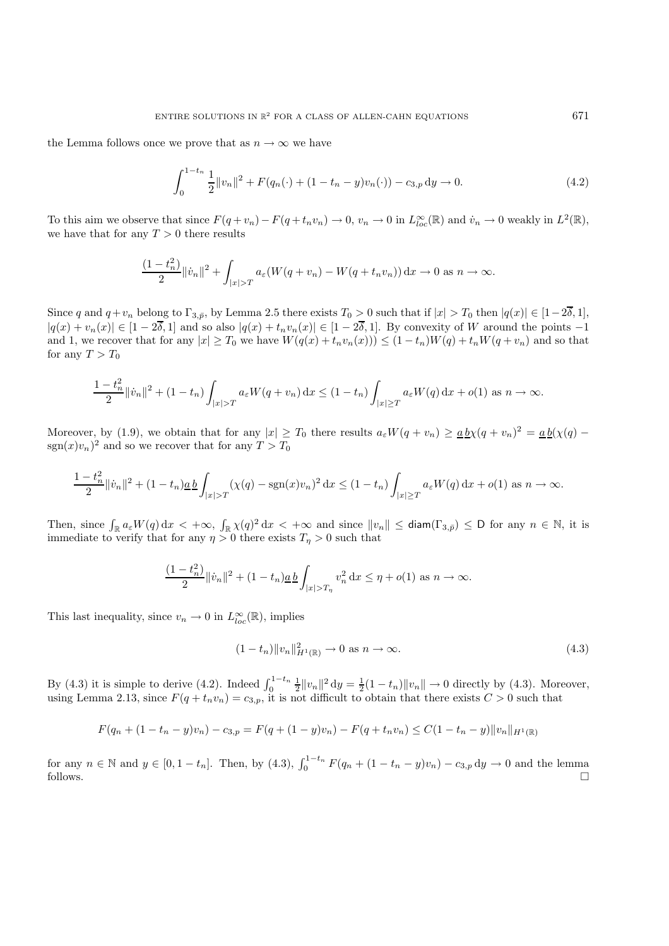the Lemma follows once we prove that as  $n \to \infty$  we have

$$
\int_0^{1-t_n} \frac{1}{2} ||v_n||^2 + F(q_n(\cdot) + (1 - t_n - y)v_n(\cdot)) - c_{3,p} dy \to 0.
$$
 (4.2)

To this aim we observe that since  $F(q + v_n) - F(q + t_n v_n) \to 0$ ,  $v_n \to 0$  in  $L^{\infty}_{loc}(\mathbb{R})$  and  $\dot{v}_n \to 0$  weakly in  $L^2(\mathbb{R})$ , we have that for any  $T > 0$  there results

$$
\frac{(1-t_n^2)}{2}||\dot{v}_n||^2 + \int_{|x|>T} a_{\varepsilon}(W(q+v_n) - W(q+t_nv_n)) \,dx \to 0 \text{ as } n \to \infty.
$$

Since q and  $q+v_n$  belong to  $\Gamma_{3,\bar{p}}$ , by Lemma 2.5 there exists  $T_0 > 0$  such that if  $|x| > T_0$  then  $|q(x)| \in [1-2\overline{\delta}, 1]$ ,  $|q(x) + v_n(x)| \in [1 - 2\overline{\delta}, 1]$  and so also  $|q(x) + t_n v_n(x)| \in [1 - 2\overline{\delta}, 1]$ . By convexity of W around the points  $-1$ and 1, we recover that for any  $|x| \geq T_0$  we have  $W(q(x) + t_n v_n(x)) \leq (1 - t_n)W(q) + t_nW(q + v_n)$  and so that for any  $T > T_0$ 

$$
\frac{1-t_n^2}{2} \|\dot{v}_n\|^2 + (1-t_n) \int_{|x|>T} a_{\varepsilon} W(q+v_n) dx \le (1-t_n) \int_{|x|\ge T} a_{\varepsilon} W(q) dx + o(1) \text{ as } n \to \infty.
$$

Moreover, by (1.9), we obtain that for any  $|x| \geq T_0$  there results  $a_{\varepsilon}W(q + v_n) \geq \underline{a}\underline{b}\chi(q + v_n)^2 = \underline{a}\underline{b}(\chi(q) - \chi(q))$  $sgn(x)v_n)^2$  and so we recover that for any  $T > T_0$ 

$$
\frac{1-t_n^2}{2} ||\dot{v}_n||^2 + (1-t_n)\underline{a}\,\underline{b}\int_{|x|>T} (\chi(q) - \text{sgn}(x)v_n)^2 \,dx \le (1-t_n)\int_{|x|\ge T} a_{\varepsilon}W(q) \,dx + o(1) \text{ as } n \to \infty.
$$

Then, since  $\int_{\mathbb{R}} a_{\varepsilon} W(q) dx < +\infty$ ,  $\int_{\mathbb{R}} \chi(q)^2 dx < +\infty$  and since  $||v_n|| \leq$  diam $(\Gamma_{3,\bar{p}}) \leq D$  for any  $n \in \mathbb{N}$ , it is immediate to verify that for any  $\eta > 0$  there exists  $T_n > 0$  such that

$$
\frac{(1-t_n^2)}{2} \|v_n\|^2 + (1-t_n)\underline{a}\,\underline{b}\int_{|x|>T_\eta} v_n^2 \,dx \le \eta + o(1) \text{ as } n \to \infty.
$$

This last inequality, since  $v_n \to 0$  in  $L^{\infty}_{loc}(\mathbb{R})$ , implies

$$
(1 - t_n) \|v_n\|_{H^1(\mathbb{R})}^2 \to 0 \text{ as } n \to \infty. \tag{4.3}
$$

By (4.3) it is simple to derive (4.2). Indeed  $\int_0^{1-t_n} \frac{1}{2} ||v_n||^2 dy = \frac{1}{2}(1-t_n) ||v_n|| \to 0$  directly by (4.3). Moreover, using Lemma 2.13, since  $F(q + t_n v_n) = c_{3,p}$ , it is not difficult to obtain that there exists  $C > 0$  such that

$$
F(q_n + (1 - t_n - y)v_n) - c_{3,p} = F(q + (1 - y)v_n) - F(q + t_n v_n) \le C(1 - t_n - y) ||v_n||_{H^1(\mathbb{R})}
$$

for any  $n \in \mathbb{N}$  and  $y \in [0, 1 - t_n]$ . Then, by (4.3),  $\int_0^{1-t_n} F(q_n + (1 - t_n - y)v_n) - c_{3,p} dy \to 0$  and the lemma follows.  $\Box$